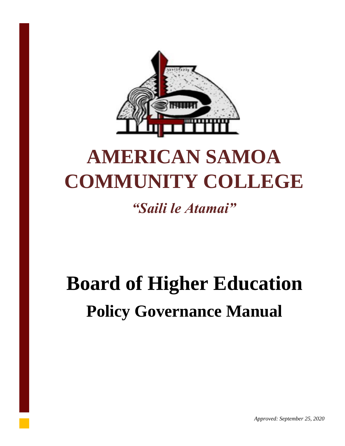

# **AMERICAN SAMOA COMMUNITY COLLEGE**

*"Saili le Atamai"*

# **Board of Higher Education Policy Governance Manual**

*Approved: September 25, 2020*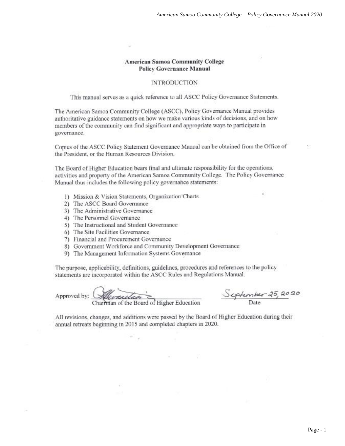#### **American Samoa Community College Policy Governance Manual**

#### **INTRODUCTION**

This manual serves as a quick reference to all ASCC Policy Governance Statements.

The American Samoa Community College (ASCC), Policy Governance Manual provides authoritative guidance statements on how we make various kinds of decisions, and on how members of the community can find significant and appropriate ways to participate in governance.

Copies of the ASCC Policy Statement Governance Manual can be obtained from the Office of the President, or the Human Resources Division.

The Board of Higher Education bears final and ultimate responsibility for the operations, activities and property of the American Samoa Community College. The Policy Governance Manual thus includes the following policy governance statements:

- 1) Mission & Vision Statements, Organization Charts
- 2) The ASCC Board Governance
- 3) The Administrative Governance
- 4) The Personnel Governance
- 5) The Instructional and Student Governance
- 6) The Site Facilities Governance
- 7) Financial and Procurement Governance
- 8) Government Workforce and Community Development Governance
- 9) The Management Information Systems Governance

The purpose, applicability, definitions, guidelines, procedures and references to the policy statements are incorporated within the ASCC Rules and Regulations Manual.

Approved by: (

*<u>Served to Contract Contract of Higher Education</u>* 

Scptember 25, 2020

All revisions, changes, and additions were passed by the Board of Higher Education during their annual retreats beginning in 2015 and completed chapters in 2020.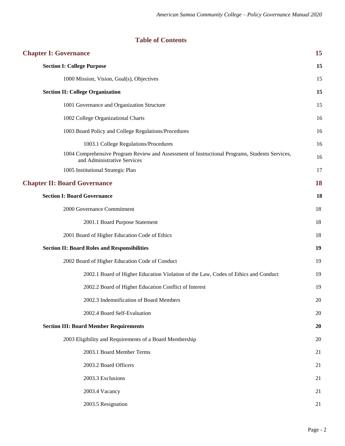## **Table of Contents**

| 15 |
|----|
| 15 |
| 15 |
| 15 |
| 15 |
| 16 |
| 16 |
| 16 |
| 16 |
| 17 |
| 18 |
| 18 |
| 18 |
| 18 |
| 18 |
| 19 |
| 19 |
| 19 |
| 19 |
| 20 |
| 20 |
| 20 |
| 20 |
| 21 |
| 21 |
| 21 |
| 21 |
| 21 |
|    |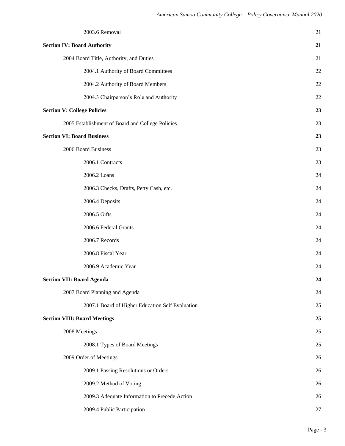| 2003.6 Removal                                   | 21 |
|--------------------------------------------------|----|
| <b>Section IV: Board Authority</b>               | 21 |
| 2004 Board Title, Authority, and Duties          | 21 |
| 2004.1 Authority of Board Committees             | 22 |
| 2004.2 Authority of Board Members                | 22 |
| 2004.3 Chairperson's Role and Authority          | 22 |
| <b>Section V: College Policies</b>               | 23 |
| 2005 Establishment of Board and College Policies | 23 |
| <b>Section VI: Board Business</b>                | 23 |
| 2006 Board Business                              | 23 |
| 2006.1 Contracts                                 | 23 |
| 2006.2 Loans                                     | 24 |
| 2006.3 Checks, Drafts, Petty Cash, etc.          | 24 |
| 2006.4 Deposits                                  | 24 |
| 2006.5 Gifts                                     | 24 |
| 2006.6 Federal Grants                            | 24 |
| 2006.7 Records                                   | 24 |
| 2006.8 Fiscal Year                               | 24 |
| 2006.9 Academic Year                             | 24 |
| <b>Section VII: Board Agenda</b>                 | 24 |
| 2007 Board Planning and Agenda                   | 24 |
| 2007.1 Board of Higher Education Self Evaluation | 25 |
| <b>Section VIII: Board Meetings</b>              | 25 |
| 2008 Meetings                                    | 25 |
| 2008.1 Types of Board Meetings                   | 25 |
| 2009 Order of Meetings                           | 26 |
| 2009.1 Passing Resolutions or Orders             | 26 |
| 2009.2 Method of Voting                          | 26 |
| 2009.3 Adequate Information to Precede Action    | 26 |
| 2009.4 Public Participation                      | 27 |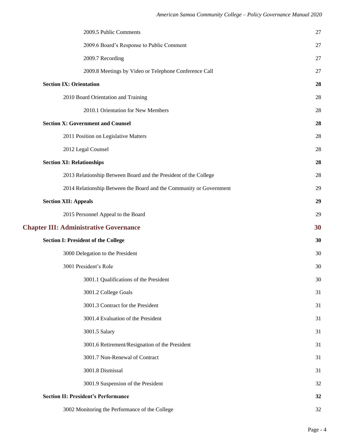| 2009.5 Public Comments                                              | 27 |
|---------------------------------------------------------------------|----|
| 2009.6 Board's Response to Public Comment                           | 27 |
| 2009.7 Recording                                                    | 27 |
| 2009.8 Meetings by Video or Telephone Conference Call               | 27 |
| <b>Section IX: Orientation</b>                                      | 28 |
| 2010 Board Orientation and Training                                 | 28 |
| 2010.1 Orientation for New Members                                  | 28 |
| <b>Section X: Government and Counsel</b>                            | 28 |
| 2011 Position on Legislative Matters                                | 28 |
| 2012 Legal Counsel                                                  | 28 |
| <b>Section XI: Relationships</b>                                    | 28 |
| 2013 Relationship Between Board and the President of the College    | 28 |
| 2014 Relationship Between the Board and the Community or Government | 29 |
| <b>Section XII: Appeals</b>                                         | 29 |
| 2015 Personnel Appeal to the Board                                  | 29 |
|                                                                     |    |
| <b>Chapter III: Administrative Governance</b>                       | 30 |
| <b>Section I: President of the College</b>                          | 30 |
| 3000 Delegation to the President                                    | 30 |
| 3001 President's Role                                               | 30 |
| 3001.1 Qualifications of the President                              | 30 |
| 3001.2 College Goals                                                | 31 |
| 3001.3 Contract for the President                                   | 31 |
| 3001.4 Evaluation of the President                                  | 31 |
| 3001.5 Salary                                                       | 31 |
| 3001.6 Retirement/Resignation of the President                      | 31 |
| 3001.7 Non-Renewal of Contract                                      | 31 |
| 3001.8 Dismissal                                                    | 31 |
| 3001.9 Suspension of the President                                  | 32 |
| <b>Section II: President's Performance</b>                          | 32 |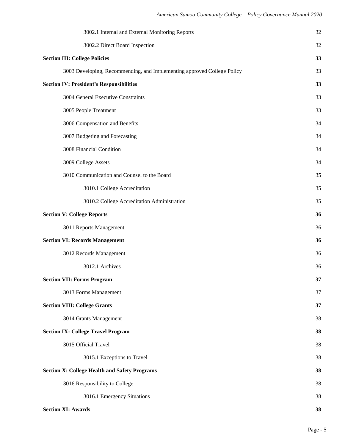| 3002.1 Internal and External Monitoring Reports                         | 32 |
|-------------------------------------------------------------------------|----|
| 3002.2 Direct Board Inspection                                          | 32 |
| <b>Section III: College Policies</b>                                    | 33 |
| 3003 Developing, Recommending, and Implementing approved College Policy | 33 |
| <b>Section IV: President's Responsibilities</b>                         | 33 |
| 3004 General Executive Constraints                                      | 33 |
| 3005 People Treatment                                                   | 33 |
| 3006 Compensation and Benefits                                          | 34 |
| 3007 Budgeting and Forecasting                                          | 34 |
| 3008 Financial Condition                                                | 34 |
| 3009 College Assets                                                     | 34 |
| 3010 Communication and Counsel to the Board                             | 35 |
| 3010.1 College Accreditation                                            | 35 |
| 3010.2 College Accreditation Administration                             | 35 |
| <b>Section V: College Reports</b>                                       | 36 |
| 3011 Reports Management                                                 | 36 |
| <b>Section VI: Records Management</b>                                   | 36 |
| 3012 Records Management                                                 | 36 |
| 3012.1 Archives                                                         | 36 |
| <b>Section VII: Forms Program</b>                                       | 37 |
| 3013 Forms Management                                                   | 37 |
| <b>Section VIII: College Grants</b>                                     | 37 |
| 3014 Grants Management                                                  | 38 |
| <b>Section IX: College Travel Program</b>                               | 38 |
| 3015 Official Travel                                                    | 38 |
| 3015.1 Exceptions to Travel                                             | 38 |
| <b>Section X: College Health and Safety Programs</b>                    | 38 |
| 3016 Responsibility to College                                          | 38 |
| 3016.1 Emergency Situations                                             | 38 |
| <b>Section XI: Awards</b>                                               | 38 |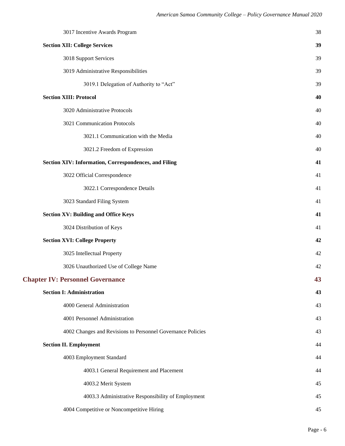| 3017 Incentive Awards Program                               | 38 |
|-------------------------------------------------------------|----|
| <b>Section XII: College Services</b>                        | 39 |
| 3018 Support Services                                       | 39 |
| 3019 Administrative Responsibilities                        | 39 |
| 3019.1 Delegation of Authority to "Act"                     | 39 |
| <b>Section XIII: Protocol</b>                               | 40 |
| 3020 Administrative Protocols                               | 40 |
| 3021 Communication Protocols                                | 40 |
| 3021.1 Communication with the Media                         | 40 |
| 3021.2 Freedom of Expression                                | 40 |
| Section XIV: Information, Correspondences, and Filing       | 41 |
| 3022 Official Correspondence                                | 41 |
| 3022.1 Correspondence Details                               | 41 |
| 3023 Standard Filing System                                 | 41 |
| <b>Section XV: Building and Office Keys</b>                 | 41 |
| 3024 Distribution of Keys                                   | 41 |
| <b>Section XVI: College Property</b>                        | 42 |
| 3025 Intellectual Property                                  | 42 |
| 3026 Unauthorized Use of College Name                       | 42 |
| <b>Chapter IV: Personnel Governance</b>                     | 43 |
| <b>Section I: Administration</b>                            | 43 |
| 4000 General Administration                                 | 43 |
| 4001 Personnel Administration                               | 43 |
| 4002 Changes and Revisions to Personnel Governance Policies | 43 |
| <b>Section II. Employment</b>                               | 44 |
| 4003 Employment Standard                                    | 44 |
| 4003.1 General Requirement and Placement                    | 44 |
| 4003.2 Merit System                                         | 45 |
| 4003.3 Administrative Responsibility of Employment          | 45 |
| 4004 Competitive or Noncompetitive Hiring                   | 45 |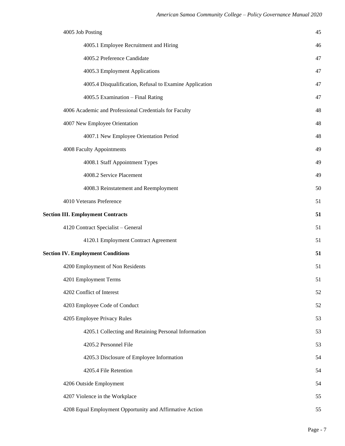| 4005 Job Posting                                         | 45 |
|----------------------------------------------------------|----|
| 4005.1 Employee Recruitment and Hiring                   | 46 |
| 4005.2 Preference Candidate                              | 47 |
| 4005.3 Employment Applications                           | 47 |
| 4005.4 Disqualification, Refusal to Examine Application  | 47 |
| 4005.5 Examination - Final Rating                        | 47 |
| 4006 Academic and Professional Credentials for Faculty   | 48 |
| 4007 New Employee Orientation                            | 48 |
| 4007.1 New Employee Orientation Period                   | 48 |
| 4008 Faculty Appointments                                | 49 |
| 4008.1 Staff Appointment Types                           | 49 |
| 4008.2 Service Placement                                 | 49 |
| 4008.3 Reinstatement and Reemployment                    | 50 |
| 4010 Veterans Preference                                 | 51 |
| <b>Section III. Employment Contracts</b>                 | 51 |
| 4120 Contract Specialist - General                       | 51 |
| 4120.1 Employment Contract Agreement                     | 51 |
| <b>Section IV. Employment Conditions</b>                 | 51 |
| 4200 Employment of Non Residents                         | 51 |
| 4201 Employment Terms                                    | 51 |
| 4202 Conflict of Interest                                | 52 |
| 4203 Employee Code of Conduct                            | 52 |
| 4205 Employee Privacy Rules                              | 53 |
| 4205.1 Collecting and Retaining Personal Information     | 53 |
| 4205.2 Personnel File                                    | 53 |
| 4205.3 Disclosure of Employee Information                | 54 |
| 4205.4 File Retention                                    | 54 |
| 4206 Outside Employment                                  | 54 |
| 4207 Violence in the Workplace                           | 55 |
| 4208 Equal Employment Opportunity and Affirmative Action | 55 |
|                                                          |    |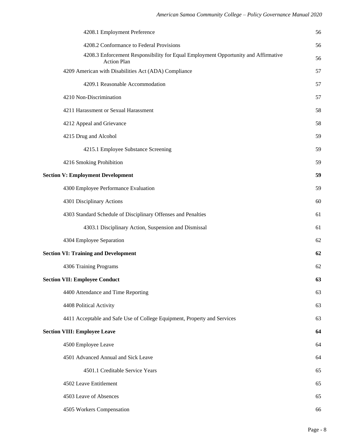| 4208.1 Employment Preference                                                                             | 56 |
|----------------------------------------------------------------------------------------------------------|----|
| 4208.2 Conformance to Federal Provisions                                                                 | 56 |
| 4208.3 Enforcement Responsibility for Equal Employment Opportunity and Affirmative<br><b>Action Plan</b> | 56 |
| 4209 American with Disabilities Act (ADA) Compliance                                                     | 57 |
| 4209.1 Reasonable Accommodation                                                                          | 57 |
| 4210 Non-Discrimination                                                                                  | 57 |
| 4211 Harassment or Sexual Harassment                                                                     | 58 |
| 4212 Appeal and Grievance                                                                                | 58 |
| 4215 Drug and Alcohol                                                                                    | 59 |
| 4215.1 Employee Substance Screening                                                                      | 59 |
| 4216 Smoking Prohibition                                                                                 | 59 |
| <b>Section V: Employment Development</b>                                                                 | 59 |
| 4300 Employee Performance Evaluation                                                                     | 59 |
| 4301 Disciplinary Actions                                                                                | 60 |
| 4303 Standard Schedule of Disciplinary Offenses and Penalties                                            | 61 |
| 4303.1 Disciplinary Action, Suspension and Dismissal                                                     | 61 |
| 4304 Employee Separation                                                                                 | 62 |
| <b>Section VI: Training and Development</b>                                                              | 62 |
| 4306 Training Programs                                                                                   | 62 |
| <b>Section VII: Employee Conduct</b>                                                                     | 63 |
| 4400 Attendance and Time Reporting                                                                       | 63 |
| 4408 Political Activity                                                                                  | 63 |
| 4411 Acceptable and Safe Use of College Equipment, Property and Services                                 | 63 |
| <b>Section VIII: Employee Leave</b>                                                                      | 64 |
| 4500 Employee Leave                                                                                      | 64 |
| 4501 Advanced Annual and Sick Leave                                                                      | 64 |
| 4501.1 Creditable Service Years                                                                          | 65 |
| 4502 Leave Entitlement                                                                                   | 65 |
| 4503 Leave of Absences                                                                                   | 65 |
| 4505 Workers Compensation                                                                                | 66 |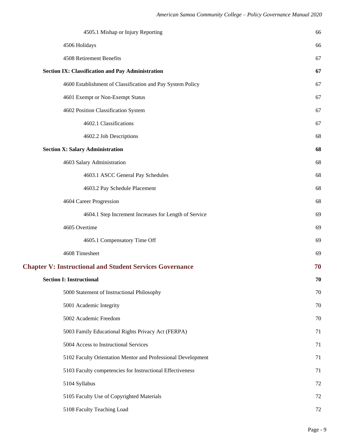| 4505.1 Mishap or Injury Reporting                               | 66 |
|-----------------------------------------------------------------|----|
| 4506 Holidays                                                   | 66 |
| 4508 Retirement Benefits                                        | 67 |
| <b>Section IX: Classification and Pay Administration</b>        | 67 |
| 4600 Establishment of Classification and Pay System Policy      | 67 |
| 4601 Exempt or Non-Exempt Status                                | 67 |
| 4602 Position Classification System                             | 67 |
| 4602.1 Classifications                                          | 67 |
| 4602.2 Job Descriptions                                         | 68 |
| <b>Section X: Salary Administration</b>                         | 68 |
| 4603 Salary Administration                                      | 68 |
| 4603.1 ASCC General Pay Schedules                               | 68 |
| 4603.2 Pay Schedule Placement                                   | 68 |
| 4604 Career Progression                                         | 68 |
| 4604.1 Step Increment Increases for Length of Service           | 69 |
| 4605 Overtime                                                   | 69 |
| 4605.1 Compensatory Time Off                                    | 69 |
| 4608 Timesheet                                                  | 69 |
| <b>Chapter V: Instructional and Student Services Governance</b> | 70 |
| <b>Section I: Instructional</b>                                 | 70 |
| 5000 Statement of Instructional Philosophy                      | 70 |
| 5001 Academic Integrity                                         | 70 |
| 5002 Academic Freedom                                           | 70 |
| 5003 Family Educational Rights Privacy Act (FERPA)              | 71 |
| 5004 Access to Instructional Services                           | 71 |
| 5102 Faculty Orientation Mentor and Professional Development    | 71 |
| 5103 Faculty competencies for Instructional Effectiveness       | 71 |
| 5104 Syllabus                                                   | 72 |
| 5105 Faculty Use of Copyrighted Materials                       | 72 |
| 5108 Faculty Teaching Load                                      | 72 |
|                                                                 |    |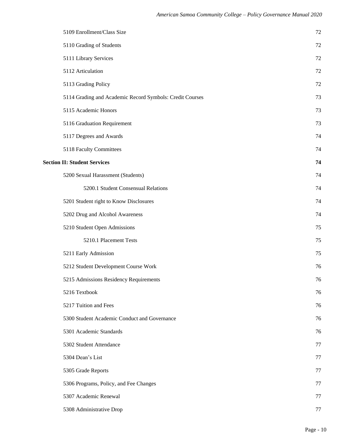| 5109 Enrollment/Class Size                               | 72 |
|----------------------------------------------------------|----|
| 5110 Grading of Students                                 | 72 |
| 5111 Library Services                                    | 72 |
| 5112 Articulation                                        | 72 |
| 5113 Grading Policy                                      | 72 |
| 5114 Grading and Academic Record Symbols: Credit Courses | 73 |
| 5115 Academic Honors                                     | 73 |
| 5116 Graduation Requirement                              | 73 |
| 5117 Degrees and Awards                                  | 74 |
| 5118 Faculty Committees                                  | 74 |
| <b>Section II: Student Services</b>                      | 74 |
| 5200 Sexual Harassment (Students)                        | 74 |
| 5200.1 Student Consensual Relations                      | 74 |
| 5201 Student right to Know Disclosures                   | 74 |
| 5202 Drug and Alcohol Awareness                          | 74 |
| 5210 Student Open Admissions                             | 75 |
| 5210.1 Placement Tests                                   | 75 |
| 5211 Early Admission                                     | 75 |
| 5212 Student Development Course Work                     | 76 |
| 5215 Admissions Residency Requirements                   | 76 |
| 5216 Textbook                                            | 76 |
| 5217 Tuition and Fees                                    | 76 |
| 5300 Student Academic Conduct and Governance             | 76 |
| 5301 Academic Standards                                  | 76 |
| 5302 Student Attendance                                  | 77 |
| 5304 Dean's List                                         | 77 |
| 5305 Grade Reports                                       | 77 |
| 5306 Programs, Policy, and Fee Changes                   | 77 |
| 5307 Academic Renewal                                    | 77 |
| 5308 Administrative Drop                                 | 77 |
|                                                          |    |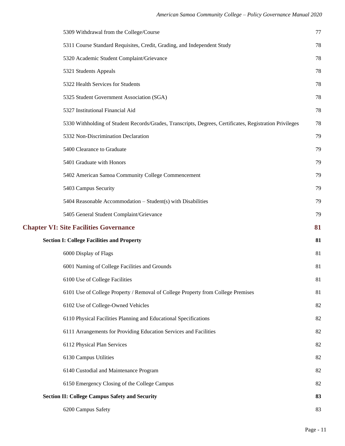| 5309 Withdrawal from the College/Course                                                                 | 77 |
|---------------------------------------------------------------------------------------------------------|----|
| 5311 Course Standard Requisites, Credit, Grading, and Independent Study                                 | 78 |
| 5320 Academic Student Complaint/Grievance                                                               | 78 |
| 5321 Students Appeals                                                                                   | 78 |
| 5322 Health Services for Students                                                                       | 78 |
| 5325 Student Government Association (SGA)                                                               | 78 |
| 5327 Institutional Financial Aid                                                                        | 78 |
| 5330 Withholding of Student Records/Grades, Transcripts, Degrees, Certificates, Registration Privileges | 78 |
| 5332 Non-Discrimination Declaration                                                                     | 79 |
| 5400 Clearance to Graduate                                                                              | 79 |
| 5401 Graduate with Honors                                                                               | 79 |
| 5402 American Samoa Community College Commencement                                                      | 79 |
| 5403 Campus Security                                                                                    | 79 |
| 5404 Reasonable Accommodation - Student(s) with Disabilities                                            | 79 |
| 5405 General Student Complaint/Grievance                                                                | 79 |
| <b>Chapter VI: Site Facilities Governance</b>                                                           | 81 |
| <b>Section I: College Facilities and Property</b>                                                       | 81 |
| 6000 Display of Flags                                                                                   | 81 |
| 6001 Naming of College Facilities and Grounds                                                           | 81 |
| 6100 Use of College Facilities                                                                          | 81 |
| 6101 Use of College Property / Removal of College Property from College Premises                        | 81 |
| 6102 Use of College-Owned Vehicles                                                                      | 82 |
| 6110 Physical Facilities Planning and Educational Specifications                                        | 82 |
| 6111 Arrangements for Providing Education Services and Facilities                                       | 82 |
| 6112 Physical Plan Services                                                                             | 82 |
| 6130 Campus Utilities                                                                                   | 82 |
| 6140 Custodial and Maintenance Program                                                                  | 82 |
| 6150 Emergency Closing of the College Campus                                                            | 82 |
| <b>Section II: College Campus Safety and Security</b>                                                   | 83 |
| 6200 Campus Safety                                                                                      | 83 |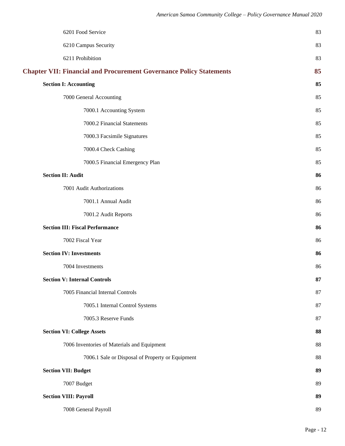| 6201 Food Service                                                          | 83 |
|----------------------------------------------------------------------------|----|
| 6210 Campus Security                                                       | 83 |
| 6211 Prohibition                                                           | 83 |
| <b>Chapter VII: Financial and Procurement Governance Policy Statements</b> | 85 |
| <b>Section I: Accounting</b>                                               | 85 |
| 7000 General Accounting                                                    | 85 |
| 7000.1 Accounting System                                                   | 85 |
| 7000.2 Financial Statements                                                | 85 |
| 7000.3 Facsimile Signatures                                                | 85 |
| 7000.4 Check Cashing                                                       | 85 |
| 7000.5 Financial Emergency Plan                                            | 85 |
| <b>Section II: Audit</b>                                                   | 86 |
| 7001 Audit Authorizations                                                  | 86 |
| 7001.1 Annual Audit                                                        | 86 |
| 7001.2 Audit Reports                                                       | 86 |
| <b>Section III: Fiscal Performance</b>                                     | 86 |
| 7002 Fiscal Year                                                           | 86 |
| <b>Section IV: Investments</b>                                             | 86 |
| 7004 Investments                                                           | 86 |
| <b>Section V: Internal Controls</b>                                        | 87 |
| 7005 Financial Internal Controls                                           | 87 |
| 7005.1 Internal Control Systems                                            | 87 |
| 7005.3 Reserve Funds                                                       | 87 |
| <b>Section VI: College Assets</b>                                          | 88 |
| 7006 Inventories of Materials and Equipment                                | 88 |
| 7006.1 Sale or Disposal of Property or Equipment                           | 88 |
| <b>Section VII: Budget</b>                                                 | 89 |
| 7007 Budget                                                                | 89 |
| <b>Section VIII: Payroll</b>                                               | 89 |
| 7008 General Payroll                                                       | 89 |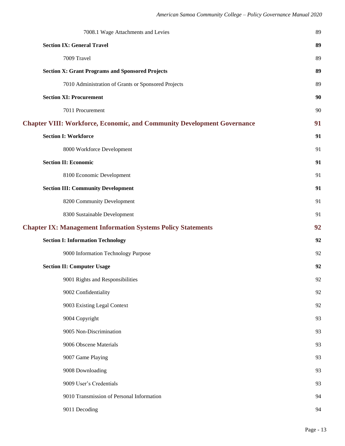| 89<br>89 |
|----------|
|          |
|          |
| 89       |
| 89       |
| 90       |
| 90       |
| 91       |
| 91       |
| 91       |
| 91       |
| 91       |
| 91       |
| 91       |
| 91       |
| 92       |
| 92       |
|          |
| 92       |
| 92       |
| 92       |
| 92       |
| 92       |
| 93       |
| 93       |
| 93       |
| 93       |
| 93       |
| 93       |
| 94       |
|          |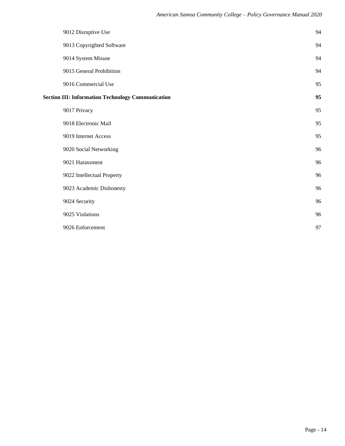|                                                          | 9012 Disruptive Use        | 94 |
|----------------------------------------------------------|----------------------------|----|
|                                                          | 9013 Copyrighted Software  | 94 |
|                                                          | 9014 System Misuse         | 94 |
|                                                          | 9015 General Prohibition   | 94 |
|                                                          | 9016 Commercial Use        | 95 |
| <b>Section III: Information Technology Communication</b> |                            | 95 |
|                                                          | 9017 Privacy               | 95 |
|                                                          | 9018 Electronic Mail       | 95 |
|                                                          | 9019 Internet Access       | 95 |
|                                                          | 9020 Social Networking     | 96 |
|                                                          | 9021 Harassment            | 96 |
|                                                          | 9022 Intellectual Property | 96 |
|                                                          | 9023 Academic Dishonesty   | 96 |
|                                                          | 9024 Security              | 96 |
|                                                          | 9025 Violations            | 96 |
|                                                          | 9026 Enforcement           | 97 |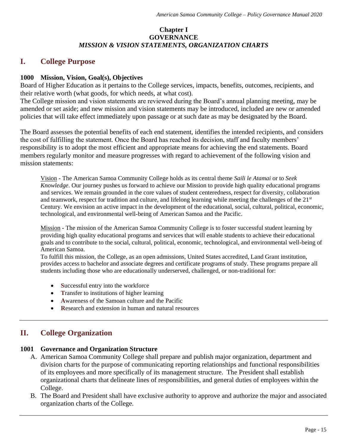## **Chapter I GOVERNANCE** *MISSION & VISION STATEMENTS, ORGANIZATION CHARTS*

## **I. College Purpose**

## **1000 Mission, Vision, Goal(s), Objectives**

Board of Higher Education as it pertains to the College services, impacts, benefits, outcomes, recipients, and their relative worth (what goods, for which needs, at what cost).

The College mission and vision statements are reviewed during the Board's annual planning meeting, may be amended or set aside; and new mission and vision statements may be introduced, included are new or amended policies that will take effect immediately upon passage or at such date as may be designated by the Board.

The Board assesses the potential benefits of each end statement, identifies the intended recipients, and considers the cost of fulfilling the statement. Once the Board has reached its decision, staff and faculty members' responsibility is to adopt the most efficient and appropriate means for achieving the end statements. Board members regularly monitor and measure progresses with regard to achievement of the following vision and mission statements:

Vision - The American Samoa Community College holds as its central theme *Saili le Atamai* or to *Seek Knowledge*. Our journey pushes us forward to achieve our Mission to provide high quality educational programs and services. We remain grounded in the core values of student centeredness, respect for diversity, collaboration and teamwork, respect for tradition and culture, and lifelong learning while meeting the challenges of the  $21<sup>st</sup>$ Century. We envision an active impact in the development of the educational, social, cultural, political, economic, technological, and environmental well-being of American Samoa and the Pacific.

Mission - The mission of the American Samoa Community College is to foster successful student learning by providing high quality educational programs and services that will enable students to achieve their educational goals and to contribute to the social, cultural, political, economic, technological, and environmental well-being of American Samoa.

To fulfill this mission, the College, as an open admissions, United States accredited, Land Grant institution, provides access to bachelor and associate degrees and certificate programs of study. These programs prepare all students including those who are educationally underserved, challenged, or non-traditional for:

- **S**uccessful entry into the workforce
- **T**ransfer to institutions of higher learning
- **A**wareness of the Samoan culture and the Pacific
- **R**esearch and extension in human and natural resources

# **II. College Organization**

## **1001 Governance and Organization Structure**

- A. American Samoa Community College shall prepare and publish major organization, department and division charts for the purpose of communicating reporting relationships and functional responsibilities of its employees and more specifically of its management structure. The President shall establish organizational charts that delineate lines of responsibilities, and general duties of employees within the College.
- B. The Board and President shall have exclusive authority to approve and authorize the major and associated organization charts of the College.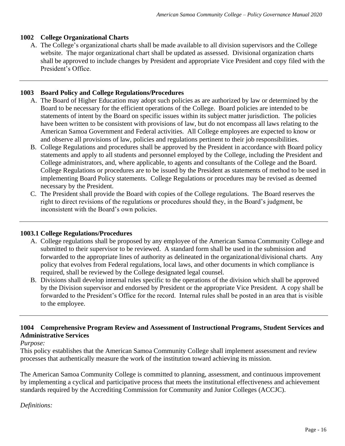## **1002 College Organizational Charts**

A. The College's organizational charts shall be made available to all division supervisors and the College website. The major organizational chart shall be updated as assessed. Divisional organization charts shall be approved to include changes by President and appropriate Vice President and copy filed with the President's Office.

## **1003 Board Policy and College Regulations/Procedures**

- A. The Board of Higher Education may adopt such policies as are authorized by law or determined by the Board to be necessary for the efficient operations of the College. Board policies are intended to be statements of intent by the Board on specific issues within its subject matter jurisdiction. The policies have been written to be consistent with provisions of law, but do not encompass all laws relating to the American Samoa Government and Federal activities. All College employees are expected to know or and observe all provisions of law, policies and regulations pertinent to their job responsibilities.
- B. College Regulations and procedures shall be approved by the President in accordance with Board policy statements and apply to all students and personnel employed by the College, including the President and College administrators, and, where applicable, to agents and consultants of the College and the Board. College Regulations or procedures are to be issued by the President as statements of method to be used in implementing Board Policy statements. College Regulations or procedures may be revised as deemed necessary by the President.
- C. The President shall provide the Board with copies of the College regulations. The Board reserves the right to direct revisions of the regulations or procedures should they, in the Board's judgment, be inconsistent with the Board's own policies.

## **1003.1 College Regulations/Procedures**

- A. College regulations shall be proposed by any employee of the American Samoa Community College and submitted to their supervisor to be reviewed. A standard form shall be used in the submission and forwarded to the appropriate lines of authority as delineated in the organizational/divisional charts. Any policy that evolves from Federal regulations, local laws, and other documents in which compliance is required, shall be reviewed by the College designated legal counsel.
- B. Divisions shall develop internal rules specific to the operations of the division which shall be approved by the Division supervisor and endorsed by President or the appropriate Vice President. A copy shall be forwarded to the President's Office for the record. Internal rules shall be posted in an area that is visible to the employee.

## **1004 Comprehensive Program Review and Assessment of Instructional Programs, Student Services and Administrative Services**

## *Purpose:*

This policy establishes that the American Samoa Community College shall implement assessment and review processes that authentically measure the work of the institution toward achieving its mission.

The American Samoa Community College is committed to planning, assessment, and continuous improvement by implementing a cyclical and participative process that meets the institutional effectiveness and achievement standards required by the Accrediting Commission for Community and Junior Colleges (ACCJC).

## *Definitions:*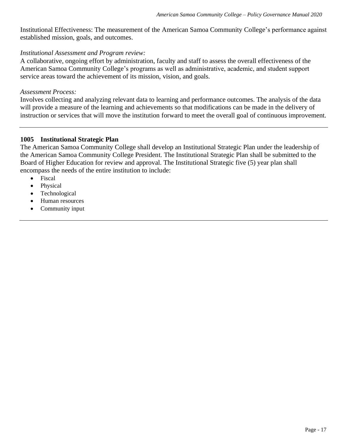Institutional Effectiveness: The measurement of the American Samoa Community College's performance against established mission, goals, and outcomes.

#### *Institutional Assessment and Program review:*

A collaborative, ongoing effort by administration, faculty and staff to assess the overall effectiveness of the American Samoa Community College's programs as well as administrative, academic, and student support service areas toward the achievement of its mission, vision, and goals.

#### *Assessment Process:*

Involves collecting and analyzing relevant data to learning and performance outcomes. The analysis of the data will provide a measure of the learning and achievements so that modifications can be made in the delivery of instruction or services that will move the institution forward to meet the overall goal of continuous improvement.

## **1005 Institutional Strategic Plan**

The American Samoa Community College shall develop an Institutional Strategic Plan under the leadership of the American Samoa Community College President. The Institutional Strategic Plan shall be submitted to the Board of Higher Education for review and approval. The Institutional Strategic five (5) year plan shall encompass the needs of the entire institution to include:

- Fiscal
- **Physical**
- Technological
- Human resources
- Community input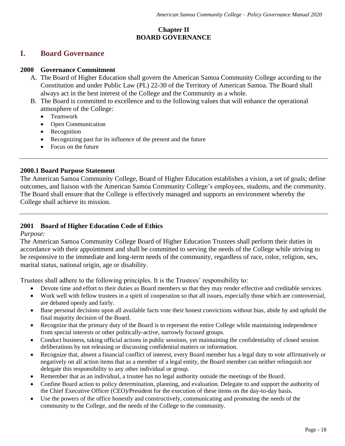## **Chapter II BOARD GOVERNANCE**

## **I. Board Governance**

## **2000 Governance Commitment**

- A. The Board of Higher Education shall govern the American Samoa Community College according to the Constitution and under Public Law (PL) 22-30 of the Territory of American Samoa. The Board shall always act in the best interest of the College and the Community as a whole.
- B. The Board is committed to excellence and to the following values that will enhance the operational atmosphere of the College:
	- Teamwork
	- Open Communication
	- Recognition
	- Recognizing past for its influence of the present and the future
	- Focus on the future

## **2000.1 Board Purpose Statement**

The American Samoa Community College, Board of Higher Education establishes a vision, a set of goals; define outcomes, and liaison with the American Samoa Community College's employees, students, and the community. The Board shall ensure that the College is effectively managed and supports an environment whereby the College shall achieve its mission.

## **2001 Board of Higher Education Code of Ethics**

*Purpose:*

The American Samoa Community College Board of Higher Education Trustees shall perform their duties in accordance with their appointment and shall be committed to serving the needs of the College while striving to be responsive to the immediate and long-term needs of the community, regardless of race, color, religion, sex, marital status, national origin, age or disability.

Trustees shall adhere to the following principles. It is the Trustees' responsibility to:

- Devote time and effort to their duties as Board members so that they may render effective and creditable services.
- Work well with fellow trustees in a spirit of cooperation so that all issues, especially those which are controversial, are debated openly and fairly.
- Base personal decisions upon all available facts vote their honest convictions without bias, abide by and uphold the final majority decision of the Board.
- Recognize that the primary duty of the Board is to represent the entire College while maintaining independence from special interests or other politically-active, narrowly focused groups.
- Conduct business, taking official actions in public sessions, yet maintaining the confidentiality of closed session deliberations by not releasing or discussing confidential matters or information.
- Recognize that, absent a financial conflict of interest, every Board member has a legal duty to vote affirmatively or negatively on all action items that as a member of a legal entity, the Board member can neither relinquish nor delegate this responsibility to any other individual or group.
- Remember that as an individual, a trustee has no legal authority outside the meetings of the Board.
- Confine Board action to policy determination, planning, and evaluation. Delegate to and support the authority of the Chief Executive Officer (CEO)/President for the execution of these items on the day-to-day basis.
- Use the powers of the office honestly and constructively, communicating and promoting the needs of the community to the College, and the needs of the College to the community.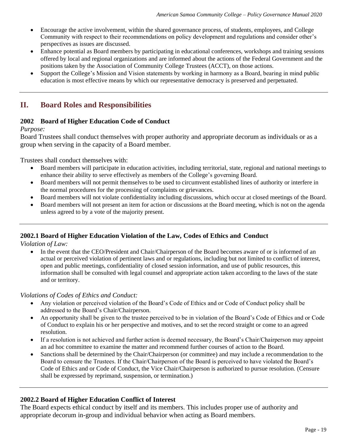- Encourage the active involvement, within the shared governance process, of students, employees, and College Community with respect to their recommendations on policy development and regulations and consider other's perspectives as issues are discussed.
- Enhance potential as Board members by participating in educational conferences, workshops and training sessions offered by local and regional organizations and are informed about the actions of the Federal Government and the positions taken by the Association of Community College Trustees (ACCT), on those actions.
- Support the College's Mission and Vision statements by working in harmony as a Board, bearing in mind public education is most effective means by which our representative democracy is preserved and perpetuated.

# **II. Board Roles and Responsibilities**

## **2002 Board of Higher Education Code of Conduct**

## *Purpose:*

Board Trustees shall conduct themselves with proper authority and appropriate decorum as individuals or as a group when serving in the capacity of a Board member.

Trustees shall conduct themselves with:

- Board members will participate in education activities, including territorial, state, regional and national meetings to enhance their ability to serve effectively as members of the College's governing Board.
- Board members will not permit themselves to be used to circumvent established lines of authority or interfere in the normal procedures for the processing of complaints or grievances.
- Board members will not violate confidentiality including discussions, which occur at closed meetings of the Board.
- Board members will not present an item for action or discussions at the Board meeting, which is not on the agenda unless agreed to by a vote of the majority present.

## **2002.1 Board of Higher Education Violation of the Law, Codes of Ethics and Conduct**

*Violation of Law:*

• In the event that the CEO/President and Chair/Chairperson of the Board becomes aware of or is informed of an actual or perceived violation of pertinent laws and or regulations, including but not limited to conflict of interest, open and public meetings, confidentiality of closed session information, and use of public resources, this information shall be consulted with legal counsel and appropriate action taken according to the laws of the state and or territory.

## *Violations of Codes of Ethics and Conduct:*

- Any violation or perceived violation of the Board's Code of Ethics and or Code of Conduct policy shall be addressed to the Board's Chair/Chairperson.
- An opportunity shall be given to the trustee perceived to be in violation of the Board's Code of Ethics and or Code of Conduct to explain his or her perspective and motives, and to set the record straight or come to an agreed resolution.
- If a resolution is not achieved and further action is deemed necessary, the Board's Chair/Chairperson may appoint an ad hoc committee to examine the matter and recommend further courses of action to the Board.
- Sanctions shall be determined by the Chair/Chairperson (or committee) and may include a recommendation to the Board to censure the Trustees. If the Chair/Chairperson of the Board is perceived to have violated the Board's Code of Ethics and or Code of Conduct, the Vice Chair/Chairperson is authorized to pursue resolution. (Censure shall be expressed by reprimand, suspension, or termination.)

## **2002.2 Board of Higher Education Conflict of Interest**

The Board expects ethical conduct by itself and its members. This includes proper use of authority and appropriate decorum in-group and individual behavior when acting as Board members.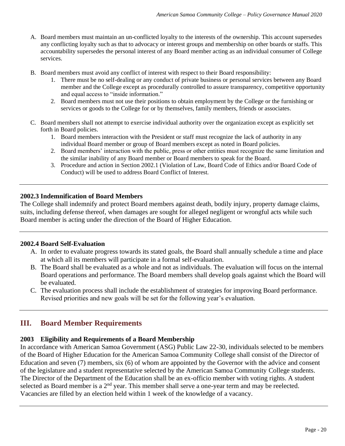- A. Board members must maintain an un-conflicted loyalty to the interests of the ownership. This account supersedes any conflicting loyalty such as that to advocacy or interest groups and membership on other boards or staffs. This accountability supersedes the personal interest of any Board member acting as an individual consumer of College services.
- B. Board members must avoid any conflict of interest with respect to their Board responsibility:
	- 1. There must be no self-dealing or any conduct of private business or personal services between any Board member and the College except as procedurally controlled to assure transparency, competitive opportunity and equal access to "inside information."
	- 2. Board members must not use their positions to obtain employment by the College or the furnishing or services or goods to the College for or by themselves, family members, friends or associates.
- C. Board members shall not attempt to exercise individual authority over the organization except as explicitly set forth in Board policies.
	- 1. Board members interaction with the President or staff must recognize the lack of authority in any individual Board member or group of Board members except as noted in Board policies.
	- 2. Board members' interaction with the public, press or other entities must recognize the same limitation and the similar inability of any Board member or Board members to speak for the Board.
	- 3. Procedure and action in Section 2002.1 (Violation of Law, Board Code of Ethics and/or Board Code of Conduct) will be used to address Board Conflict of Interest.

## **2002.3 Indemnification of Board Members**

The College shall indemnify and protect Board members against death, bodily injury, property damage claims, suits, including defense thereof, when damages are sought for alleged negligent or wrongful acts while such Board member is acting under the direction of the Board of Higher Education.

## **2002.4 Board Self-Evaluation**

- A. In order to evaluate progress towards its stated goals, the Board shall annually schedule a time and place at which all its members will participate in a formal self-evaluation.
- B. The Board shall be evaluated as a whole and not as individuals. The evaluation will focus on the internal Board operations and performance. The Board members shall develop goals against which the Board will be evaluated.
- C. The evaluation process shall include the establishment of strategies for improving Board performance. Revised priorities and new goals will be set for the following year's evaluation.

# **III. Board Member Requirements**

## **2003 Eligibility and Requirements of a Board Membership**

In accordance with American Samoa Government (ASG) Public Law 22-30, individuals selected to be members of the Board of Higher Education for the American Samoa Community College shall consist of the Director of Education and seven (7) members, six (6) of whom are appointed by the Governor with the advice and consent of the legislature and a student representative selected by the American Samoa Community College students. The Director of the Department of the Education shall be an ex-officio member with voting rights. A student selected as Board member is a 2<sup>nd</sup> year. This member shall serve a one-year term and may be reelected. Vacancies are filled by an election held within 1 week of the knowledge of a vacancy.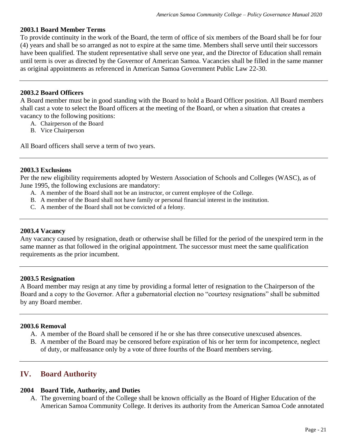## **2003.1 Board Member Terms**

To provide continuity in the work of the Board, the term of office of six members of the Board shall be for four (4) years and shall be so arranged as not to expire at the same time. Members shall serve until their successors have been qualified. The student representative shall serve one year, and the Director of Education shall remain until term is over as directed by the Governor of American Samoa. Vacancies shall be filled in the same manner as original appointments as referenced in American Samoa Government Public Law 22-30.

## **2003.2 Board Officers**

A Board member must be in good standing with the Board to hold a Board Officer position. All Board members shall cast a vote to select the Board officers at the meeting of the Board, or when a situation that creates a vacancy to the following positions:

- A. Chairperson of the Board
- B. Vice Chairperson

All Board officers shall serve a term of two years.

## **2003.3 Exclusions**

Per the new eligibility requirements adopted by Western Association of Schools and Colleges (WASC), as of June 1995, the following exclusions are mandatory:

- A. A member of the Board shall not be an instructor, or current employee of the College.
- B. A member of the Board shall not have family or personal financial interest in the institution.
- C. A member of the Board shall not be convicted of a felony.

## **2003.4 Vacancy**

Any vacancy caused by resignation, death or otherwise shall be filled for the period of the unexpired term in the same manner as that followed in the original appointment. The successor must meet the same qualification requirements as the prior incumbent.

## **2003.5 Resignation**

A Board member may resign at any time by providing a formal letter of resignation to the Chairperson of the Board and a copy to the Governor. After a gubernatorial election no "courtesy resignations" shall be submitted by any Board member.

## **2003.6 Removal**

- A. A member of the Board shall be censored if he or she has three consecutive unexcused absences.
- B. A member of the Board may be censored before expiration of his or her term for incompetence, neglect of duty, or malfeasance only by a vote of three fourths of the Board members serving.

# **IV. Board Authority**

## **2004 Board Title, Authority, and Duties**

A. The governing board of the College shall be known officially as the Board of Higher Education of the American Samoa Community College. It derives its authority from the American Samoa Code annotated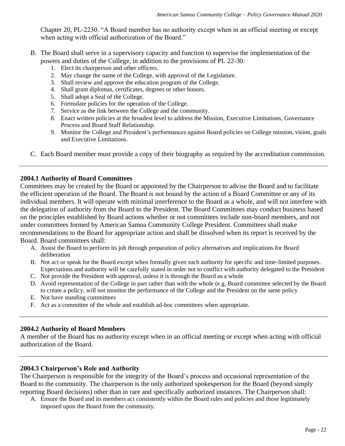Chapter 20, PL-2230. "A Board member has no authority except when in an official meeting or except when acting with official authorization of the Board."

- B. The Board shall serve in a supervisory capacity and function to supervise the implementation of the powers and duties of the College, in addition to the provisions of PL 22-30:
	- 1. Elect its chairperson and other officers.
	- 2. May change the name of the College, with approval of the Legislature.
	- 3. Shall review and approve the education program of the College.
	- 4. Shall grant diplomas, certificates, degrees or other honors.
	- 5. Shall adopt a Seal of the College.
	- 6. Formulate policies for the operation of the College.
	- 7. Service as the link between the College and the community.
	- 8. Enact written policies at the broadest level to address the Mission, Executive Limitations, Governance Process and Board Staff Relationship.
	- 9. Monitor the College and President's performances against Board policies on College mission, vision, goals and Executive Limitations.
- C. Each Board member must provide a copy of their biography as required by the accreditation commission.

## **2004.1 Authority of Board Committees**

Committees may be created by the Board or appointed by the Chairperson to advise the Board and to facilitate the efficient operation of the Board. The Board is not bound by the action of a Board Committee or any of its individual members. It will operate with minimal interference to the Board as a whole, and will not interfere with the delegation of authority from the Board to the President. The Board Committees may conduct business based on the principles established by Board actions whether or not committees include non-board members, and not under committees formed by American Samoa Community College President. Committees shall make recommendations to the Board for appropriate action and shall be dissolved when its report is received by the Board. Board committees shall:

- A. Assist the Board to perform its job through preparation of policy alternatives and implications for Board deliberation
- B. Not act or speak for the Board except when formally given such authority for specific and time-limited purposes. Expectations and authority will be carefully stated in order not to conflict with authority delegated to the President
- C. Not provide the President with approval, unless it is through the Board as a whole
- D. Avoid representation of the College in part rather than with the whole (e.g. Board committee selected by the Board to create a policy, will not monitor the performance of the College and the President on the same policy
- E. Not have standing committees
- F. Act as a committee of the whole and establish ad-hoc committees when appropriate.

## **2004.2 Authority of Board Members**

A member of the Board has no authority except when in an official meeting or except when acting with official authorization of the Board.

## **2004.3 Chairperson's Role and Authority**

The Chairperson is responsible for the integrity of the Board's process and occasional representation of the Board to the community. The chairperson is the only authorized spokesperson for the Board (beyond simply reporting Board decisions) other than in rare and specifically authorized instances. The Chairperson shall:

A. Ensure the Board and its members act consistently within the Board rules and policies and those legitimately imposed upon the Board from the community.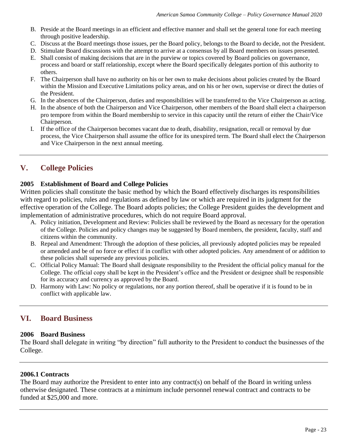- B. Preside at the Board meetings in an efficient and effective manner and shall set the general tone for each meeting through positive leadership.
- C. Discuss at the Board meetings those issues, per the Board policy, belongs to the Board to decide, not the President.
- D. Stimulate Board discussions with the attempt to arrive at a consensus by all Board members on issues presented.
- E. Shall consist of making decisions that are in the purview or topics covered by Board policies on governance, process and board or staff relationship, except where the Board specifically delegates portion of this authority to others.
- F. The Chairperson shall have no authority on his or her own to make decisions about policies created by the Board within the Mission and Executive Limitations policy areas, and on his or her own, supervise or direct the duties of the President.
- G. In the absences of the Chairperson, duties and responsibilities will be transferred to the Vice Chairperson as acting.
- H. In the absence of both the Chairperson and Vice Chairperson, other members of the Board shall elect a chairperson pro tempore from within the Board membership to service in this capacity until the return of either the Chair/Vice Chairperson.
- I. If the office of the Chairperson becomes vacant due to death, disability, resignation, recall or removal by due process, the Vice Chairperson shall assume the office for its unexpired term. The Board shall elect the Chairperson and Vice Chairperson in the next annual meeting.

# **V. College Policies**

## **2005 Establishment of Board and College Policies**

Written policies shall constitute the basic method by which the Board effectively discharges its responsibilities with regard to policies, rules and regulations as defined by law or which are required in its judgment for the effective operation of the College. The Board adopts policies; the College President guides the development and implementation of administrative procedures, which do not require Board approval.

- A. Policy initiation, Development and Review: Policies shall be reviewed by the Board as necessary for the operation of the College. Policies and policy changes may be suggested by Board members, the president, faculty, staff and citizens within the community.
- B. Repeal and Amendment: Through the adoption of these policies, all previously adopted policies may be repealed or amended and be of no force or effect if in conflict with other adopted policies. Any amendment of or addition to these policies shall supersede any previous policies.
- C. Official Policy Manual: The Board shall designate responsibility to the President the official policy manual for the College. The official copy shall be kept in the President's office and the President or designee shall be responsible for its accuracy and currency as approved by the Board.
- D. Harmony with Law: No policy or regulations, nor any portion thereof, shall be operative if it is found to be in conflict with applicable law.

# **VI. Board Business**

## **2006 Board Business**

The Board shall delegate in writing "by direction" full authority to the President to conduct the businesses of the College.

## **2006.1 Contracts**

The Board may authorize the President to enter into any contract(s) on behalf of the Board in writing unless otherwise designated. These contracts at a minimum include personnel renewal contract and contracts to be funded at \$25,000 and more.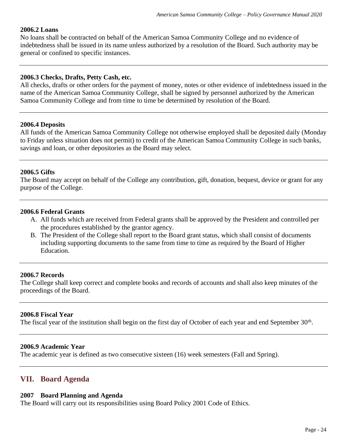## **2006.2 Loans**

No loans shall be contracted on behalf of the American Samoa Community College and no evidence of indebtedness shall be issued in its name unless authorized by a resolution of the Board. Such authority may be general or confined to specific instances.

## **2006.3 Checks, Drafts, Petty Cash, etc.**

All checks, drafts or other orders for the payment of money, notes or other evidence of indebtedness issued in the name of the American Samoa Community College, shall be signed by personnel authorized by the American Samoa Community College and from time to time be determined by resolution of the Board.

## **2006.4 Deposits**

All funds of the American Samoa Community College not otherwise employed shall be deposited daily (Monday to Friday unless situation does not permit) to credit of the American Samoa Community College in such banks, savings and loan, or other depositories as the Board may select.

## **2006.5 Gifts**

The Board may accept on behalf of the College any contribution, gift, donation, bequest, device or grant for any purpose of the College.

#### **2006.6 Federal Grants**

- A. All funds which are received from Federal grants shall be approved by the President and controlled per the procedures established by the grantor agency.
- B. The President of the College shall report to the Board grant status, which shall consist of documents including supporting documents to the same from time to time as required by the Board of Higher Education.

## **2006.7 Records**

The College shall keep correct and complete books and records of accounts and shall also keep minutes of the proceedings of the Board.

## **2006.8 Fiscal Year**

The fiscal year of the institution shall begin on the first day of October of each year and end September 30<sup>th</sup>.

#### **2006.9 Academic Year**

The academic year is defined as two consecutive sixteen (16) week semesters (Fall and Spring).

## **VII. Board Agenda**

#### **2007 Board Planning and Agenda**

The Board will carry out its responsibilities using Board Policy 2001 Code of Ethics.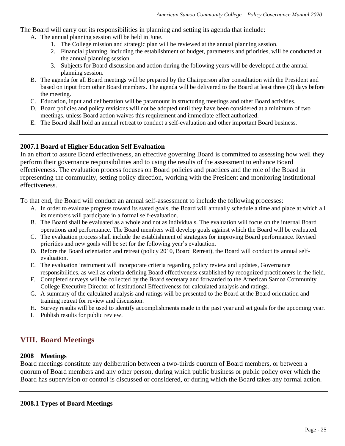The Board will carry out its responsibilities in planning and setting its agenda that include:

- A. The annual planning session will be held in June.
	- 1. The College mission and strategic plan will be reviewed at the annual planning session.
	- 2. Financial planning, including the establishment of budget, parameters and priorities, will be conducted at the annual planning session.
	- 3. Subjects for Board discussion and action during the following years will be developed at the annual planning session.
- B. The agenda for all Board meetings will be prepared by the Chairperson after consultation with the President and based on input from other Board members. The agenda will be delivered to the Board at least three (3) days before the meeting.
- C. Education, input and deliberation will be paramount in structuring meetings and other Board activities.
- D. Board policies and policy revisions will not be adopted until they have been considered at a minimum of two meetings, unless Board action waives this requirement and immediate effect authorized.
- E. The Board shall hold an annual retreat to conduct a self-evaluation and other important Board business.

## **2007.1 Board of Higher Education Self Evaluation**

In an effort to assure Board effectiveness, an effective governing Board is committed to assessing how well they perform their governance responsibilities and to using the results of the assessment to enhance Board effectiveness. The evaluation process focuses on Board policies and practices and the role of the Board in representing the community, setting policy direction, working with the President and monitoring institutional effectiveness.

To that end, the Board will conduct an annual self-assessment to include the following processes:

- A. In order to evaluate progress toward its stated goals, the Board will annually schedule a time and place at which all its members will participate in a formal self-evaluation.
- B. The Board shall be evaluated as a whole and not as individuals. The evaluation will focus on the internal Board operations and performance. The Board members will develop goals against which the Board will be evaluated.
- C. The evaluation process shall include the establishment of strategies for improving Board performance. Revised priorities and new goals will be set for the following year's evaluation.
- D. Before the Board orientation and retreat (policy 2010, Board Retreat), the Board will conduct its annual selfevaluation.
- E. The evaluation instrument will incorporate criteria regarding policy review and updates, Governance responsibilities, as well as criteria defining Board effectiveness established by recognized practitioners in the field.
- F. Completed surveys will be collected by the Board secretary and forwarded to the American Samoa Community College Executive Director of Institutional Effectiveness for calculated analysis and ratings.
- G. A summary of the calculated analysis and ratings will be presented to the Board at the Board orientation and training retreat for review and discussion.
- H. Survey results will be used to identify accomplishments made in the past year and set goals for the upcoming year.
- I. Publish results for public review.

# **VIII. Board Meetings**

## **2008 Meetings**

Board meetings constitute any deliberation between a two-thirds quorum of Board members, or between a quorum of Board members and any other person, during which public business or public policy over which the Board has supervision or control is discussed or considered, or during which the Board takes any formal action.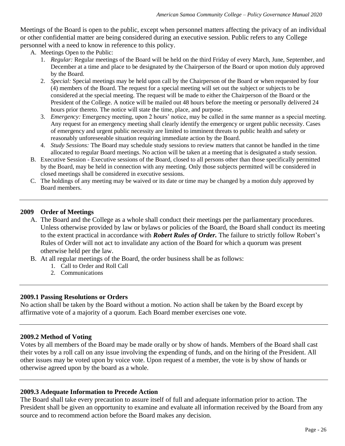Meetings of the Board is open to the public, except when personnel matters affecting the privacy of an individual or other confidential matter are being considered during an executive session. Public refers to any College personnel with a need to know in reference to this policy.

- A. Meetings Open to the Public:
	- 1. *Regular:* Regular meetings of the Board will be held on the third Friday of every March, June, September, and December at a time and place to be designated by the Chairperson of the Board or upon motion duly approved by the Board.
	- 2. *Special:* Special meetings may be held upon call by the Chairperson of the Board or when requested by four (4) members of the Board. The request for a special meeting will set out the subject or subjects to be considered at the special meeting. The request will be made to either the Chairperson of the Board or the President of the College. A notice will be mailed out 48 hours before the meeting or personally delivered 24 hours prior thereto. The notice will state the time, place, and purpose.
	- 3. *Emergency:* Emergency meeting, upon 2 hours' notice, may be called in the same manner as a special meeting. Any request for an emergency meeting shall clearly identify the emergency or urgent public necessity. Cases of emergency and urgent public necessity are limited to imminent threats to public health and safety or reasonably unforeseeable situation requiring immediate action by the Board.
	- 4. *Study Sessions:* The Board may schedule study sessions to review matters that cannot be handled in the time allocated to regular Board meetings. No action will be taken at a meeting that is designated a study session.
- B. Executive Session Executive sessions of the Board, closed to all persons other than those specifically permitted by the Board, may be held in connection with any meeting. Only those subjects permitted will be considered in closed meetings shall be considered in executive sessions.
- C. The holdings of any meeting may be waived or its date or time may be changed by a motion duly approved by Board members.

## **2009 Order of Meetings**

- A. The Board and the College as a whole shall conduct their meetings per the parliamentary procedures. Unless otherwise provided by law or bylaws or policies of the Board, the Board shall conduct its meeting to the extent practical in accordance with *Robert Rules of Order.* The failure to strictly follow Robert's Rules of Order will not act to invalidate any action of the Board for which a quorum was present otherwise held per the law.
- B. At all regular meetings of the Board, the order business shall be as follows:
	- 1. Call to Order and Roll Call
	- 2. Communications

## **2009.1 Passing Resolutions or Orders**

No action shall be taken by the Board without a motion. No action shall be taken by the Board except by affirmative vote of a majority of a quorum. Each Board member exercises one vote.

## **2009.2 Method of Voting**

Votes by all members of the Board may be made orally or by show of hands. Members of the Board shall cast their votes by a roll call on any issue involving the expending of funds, and on the hiring of the President. All other issues may be voted upon by voice vote. Upon request of a member, the vote is by show of hands or otherwise agreed upon by the board as a whole.

## **2009.3 Adequate Information to Precede Action**

The Board shall take every precaution to assure itself of full and adequate information prior to action. The President shall be given an opportunity to examine and evaluate all information received by the Board from any source and to recommend action before the Board makes any decision.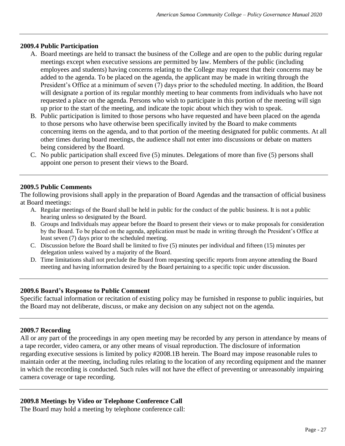#### **2009.4 Public Participation**

- A. Board meetings are held to transact the business of the College and are open to the public during regular meetings except when executive sessions are permitted by law. Members of the public (including employees and students) having concerns relating to the College may request that their concerns may be added to the agenda. To be placed on the agenda, the applicant may be made in writing through the President's Office at a minimum of seven (7) days prior to the scheduled meeting. In addition, the Board will designate a portion of its regular monthly meeting to hear comments from individuals who have not requested a place on the agenda. Persons who wish to participate in this portion of the meeting will sign up prior to the start of the meeting, and indicate the topic about which they wish to speak.
- B. Public participation is limited to those persons who have requested and have been placed on the agenda to those persons who have otherwise been specifically invited by the Board to make comments concerning items on the agenda, and to that portion of the meeting designated for public comments. At all other times during board meetings, the audience shall not enter into discussions or debate on matters being considered by the Board.
- C. No public participation shall exceed five (5) minutes. Delegations of more than five (5) persons shall appoint one person to present their views to the Board.

#### **2009.5 Public Comments**

The following provisions shall apply in the preparation of Board Agendas and the transaction of official business at Board meetings:

- A. Regular meetings of the Board shall be held in public for the conduct of the public business. It is not a public hearing unless so designated by the Board.
- B. Groups and Individuals may appear before the Board to present their views or to make proposals for consideration by the Board. To be placed on the agenda, application must be made in writing through the President's Office at least seven (7) days prior to the scheduled meeting.
- C. Discussion before the Board shall be limited to five (5) minutes per individual and fifteen (15) minutes per delegation unless waived by a majority of the Board.
- D. Time limitations shall not preclude the Board from requesting specific reports from anyone attending the Board meeting and having information desired by the Board pertaining to a specific topic under discussion.

#### **2009.6 Board's Response to Public Comment**

Specific factual information or recitation of existing policy may be furnished in response to public inquiries, but the Board may not deliberate, discuss, or make any decision on any subject not on the agenda.

#### **2009.7 Recording**

All or any part of the proceedings in any open meeting may be recorded by any person in attendance by means of a tape recorder, video camera, or any other means of visual reproduction. The disclosure of information regarding executive sessions is limited by policy #2008.1B herein. The Board may impose reasonable rules to maintain order at the meeting, including rules relating to the location of any recording equipment and the manner in which the recording is conducted. Such rules will not have the effect of preventing or unreasonably impairing camera coverage or tape recording.

## **2009.8 Meetings by Video or Telephone Conference Call**

The Board may hold a meeting by telephone conference call: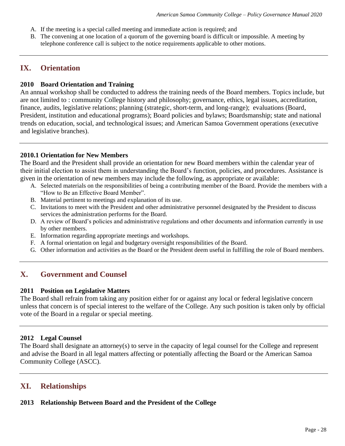- A. If the meeting is a special called meeting and immediate action is required; and
- B. The convening at one location of a quorum of the governing board is difficult or impossible. A meeting by telephone conference call is subject to the notice requirements applicable to other motions.

## **IX. Orientation**

## **2010 Board Orientation and Training**

An annual workshop shall be conducted to address the training needs of the Board members. Topics include, but are not limited to : community College history and philosophy; governance, ethics, legal issues, accreditation, finance, audits, legislative relations; planning (strategic, short-term, and long-range); evaluations (Board, President, institution and educational programs); Board policies and bylaws; Boardsmanship; state and national trends on education, social, and technological issues; and American Samoa Government operations (executive and legislative branches).

## **2010.1 Orientation for New Members**

The Board and the President shall provide an orientation for new Board members within the calendar year of their initial election to assist them in understanding the Board's function, policies, and procedures. Assistance is given in the orientation of new members may include the following, as appropriate or available:

- A. Selected materials on the responsibilities of being a contributing member of the Board. Provide the members with a "How to Be an Effective Board Member".
- B. Material pertinent to meetings and explanation of its use.
- C. Invitations to meet with the President and other administrative personnel designated by the President to discuss services the administration performs for the Board.
- D. A review of Board's policies and administrative regulations and other documents and information currently in use by other members.
- E. Information regarding appropriate meetings and workshops.
- F. A formal orientation on legal and budgetary oversight responsibilities of the Board.
- G. Other information and activities as the Board or the President deem useful in fulfilling the role of Board members.

# **X. Government and Counsel**

## **2011 Position on Legislative Matters**

The Board shall refrain from taking any position either for or against any local or federal legislative concern unless that concern is of special interest to the welfare of the College. Any such position is taken only by official vote of the Board in a regular or special meeting.

## **2012 Legal Counsel**

The Board shall designate an attorney(s) to serve in the capacity of legal counsel for the College and represent and advise the Board in all legal matters affecting or potentially affecting the Board or the American Samoa Community College (ASCC).

# **XI. Relationships**

## **2013 Relationship Between Board and the President of the College**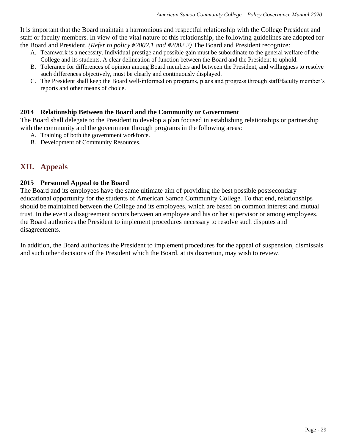It is important that the Board maintain a harmonious and respectful relationship with the College President and staff or faculty members. In view of the vital nature of this relationship, the following guidelines are adopted for the Board and President. *(Refer to policy #2002.1 and #2002.2)* The Board and President recognize:

- A. Teamwork is a necessity. Individual prestige and possible gain must be subordinate to the general welfare of the College and its students. A clear delineation of function between the Board and the President to uphold.
- B. Tolerance for differences of opinion among Board members and between the President, and willingness to resolve such differences objectively, must be clearly and continuously displayed.
- C. The President shall keep the Board well-informed on programs, plans and progress through staff/faculty member's reports and other means of choice.

## **2014 Relationship Between the Board and the Community or Government**

The Board shall delegate to the President to develop a plan focused in establishing relationships or partnership with the community and the government through programs in the following areas:

- A. Training of both the government workforce.
- B. Development of Community Resources.

# **XII. Appeals**

## **2015 Personnel Appeal to the Board**

The Board and its employees have the same ultimate aim of providing the best possible postsecondary educational opportunity for the students of American Samoa Community College. To that end, relationships should be maintained between the College and its employees, which are based on common interest and mutual trust. In the event a disagreement occurs between an employee and his or her supervisor or among employees, the Board authorizes the President to implement procedures necessary to resolve such disputes and disagreements.

In addition, the Board authorizes the President to implement procedures for the appeal of suspension, dismissals and such other decisions of the President which the Board, at its discretion, may wish to review.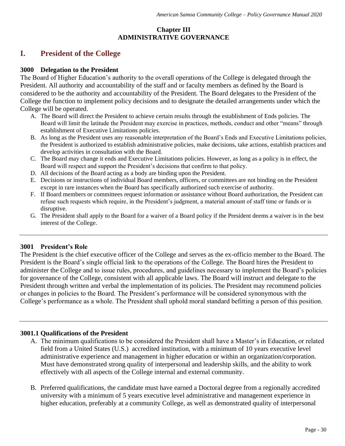## **Chapter III ADMINISTRATIVE GOVERNANCE**

# **I. President of the College**

## **3000 Delegation to the President**

The Board of Higher Education's authority to the overall operations of the College is delegated through the President. All authority and accountability of the staff and or faculty members as defined by the Board is considered to be the authority and accountability of the President. The Board delegates to the President of the College the function to implement policy decisions and to designate the detailed arrangements under which the College will be operated.

- A. The Board will direct the President to achieve certain results through the establishment of Ends policies. The Board will limit the latitude the President may exercise in practices, methods, conduct and other "means" through establishment of Executive Limitations policies.
- B. As long as the President uses any reasonable interpretation of the Board's Ends and Executive Limitations policies, the President is authorized to establish administrative policies, make decisions, take actions, establish practices and develop activities in consultation with the Board.
- C. The Board may change it ends and Executive Limitations policies. However, as long as a policy is in effect, the Board will respect and support the President's decisions that confirm to that policy.
- D. All decisions of the Board acting as a body are binding upon the President.
- E. Decisions or instructions of individual Board members, officers, or committees are not binding on the President except in rare instances when the Board has specifically authorized such exercise of authority.
- F. If Board members or committees request information or assistance without Board authorization, the President can refuse such requests which require, in the President's judgment, a material amount of staff time or funds or is disruptive.
- G. The President shall apply to the Board for a waiver of a Board policy if the President deems a waiver is in the best interest of the College.

## **3001 President's Role**

The President is the chief executive officer of the College and serves as the ex-officio member to the Board. The President is the Board's single official link to the operations of the College. The Board hires the President to administer the College and to issue rules, procedures, and guidelines necessary to implement the Board's policies for governance of the College, consistent with all applicable laws. The Board will instruct and delegate to the President through written and verbal the implementation of its policies. The President may recommend policies or changes in policies to the Board. The President's performance will be considered synonymous with the College's performance as a whole. The President shall uphold moral standard befitting a person of this position.

## **3001.1 Qualifications of the President**

- A. The minimum qualifications to be considered the President shall have a Master's in Education, or related field from a United States (U.S.) accredited institution, with a minimum of 10 years executive level administrative experience and management in higher education or within an organization/corporation. Must have demonstrated strong quality of interpersonal and leadership skills, and the ability to work effectively with all aspects of the College internal and external community.
- B. Preferred qualifications, the candidate must have earned a Doctoral degree from a regionally accredited university with a minimum of 5 years executive level administrative and management experience in higher education, preferably at a community College, as well as demonstrated quality of interpersonal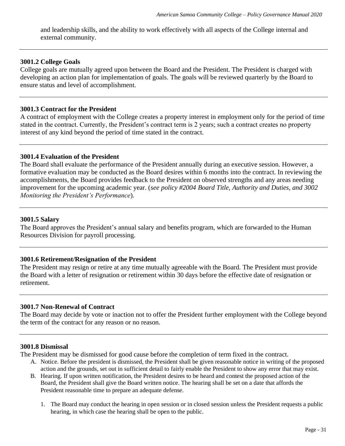and leadership skills, and the ability to work effectively with all aspects of the College internal and external community.

#### **3001.2 College Goals**

College goals are mutually agreed upon between the Board and the President. The President is charged with developing an action plan for implementation of goals. The goals will be reviewed quarterly by the Board to ensure status and level of accomplishment.

#### **3001.3 Contract for the President**

A contract of employment with the College creates a property interest in employment only for the period of time stated in the contract. Currently, the President's contract term is 2 years; such a contract creates no property interest of any kind beyond the period of time stated in the contract.

## **3001.4 Evaluation of the President**

The Board shall evaluate the performance of the President annually during an executive session. However, a formative evaluation may be conducted as the Board desires within 6 months into the contract. In reviewing the accomplishments, the Board provides feedback to the President on observed strengths and any areas needing improvement for the upcoming academic year. (*see policy #2004 Board Title, Authority and Duties, and 3002 Monitoring the President's Performance*).

## **3001.5 Salary**

The Board approves the President's annual salary and benefits program, which are forwarded to the Human Resources Division for payroll processing.

## **3001.6 Retirement/Resignation of the President**

The President may resign or retire at any time mutually agreeable with the Board. The President must provide the Board with a letter of resignation or retirement within 30 days before the effective date of resignation or retirement.

## **3001.7 Non-Renewal of Contract**

The Board may decide by vote or inaction not to offer the President further employment with the College beyond the term of the contract for any reason or no reason.

#### **3001.8 Dismissal**

The President may be dismissed for good cause before the completion of term fixed in the contract.

- A. Notice. Before the president is dismissed, the President shall be given reasonable notice in writing of the proposed action and the grounds, set out in sufficient detail to fairly enable the President to show any error that may exist.
- B. Hearing. If upon written notification, the President desires to be heard and contest the proposed action of the Board, the President shall give the Board written notice. The hearing shall be set on a date that affords the President reasonable time to prepare an adequate defense.
	- 1. The Board may conduct the hearing in open session or in closed session unless the President requests a public hearing, in which case the hearing shall be open to the public.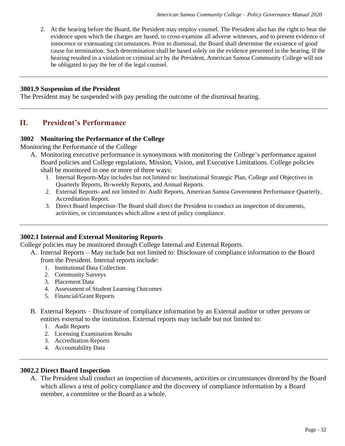2. At the hearing before the Board, the President may employ counsel. The President also has the right to hear the evidence upon which the charges are based, to cross-examine all adverse witnesses, and to present evidence of innocence or extenuating circumstances. Prior to dismissal, the Board shall determine the existence of good cause for termination. Such determination shall be based solely on the evidence presented in the hearing. If the hearing resulted in a violation or criminal act by the President, American Samoa Community College will not be obligated to pay the fee of the legal counsel.

#### **3001.9 Suspension of the President**

The President may be suspended with pay pending the outcome of the dismissal hearing.

## **II. President's Performance**

#### **3002 Monitoring the Performance of the College**

Monitoring the Performance of the College

- A. Monitoring executive performance is synonymous with monitoring the College's performance against Board policies and College regulations, Mission, Vision, and Executive Limitations. College policies shall be monitored in one or more of three ways:
	- 1. Internal Reports-May includes but not limited to: Institutional Strategic Plan, College and Objectives in Quarterly Reports, Bi-weekly Reports, and Annual Reports.
	- 2. External Reports- and not limited to: Audit Reports, American Samoa Government Performance Quarterly, Accreditation Report.
	- 3. Direct Board Inspection-The Board shall direct the President to conduct an inspection of documents, activities, or circumstances which allow a test of policy compliance.

## **3002.1 Internal and External Monitoring Reports**

College policies may be monitored through College Internal and External Reports.

- A. Internal Reports May include but not limited to: Disclosure of compliance information to the Board
	- from the President. Internal reports include:
		- 1. Institutional Data Collection
		- 2. Community Surveys
		- 3. Placement Data
		- 4. Assessment of Student Learning Outcomes
		- 5. Financial/Grant Reports
	- B. External Reports Disclosure of compliance information by an External auditor or other persons or entities external to the institution. External reports may include but not limited to:
		- 1. Audit Reports
		- 2. Licensing Examination Results
		- 3. Accreditation Reports
		- 4. Accountability Data

#### **3002.2 Direct Board Inspection**

A. The President shall conduct an inspection of documents, activities or circumstances directed by the Board which allows a test of policy compliance and the discovery of compliance information by a Board member, a committee or the Board as a whole.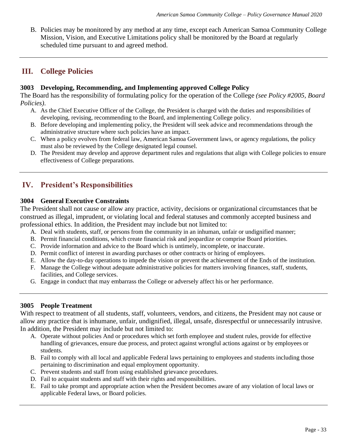B. Policies may be monitored by any method at any time, except each American Samoa Community College Mission, Vision, and Executive Limitations policy shall be monitored by the Board at regularly scheduled time pursuant to and agreed method.

# **III. College Policies**

## **3003 Developing, Recommending, and Implementing approved College Policy**

The Board has the responsibility of formulating policy for the operation of the College *(see Policy #2005, Board Policies)*.

- A. As the Chief Executive Officer of the College, the President is charged with the duties and responsibilities of developing, revising, recommending to the Board, and implementing College policy.
- B. Before developing and implementing policy, the President will seek advice and recommendations through the administrative structure where such policies have an impact.
- C. When a policy evolves from federal law, American Samoa Government laws, or agency regulations, the policy must also be reviewed by the College designated legal counsel.
- D. The President may develop and approve department rules and regulations that align with College policies to ensure effectiveness of College preparations.

# **IV. President's Responsibilities**

## **3004 General Executive Constraints**

The President shall not cause or allow any practice, activity, decisions or organizational circumstances that be construed as illegal, imprudent, or violating local and federal statuses and commonly accepted business and professional ethics. In addition, the President may include but not limited to:

- A. Deal with students, staff, or persons from the community in an inhuman, unfair or undignified manner;
- B. Permit financial conditions, which create financial risk and jeopardize or comprise Board priorities.
- C. Provide information and advice to the Board which is untimely, incomplete, or inaccurate.
- D. Permit conflict of interest in awarding purchases or other contracts or hiring of employees.
- E. Allow the day-to-day operations to impede the vision or prevent the achievement of the Ends of the institution.
- F. Manage the College without adequate administrative policies for matters involving finances, staff, students, facilities, and College services.
- G. Engage in conduct that may embarrass the College or adversely affect his or her performance.

## **3005 People Treatment**

With respect to treatment of all students, staff, volunteers, vendors, and citizens, the President may not cause or allow any practice that is inhumane, unfair, undignified, illegal, unsafe, disrespectful or unnecessarily intrusive. In addition, the President may include but not limited to:

- A. Operate without policies And or procedures which set forth employee and student rules, provide for effective handling of grievances, ensure due process, and protect against wrongful actions against or by employees or students.
- B. Fail to comply with all local and applicable Federal laws pertaining to employees and students including those pertaining to discrimination and equal employment opportunity.
- C. Prevent students and staff from using established grievance procedures.
- D. Fail to acquaint students and staff with their rights and responsibilities.
- E. Fail to take prompt and appropriate action when the President becomes aware of any violation of local laws or applicable Federal laws, or Board policies.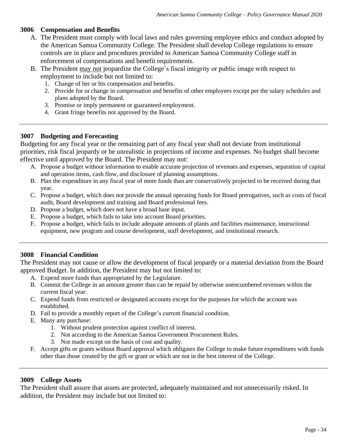## **3006 Compensation and Benefits**

- A. The President must comply with local laws and rules governing employee ethics and conduct adopted by the American Samoa Community College. The President shall develop College regulations to ensure controls are in place and procedures provided to American Samoa Community College staff in enforcement of compensations and benefit requirements.
- B. The President may not jeopardize the College's fiscal integrity or public image with respect to employment to include but not limited to:
	- 1. Change of her or his compensation and benefits.
	- 2. Provide for or change in compensation and benefits of other employees except per the salary schedules and plans adopted by the Board.
	- 3. Promise or imply permanent or guaranteed employment.
	- 4. Grant fringe benefits not approved by the Board.

## **3007 Budgeting and Forecasting**

Budgeting for any fiscal year or the remaining part of any fiscal year shall not deviate from institutional priorities, risk fiscal jeopardy or be unrealistic in projections of income and expenses. No budget shall become effective until approved by the Board. The President may not:

- A. Propose a budget without information to enable accurate projection of revenues and expenses, separation of capital and operation items, cash flow, and disclosure of planning assumptions.
- B. Plan the expenditure in any fiscal year of more funds than are conservatively projected to be received during that year.
- C. Propose a budget, which does not provide the annual operating funds for Board prerogatives, such as costs of fiscal audit, Board development and training and Board professional fees.
- D. Propose a budget, which does not have a broad base input.
- E. Propose a budget, which fails to take into account Board priorities.
- F. Propose a budget, which fails to include adequate amounts of plants and facilities maintenance, instructional equipment, new program and course development, staff development, and institutional research.

## **3008 Financial Condition**

The President may not cause or allow the development of fiscal jeopardy or a material deviation from the Board approved Budget. In addition, the President may but not limited to:

- A. Expend more funds than appropriated by the Legislature.
- B. Commit the College in an amount greater than can be repaid by otherwise unencumbered revenues within the current fiscal year.
- C. Expend funds from restricted or designated accounts except for the purposes for which the account was established.
- D. Fail to provide a monthly report of the College's current financial condition.
- E. Many any purchase:
	- 1. Without prudent protection against conflict of interest.
	- 2. Not according to the American Samoa Government Procurement Rules.
	- 3. Not made except on the basis of cost and quality.
- F. Accept gifts or grants without Board approval which obligates the College to make future expenditures with funds other than those created by the gift or grant or which are not in the best interest of the College.

## **3009 College Assets**

The President shall assure that assets are protected, adequately maintained and not unnecessarily risked. In addition, the President may include but not limited to: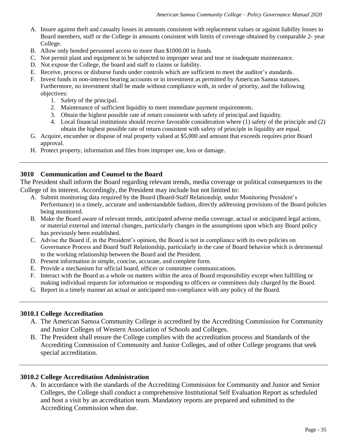- A. Insure against theft and casualty losses in amounts consistent with replacement values or against liability losses to Board members, staff or the College in amounts consistent with limits of coverage obtained by comparable 2- year College.
- B. Allow only bonded personnel access to more than \$1000.00 in funds.
- C. Not permit plant and equipment to be subjected to improper wear and tear or inadequate maintenance.
- D. Not expose the College, the board and staff to claims or liability.
- E. Receive, process or disburse funds under controls which are sufficient to meet the auditor's standards.
- F. Invest funds in non-interest bearing accounts or in investment as permitted by American Samoa statuses. Furthermore, no investment shall be made without compliance with, in order of priority, and the following objectives:
	- 1. Safety of the principal.
	- 2. Maintenance of sufficient liquidity to meet immediate payment requirements.
	- 3. Obtain the highest possible rate of return consistent with safety of principal and liquidity.
	- 4. Local financial institutions should receive favorable consideration where (1) safety of the principle and (2) obtain the highest possible rate of return consistent with safety of principle in liquidity are equal.
- G. Acquire, encumber or dispose of real property valued at \$5,000 and amount that exceeds requires prior Board approval.
- H. Protect property, information and files from improper use, loss or damage.

## **3010 Communication and Counsel to the Board**

The President shall inform the Board regarding relevant trends, media coverage or political consequences to the College of its interest. Accordingly, the President may include but not limited to:

- A. Submit monitoring data required by the Board (Board-Staff Relationship, under Monitoring President's Performance) in a timely, accurate and understandable fashion, directly addressing provisions of the Board policies being monitored.
- B. Make the Board aware of relevant trends, anticipated adverse media coverage, actual or anticipated legal actions, or material external and internal changes, particularly changes in the assumptions upon which any Board policy has previously been established.
- C. Advise the Board if, in the President's opinion, the Board is not in compliance with its own policies on Governance Process and Board Staff Relationship, particularly in the case of Board behavior which is detrimental to the working relationship between the Board and the President.
- D. Present information in simple, concise, accurate, and complete form.
- E. Provide a mechanism for official board, officer or committee communications.
- F. Interact with the Board as a whole on matters within the area of Board responsibility except when fulfilling or making individual requests for information or responding to officers or committees duly charged by the Board.
- G. Report in a timely manner an actual or anticipated non-compliance with any policy of the Board.

## **3010.1 College Accreditation**

- A. The American Samoa Community College is accredited by the Accrediting Commission for Community and Junior Colleges of Western Association of Schools and Colleges.
- B. The President shall ensure the College complies with the accreditation process and Standards of the Accrediting Commission of Community and Junior Colleges, and of other College programs that seek special accreditation.

## **3010.2 College Accreditation Administration**

A. In accordance with the standards of the Accrediting Commission for Community and Junior and Senior Colleges, the College shall conduct a comprehensive Institutional Self Evaluation Report as scheduled and host a visit by an accreditation team. Mandatory reports are prepared and submitted to the Accrediting Commission when due.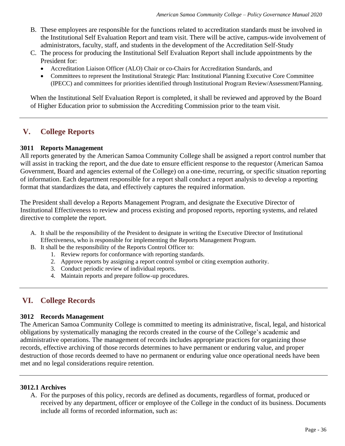- B. These employees are responsible for the functions related to accreditation standards must be involved in the Institutional Self Evaluation Report and team visit. There will be active, campus-wide involvement of administrators, faculty, staff, and students in the development of the Accreditation Self-Study
- C. The process for producing the Institutional Self Evaluation Report shall include appointments by the President for:
	- Accreditation Liaison Officer (ALO) Chair or co-Chairs for Accreditation Standards, and
	- Committees to represent the Institutional Strategic Plan: Institutional Planning Executive Core Committee (IPECC) and committees for priorities identified through Institutional Program Review/Assessment/Planning.

When the Institutional Self Evaluation Report is completed, it shall be reviewed and approved by the Board of Higher Education prior to submission the Accrediting Commission prior to the team visit.

# **V. College Reports**

#### **3011 Reports Management**

All reports generated by the American Samoa Community College shall be assigned a report control number that will assist in tracking the report, and the due date to ensure efficient response to the requestor (American Samoa Government, Board and agencies external of the College) on a one-time, recurring, or specific situation reporting of information. Each department responsible for a report shall conduct a report analysis to develop a reporting format that standardizes the data, and effectively captures the required information.

The President shall develop a Reports Management Program, and designate the Executive Director of Institutional Effectiveness to review and process existing and proposed reports, reporting systems, and related directive to complete the report.

- A. It shall be the responsibility of the President to designate in writing the Executive Director of Institutional Effectiveness, who is responsible for implementing the Reports Management Program.
- B. It shall be the responsibility of the Reports Control Officer to:
	- 1. Review reports for conformance with reporting standards.
	- 2. Approve reports by assigning a report control symbol or citing exemption authority.
	- 3. Conduct periodic review of individual reports.
	- 4. Maintain reports and prepare follow-up procedures.

# **VI. College Records**

#### **3012 Records Management**

The American Samoa Community College is committed to meeting its administrative, fiscal, legal, and historical obligations by systematically managing the records created in the course of the College's academic and administrative operations. The management of records includes appropriate practices for organizing those records, effective archiving of those records determines to have permanent or enduring value, and proper destruction of those records deemed to have no permanent or enduring value once operational needs have been met and no legal considerations require retention.

#### **3012.1 Archives**

A. For the purposes of this policy, records are defined as documents, regardless of format, produced or received by any department, officer or employee of the College in the conduct of its business. Documents include all forms of recorded information, such as: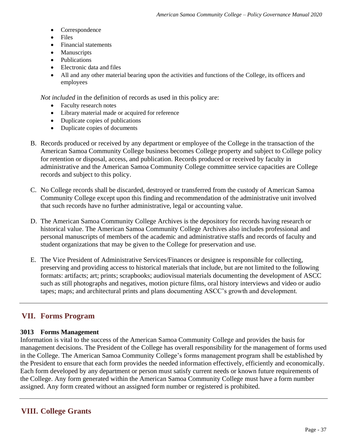- **Correspondence**
- Files
- Financial statements
- Manuscripts
- Publications
- Electronic data and files
- All and any other material bearing upon the activities and functions of the College, its officers and employees

*Not included* in the definition of records as used in this policy are:

- Faculty research notes
- Library material made or acquired for reference
- Duplicate copies of publications
- Duplicate copies of documents
- B. Records produced or received by any department or employee of the College in the transaction of the American Samoa Community College business becomes College property and subject to College policy for retention or disposal, access, and publication. Records produced or received by faculty in administrative and the American Samoa Community College committee service capacities are College records and subject to this policy.
- C. No College records shall be discarded, destroyed or transferred from the custody of American Samoa Community College except upon this finding and recommendation of the administrative unit involved that such records have no further administrative, legal or accounting value.
- D. The American Samoa Community College Archives is the depository for records having research or historical value. The American Samoa Community College Archives also includes professional and personal manuscripts of members of the academic and administrative staffs and records of faculty and student organizations that may be given to the College for preservation and use.
- E. The Vice President of Administrative Services/Finances or designee is responsible for collecting, preserving and providing access to historical materials that include, but are not limited to the following formats: artifacts; art; prints; scrapbooks; audiovisual materials documenting the development of ASCC such as still photographs and negatives, motion picture films, oral history interviews and video or audio tapes; maps; and architectural prints and plans documenting ASCC's growth and development.

# **VII. Forms Program**

# **3013 Forms Management**

Information is vital to the success of the American Samoa Community College and provides the basis for management decisions. The President of the College has overall responsibility for the management of forms used in the College. The American Samoa Community College's forms management program shall be established by the President to ensure that each form provides the needed information effectively, efficiently and economically. Each form developed by any department or person must satisfy current needs or known future requirements of the College. Any form generated within the American Samoa Community College must have a form number assigned. Any form created without an assigned form number or registered is prohibited.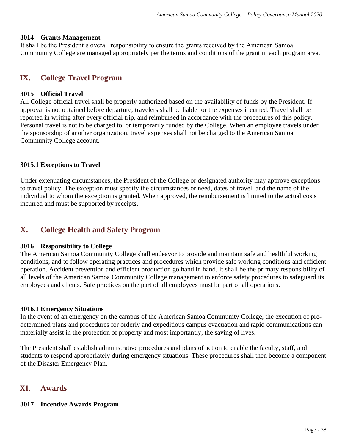#### **3014 Grants Management**

It shall be the President's overall responsibility to ensure the grants received by the American Samoa Community College are managed appropriately per the terms and conditions of the grant in each program area.

# **IX. College Travel Program**

## **3015 Official Travel**

All College official travel shall be properly authorized based on the availability of funds by the President. If approval is not obtained before departure, travelers shall be liable for the expenses incurred. Travel shall be reported in writing after every official trip, and reimbursed in accordance with the procedures of this policy. Personal travel is not to be charged to, or temporarily funded by the College. When an employee travels under the sponsorship of another organization, travel expenses shall not be charged to the American Samoa Community College account.

## **3015.1 Exceptions to Travel**

Under extenuating circumstances, the President of the College or designated authority may approve exceptions to travel policy. The exception must specify the circumstances or need, dates of travel, and the name of the individual to whom the exception is granted. When approved, the reimbursement is limited to the actual costs incurred and must be supported by receipts.

# **X. College Health and Safety Program**

#### **3016 Responsibility to College**

The American Samoa Community College shall endeavor to provide and maintain safe and healthful working conditions, and to follow operating practices and procedures which provide safe working conditions and efficient operation. Accident prevention and efficient production go hand in hand. It shall be the primary responsibility of all levels of the American Samoa Community College management to enforce safety procedures to safeguard its employees and clients. Safe practices on the part of all employees must be part of all operations.

#### **3016.1 Emergency Situations**

In the event of an emergency on the campus of the American Samoa Community College, the execution of predetermined plans and procedures for orderly and expeditious campus evacuation and rapid communications can materially assist in the protection of property and most importantly, the saving of lives.

The President shall establish administrative procedures and plans of action to enable the faculty, staff, and students to respond appropriately during emergency situations. These procedures shall then become a component of the Disaster Emergency Plan.

# **XI. Awards**

# **3017 Incentive Awards Program**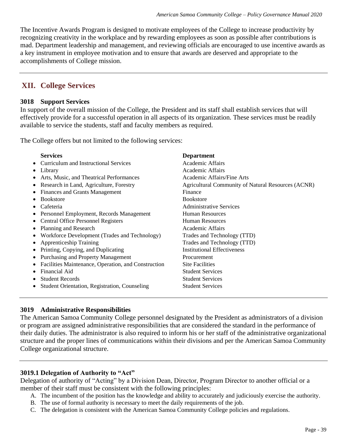The Incentive Awards Program is designed to motivate employees of the College to increase productivity by recognizing creativity in the workplace and by rewarding employees as soon as possible after contributions is mad. Department leadership and management, and reviewing officials are encouraged to use incentive awards as a key instrument in employee motivation and to ensure that awards are deserved and appropriate to the accomplishments of College mission.

# **XII. College Services**

## **3018 Support Services**

In support of the overall mission of the College, the President and its staff shall establish services that will effectively provide for a successful operation in all aspects of its organization. These services must be readily available to service the students, staff and faculty members as required.

The College offers but not limited to the following services:

| <b>Services</b>                                      | <b>Department</b>                                  |
|------------------------------------------------------|----------------------------------------------------|
| Curriculum and Instructional Services<br>$\bullet$   | Academic Affairs                                   |
| Library<br>٠                                         | Academic Affairs                                   |
| Arts, Music, and Theatrical Performances             | Academic Affairs/Fine Arts                         |
| Research in Land, Agriculture, Forestry<br>$\bullet$ | Agricultural Community of Natural Resources (ACNR) |
| <b>Finances and Grants Management</b>                | Finance                                            |
| <b>Bookstore</b>                                     | <b>Bookstore</b>                                   |
| Cafeteria                                            | <b>Administrative Services</b>                     |
| Personnel Employment, Records Management             | <b>Human Resources</b>                             |
| <b>Central Office Personnel Registers</b>            | <b>Human Resources</b>                             |
| Planning and Research<br>٠                           | Academic Affairs                                   |
| Workforce Development (Trades and Technology)<br>٠   | Trades and Technology (TTD)                        |
| <b>Apprenticeship Training</b><br>٠                  | Trades and Technology (TTD)                        |
| Printing, Copying, and Duplicating<br>$\bullet$      | <b>Institutional Effectiveness</b>                 |
| Purchasing and Property Management<br>$\bullet$      | Procurement                                        |
| Facilities Maintenance, Operation, and Construction  | <b>Site Facilities</b>                             |
| Financial Aid                                        | <b>Student Services</b>                            |
| <b>Student Records</b>                               | <b>Student Services</b>                            |
| <b>Student Orientation, Registration, Counseling</b> | <b>Student Services</b>                            |

# **3019 Administrative Responsibilities**

The American Samoa Community College personnel designated by the President as administrators of a division or program are assigned administrative responsibilities that are considered the standard in the performance of their daily duties. The administrator is also required to inform his or her staff of the administrative organizational structure and the proper lines of communications within their divisions and per the American Samoa Community College organizational structure.

# **3019.1 Delegation of Authority to "Act"**

Delegation of authority of "Acting" by a Division Dean, Director, Program Director to another official or a member of their staff must be consistent with the following principles:

- A. The incumbent of the position has the knowledge and ability to accurately and judiciously exercise the authority.
- B. The use of formal authority is necessary to meet the daily requirements of the job.
- C. The delegation is consistent with the American Samoa Community College policies and regulations.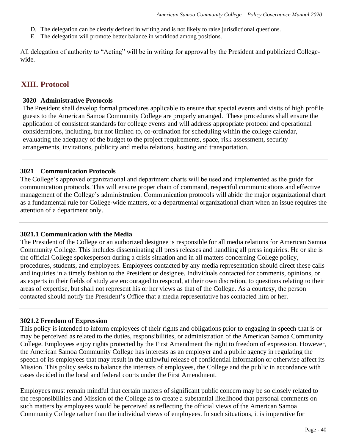- D. The delegation can be clearly defined in writing and is not likely to raise jurisdictional questions.
- E. The delegation will promote better balance in workload among positions.

All delegation of authority to "Acting" will be in writing for approval by the President and publicized Collegewide.

# **XIII. Protocol**

#### **3020 Administrative Protocols**

The President shall develop formal procedures applicable to ensure that special events and visits of high profile guests to the American Samoa Community College are properly arranged. These procedures shall ensure the application of consistent standards for college events and will address appropriate protocol and operational considerations, including, but not limited to, co-ordination for scheduling within the college calendar, evaluating the adequacy of the budget to the project requirements, space, risk assessment, security arrangements, invitations, publicity and media relations, hosting and transportation.

#### **3021 Communication Protocols**

The College's approved organizational and department charts will be used and implemented as the guide for communication protocols. This will ensure proper chain of command, respectful communications and effective management of the College's administration. Communication protocols will abide the major organizational chart as a fundamental rule for College-wide matters, or a departmental organizational chart when an issue requires the attention of a department only.

#### **3021.1 Communication with the Media**

The President of the College or an authorized designee is responsible for all media relations for American Samoa Community College. This includes disseminating all press releases and handling all press inquiries. He or she is the official College spokesperson during a crisis situation and in all matters concerning College policy, procedures, students, and employees. Employees contacted by any media representation should direct these calls and inquiries in a timely fashion to the President or designee. Individuals contacted for comments, opinions, or as experts in their fields of study are encouraged to respond, at their own discretion, to questions relating to their areas of expertise, but shall not represent his or her views as that of the College. As a courtesy, the person contacted should notify the President's Office that a media representative has contacted him or her.

#### **3021.2 Freedom of Expression**

This policy is intended to inform employees of their rights and obligations prior to engaging in speech that is or may be perceived as related to the duties, responsibilities, or administration of the American Samoa Community College. Employees enjoy rights protected by the First Amendment the right to freedom of expression. However, the American Samoa Community College has interests as an employer and a public agency in regulating the speech of its employees that may result in the unlawful release of confidential information or otherwise affect its Mission. This policy seeks to balance the interests of employees, the College and the public in accordance with cases decided in the local and federal courts under the First Amendment.

Employees must remain mindful that certain matters of significant public concern may be so closely related to the responsibilities and Mission of the College as to create a substantial likelihood that personal comments on such matters by employees would be perceived as reflecting the official views of the American Samoa Community College rather than the individual views of employees. In such situations, it is imperative for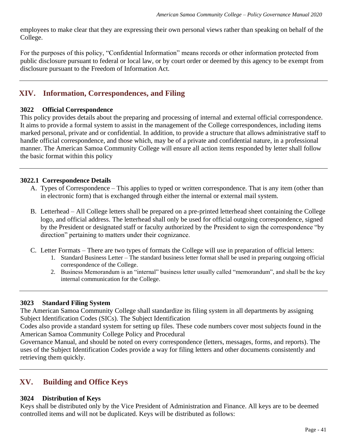employees to make clear that they are expressing their own personal views rather than speaking on behalf of the College.

For the purposes of this policy, "Confidential Information" means records or other information protected from public disclosure pursuant to federal or local law, or by court order or deemed by this agency to be exempt from disclosure pursuant to the Freedom of Information Act.

# **XIV. Information, Correspondences, and Filing**

## **3022 Official Correspondence**

This policy provides details about the preparing and processing of internal and external official correspondence. It aims to provide a formal system to assist in the management of the College correspondences, including items marked personal, private and or confidential. In addition, to provide a structure that allows administrative staff to handle official correspondence, and those which, may be of a private and confidential nature, in a professional manner. The American Samoa Community College will ensure all action items responded by letter shall follow the basic format within this policy

# **3022.1 Correspondence Details**

- A. Types of Correspondence This applies to typed or written correspondence. That is any item (other than in electronic form) that is exchanged through either the internal or external mail system.
- B. Letterhead All College letters shall be prepared on a pre-printed letterhead sheet containing the College logo, and official address. The letterhead shall only be used for official outgoing correspondence, signed by the President or designated staff or faculty authorized by the President to sign the correspondence "by direction" pertaining to matters under their cognizance.
- C. Letter Formats There are two types of formats the College will use in preparation of official letters:
	- 1. Standard Business Letter The standard business letter format shall be used in preparing outgoing official correspondence of the College.
	- 2. Business Memorandum is an "internal" business letter usually called "memorandum", and shall be the key internal communication for the College.

# **3023 Standard Filing System**

The American Samoa Community College shall standardize its filing system in all departments by assigning Subject Identification Codes (SICs). The Subject Identification

Codes also provide a standard system for setting up files. These code numbers cover most subjects found in the American Samoa Community College Policy and Procedural

Governance Manual, and should be noted on every correspondence (letters, messages, forms, and reports). The uses of the Subject Identification Codes provide a way for filing letters and other documents consistently and retrieving them quickly.

# **XV. Building and Office Keys**

# **3024 Distribution of Keys**

Keys shall be distributed only by the Vice President of Administration and Finance. All keys are to be deemed controlled items and will not be duplicated. Keys will be distributed as follows: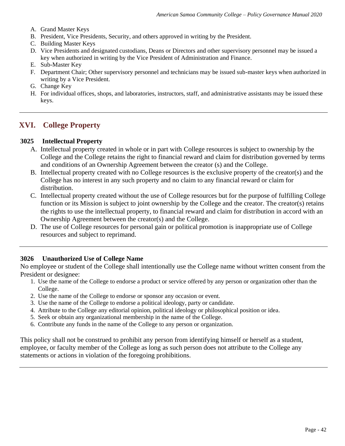- A. Grand Master Keys
- B. President, Vice Presidents, Security, and others approved in writing by the President.
- C. Building Master Keys
- D. Vice Presidents and designated custodians, Deans or Directors and other supervisory personnel may be issued a key when authorized in writing by the Vice President of Administration and Finance.
- E. Sub-Master Key
- F. Department Chair; Other supervisory personnel and technicians may be issued sub-master keys when authorized in writing by a Vice President.
- G. Change Key
- H. For individual offices, shops, and laboratories, instructors, staff, and administrative assistants may be issued these keys.

# **XVI. College Property**

## **3025 Intellectual Property**

- A. Intellectual property created in whole or in part with College resources is subject to ownership by the College and the College retains the right to financial reward and claim for distribution governed by terms and conditions of an Ownership Agreement between the creator (s) and the College.
- B. Intellectual property created with no College resources is the exclusive property of the creator(s) and the College has no interest in any such property and no claim to any financial reward or claim for distribution.
- C. Intellectual property created without the use of College resources but for the purpose of fulfilling College function or its Mission is subject to joint ownership by the College and the creator. The creator(s) retains the rights to use the intellectual property, to financial reward and claim for distribution in accord with an Ownership Agreement between the creator(s) and the College.
- D. The use of College resources for personal gain or political promotion is inappropriate use of College resources and subject to reprimand.

# **3026 Unauthorized Use of College Name**

No employee or student of the College shall intentionally use the College name without written consent from the President or designee:

- 1. Use the name of the College to endorse a product or service offered by any person or organization other than the College.
- 2. Use the name of the College to endorse or sponsor any occasion or event.
- 3. Use the name of the College to endorse a political ideology, party or candidate.
- 4. Attribute to the College any editorial opinion, political ideology or philosophical position or idea.
- 5. Seek or obtain any organizational membership in the name of the College.
- 6. Contribute any funds in the name of the College to any person or organization.

This policy shall not be construed to prohibit any person from identifying himself or herself as a student, employee, or faculty member of the College as long as such person does not attribute to the College any statements or actions in violation of the foregoing prohibitions.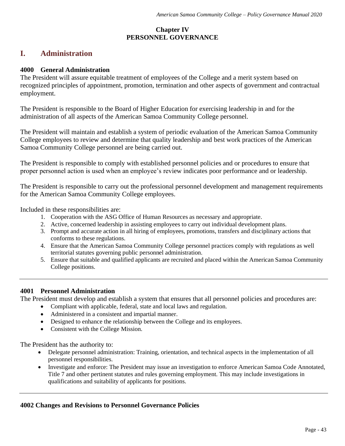# **Chapter IV PERSONNEL GOVERNANCE**

# **I. Administration**

#### **4000 General Administration**

The President will assure equitable treatment of employees of the College and a merit system based on recognized principles of appointment, promotion, termination and other aspects of government and contractual employment.

The President is responsible to the Board of Higher Education for exercising leadership in and for the administration of all aspects of the American Samoa Community College personnel.

The President will maintain and establish a system of periodic evaluation of the American Samoa Community College employees to review and determine that quality leadership and best work practices of the American Samoa Community College personnel are being carried out.

The President is responsible to comply with established personnel policies and or procedures to ensure that proper personnel action is used when an employee's review indicates poor performance and or leadership.

The President is responsible to carry out the professional personnel development and management requirements for the American Samoa Community College employees.

Included in these responsibilities are:

- 1. Cooperation with the ASG Office of Human Resources as necessary and appropriate.
- 2. Active, concerned leadership in assisting employees to carry out individual development plans.
- 3. Prompt and accurate action in all hiring of employees, promotions, transfers and disciplinary actions that conforms to these regulations.
- 4. Ensure that the American Samoa Community College personnel practices comply with regulations as well territorial statutes governing public personnel administration.
- 5. Ensure that suitable and qualified applicants are recruited and placed within the American Samoa Community College positions.

#### **4001 Personnel Administration**

The President must develop and establish a system that ensures that all personnel policies and procedures are:

- Compliant with applicable, federal, state and local laws and regulation.
- Administered in a consistent and impartial manner.
- Designed to enhance the relationship between the College and its employees.
- Consistent with the College Mission.

The President has the authority to:

- Delegate personnel administration: Training, orientation, and technical aspects in the implementation of all personnel responsibilities.
- Investigate and enforce: The President may issue an investigation to enforce American Samoa Code Annotated, Title 7 and other pertinent statutes and rules governing employment. This may include investigations in qualifications and suitability of applicants for positions.

#### **4002 Changes and Revisions to Personnel Governance Policies**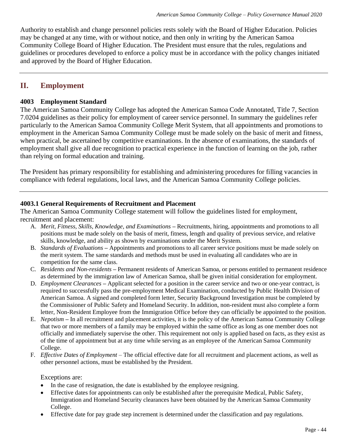Authority to establish and change personnel policies rests solely with the Board of Higher Education. Policies may be changed at any time, with or without notice, and then only in writing by the American Samoa Community College Board of Higher Education. The President must ensure that the rules, regulations and guidelines or procedures developed to enforce a policy must be in accordance with the policy changes initiated and approved by the Board of Higher Education.

# **II. Employment**

## **4003 Employment Standard**

The American Samoa Community College has adopted the American Samoa Code Annotated, Title 7, Section 7.0204 guidelines as their policy for employment of career service personnel. In summary the guidelines refer particularly to the American Samoa Community College Merit System, that all appointments and promotions to employment in the American Samoa Community College must be made solely on the basic of merit and fitness, when practical, be ascertained by competitive examinations. In the absence of examinations, the standards of employment shall give all due recognition to practical experience in the function of learning on the job, rather than relying on formal education and training.

The President has primary responsibility for establishing and administering procedures for filling vacancies in compliance with federal regulations, local laws, and the American Samoa Community College policies.

#### **4003.1 General Requirements of Recruitment and Placement**

The American Samoa Community College statement will follow the guidelines listed for employment, recruitment and placement:

- A. *Merit, Fitness, Skills, Knowledge, and Examinations* **–** Recruitments, hiring, appointments and promotions to all positions must be made solely on the basis of merit, fitness, length and quality of previous service, and relative skills, knowledge, and ability as shown by examinations under the Merit System.
- B. *Standards of Evaluations* **–** Appointments and promotions to all career service positions must be made solely on the merit system. The same standards and methods must be used in evaluating all candidates who are in competition for the same class.
- C. *Residents and Non-residents* **–** Permanent residents of American Samoa, or persons entitled to permanent residence as determined by the immigration law of American Samoa, shall be given initial consideration for employment.
- D. *Employment Clearances* **–** Applicant selected for a position in the career service and two or one-year contract, is required to successfully pass the pre-employment Medical Examination, conducted by Public Health Division of American Samoa. A signed and completed form letter, Security Background Investigation must be completed by the Commissioner of Public Safety and Homeland Security. In addition, non-resident must also complete a form letter, Non-Resident Employee from the Immigration Office before they can officially be appointed to the position.
- E. *Nepotism* **–** In all recruitment and placement activities, it is the policy of the American Samoa Community College that two or more members of a family may be employed within the same office as long as one member does not officially and immediately supervise the other. This requirement not only is applied based on facts, as they exist as of the time of appointment but at any time while serving as an employee of the American Samoa Community College.
- F. *Effective Dates of Employment* The official effective date for all recruitment and placement actions, as well as other personnel actions, must be established by the President.

Exceptions are:

- In the case of resignation, the date is established by the employee resigning.
- Effective dates for appointments can only be established after the prerequisite Medical, Public Safety, Immigration and Homeland Security clearances have been obtained by the American Samoa Community College.
- Effective date for pay grade step increment is determined under the classification and pay regulations.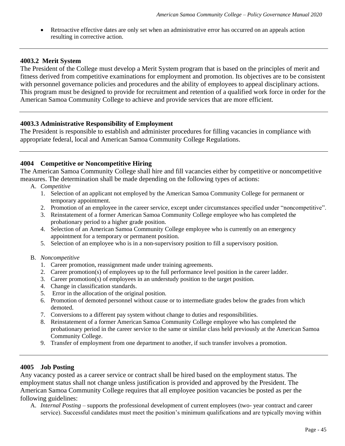• Retroactive effective dates are only set when an administrative error has occurred on an appeals action resulting in corrective action.

#### **4003.2 Merit System**

The President of the College must develop a Merit System program that is based on the principles of merit and fitness derived from competitive examinations for employment and promotion. Its objectives are to be consistent with personnel governance policies and procedures and the ability of employees to appeal disciplinary actions. This program must be designed to provide for recruitment and retention of a qualified work force in order for the American Samoa Community College to achieve and provide services that are more efficient.

#### **4003.3 Administrative Responsibility of Employment**

The President is responsible to establish and administer procedures for filling vacancies in compliance with appropriate federal, local and American Samoa Community College Regulations.

## **4004 Competitive or Noncompetitive Hiring**

The American Samoa Community College shall hire and fill vacancies either by competitive or noncompetitive measures. The determination shall be made depending on the following types of actions:

- A. *Competitive*
	- 1. Selection of an applicant not employed by the American Samoa Community College for permanent or temporary appointment.
	- 2. Promotion of an employee in the career service, except under circumstances specified under "noncompetitive".
	- 3. Reinstatement of a former American Samoa Community College employee who has completed the probationary period to a higher grade position.
	- 4. Selection of an American Samoa Community College employee who is currently on an emergency appointment for a temporary or permanent position.
	- 5. Selection of an employee who is in a non-supervisory position to fill a supervisory position.

#### B. *Noncompetitive*

- 1. Career promotion, reassignment made under training agreements.
- 2. Career promotion(s) of employees up to the full performance level position in the career ladder.
- 3. Career promotion(s) of employees in an understudy position to the target position.
- 4. Change in classification standards.
- 5. Error in the allocation of the original position.
- 6. Promotion of demoted personnel without cause or to intermediate grades below the grades from which demoted.
- 7. Conversions to a different pay system without change to duties and responsibilities.
- 8. Reinstatement of a former American Samoa Community College employee who has completed the probationary period in the career service to the same or similar class held previously at the American Samoa Community College.
- 9. Transfer of employment from one department to another, if such transfer involves a promotion.

#### **4005 Job Posting**

Any vacancy posted as a career service or contract shall be hired based on the employment status. The employment status shall not change unless justification is provided and approved by the President. The American Samoa Community College requires that all employee position vacancies be posted as per the following guidelines:

A. *Internal Posting* – supports the professional development of current employees (two- year contract and career service). Successful candidates must meet the position's minimum qualifications and are typically moving within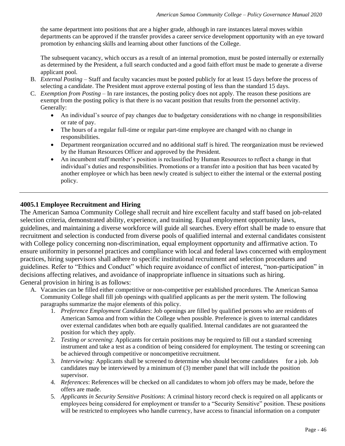the same department into positions that are a higher grade, although in rare instances lateral moves within departments can be approved if the transfer provides a career service development opportunity with an eye toward promotion by enhancing skills and learning about other functions of the College.

The subsequent vacancy, which occurs as a result of an internal promotion, must be posted internally or externally as determined by the President, a full search conducted and a good faith effort must be made to generate a diverse applicant pool.

- B. *External Posting* Staff and faculty vacancies must be posted publicly for at least 15 days before the process of selecting a candidate. The President must approve external posting of less than the standard 15 days.
- C. *Exemption from Posting* In rare instances, the posting policy does not apply. The reason these positions are exempt from the posting policy is that there is no vacant position that results from the personnel activity. Generally:
	- An individual's source of pay changes due to budgetary considerations with no change in responsibilities or rate of pay.
	- The hours of a regular full-time or regular part-time employee are changed with no change in responsibilities.
	- Department reorganization occurred and no additional staff is hired. The reorganization must be reviewed by the Human Resources Officer and approved by the President.
	- An incumbent staff member's position is reclassified by Human Resources to reflect a change in that individual's duties and responsibilities. Promotions or a transfer into a position that has been vacated by another employee or which has been newly created is subject to either the internal or the external posting policy.

# **4005.1 Employee Recruitment and Hiring**

The American Samoa Community College shall recruit and hire excellent faculty and staff based on job-related selection criteria, demonstrated ability, experience, and training. Equal employment opportunity laws, guidelines, and maintaining a diverse workforce will guide all searches. Every effort shall be made to ensure that recruitment and selection is conducted from diverse pools of qualified internal and external candidates consistent with College policy concerning non-discrimination, equal employment opportunity and affirmative action. To ensure uniformity in personnel practices and compliance with local and federal laws concerned with employment practices, hiring supervisors shall adhere to specific institutional recruitment and selection procedures and guidelines. Refer to "Ethics and Conduct" which require avoidance of conflict of interest, "non-participation" in decisions affecting relatives, and avoidance of inappropriate influence in situations such as hiring. General provision in hiring is as follows:

- A. Vacancies can be filled either competitive or non-competitive per established procedures. The American Samoa Community College shall fill job openings with qualified applicants as per the merit system. The following paragraphs summarize the major elements of this policy.
	- 1. *Preference Employment Candidates*: Job openings are filled by qualified persons who are residents of American Samoa and from within the College when possible. Preference is given to internal candidates over external candidates when both are equally qualified. Internal candidates are not guaranteed the position for which they apply.
	- 2. *Testing or screening*: Applicants for certain positions may be required to fill out a standard screening instrument and take a test as a condition of being considered for employment. The testing or screening can be achieved through competitive or noncompetitive recruitment.
	- 3. *Interviewing:* Applicants shall be screened to determine who should become candidates for a job. Job candidates may be interviewed by a minimum of (3) member panel that will include the position supervisor.
	- 4. *References*: References will be checked on all candidates to whom job offers may be made, before the offers are made.
	- 5. *Applicants in Security Sensitive Positions*: A criminal history record check is required on all applicants or employees being considered for employment or transfer to a "Security Sensitive" position. These positions will be restricted to employees who handle currency, have access to financial information on a computer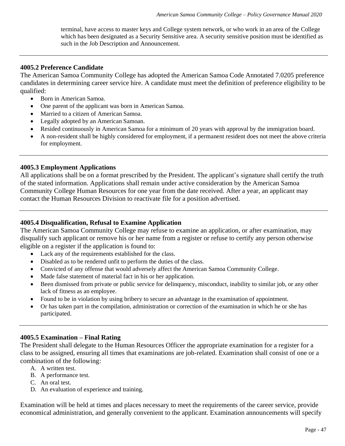terminal, have access to master keys and College system network, or who work in an area of the College which has been designated as a Security Sensitive area. A security sensitive position must be identified as such in the Job Description and Announcement.

#### **4005.2 Preference Candidate**

The American Samoa Community College has adopted the American Samoa Code Annotated 7.0205 preference candidates in determining career service hire. A candidate must meet the definition of preference eligibility to be qualified:

- Born in American Samoa.
- One parent of the applicant was born in American Samoa.
- Married to a citizen of American Samoa.
- Legally adopted by an American Samoan.
- Resided continuously in American Samoa for a minimum of 20 years with approval by the immigration board.
- A non-resident shall be highly considered for employment, if a permanent resident does not meet the above criteria for employment.

#### **4005.3 Employment Applications**

All applications shall be on a format prescribed by the President. The applicant's signature shall certify the truth of the stated information. Applications shall remain under active consideration by the American Samoa Community College Human Resources for one year from the date received. After a year, an applicant may contact the Human Resources Division to reactivate file for a position advertised.

#### **4005.4 Disqualification, Refusal to Examine Application**

The American Samoa Community College may refuse to examine an application, or after examination, may disqualify such applicant or remove his or her name from a register or refuse to certify any person otherwise eligible on a register if the application is found to:

- Lack any of the requirements established for the class.
- Disabled as to be rendered unfit to perform the duties of the class.
- Convicted of any offense that would adversely affect the American Samoa Community College.
- Made false statement of material fact in his or her application.
- Been dismissed from private or public service for delinquency, misconduct, inability to similar job, or any other lack of fitness as an employee.
- Found to be in violation by using bribery to secure an advantage in the examination of appointment.
- Or has taken part in the compilation, administration or correction of the examination in which he or she has participated.

#### **4005.5 Examination – Final Rating**

The President shall delegate to the Human Resources Officer the appropriate examination for a register for a class to be assigned, ensuring all times that examinations are job-related. Examination shall consist of one or a combination of the following:

- A. A written test.
- B. A performance test.
- C. An oral test.
- D. An evaluation of experience and training.

Examination will be held at times and places necessary to meet the requirements of the career service, provide economical administration, and generally convenient to the applicant. Examination announcements will specify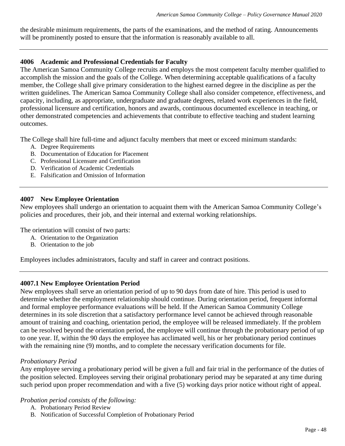the desirable minimum requirements, the parts of the examinations, and the method of rating. Announcements will be prominently posted to ensure that the information is reasonably available to all.

## **4006 Academic and Professional Credentials for Faculty**

The American Samoa Community College recruits and employs the most competent faculty member qualified to accomplish the mission and the goals of the College. When determining acceptable qualifications of a faculty member, the College shall give primary consideration to the highest earned degree in the discipline as per the written guidelines. The American Samoa Community College shall also consider competence, effectiveness, and capacity, including, as appropriate, undergraduate and graduate degrees, related work experiences in the field, professional licensure and certification, honors and awards, continuous documented excellence in teaching, or other demonstrated competencies and achievements that contribute to effective teaching and student learning outcomes.

The College shall hire full-time and adjunct faculty members that meet or exceed minimum standards:

- A. Degree Requirements
- B. Documentation of Education for Placement
- C. Professional Licensure and Certification
- D. Verification of Academic Credentials
- E. Falsification and Omission of Information

## **4007 New Employee Orientation**

New employees shall undergo an orientation to acquaint them with the American Samoa Community College's policies and procedures, their job, and their internal and external working relationships.

The orientation will consist of two parts:

- A. Orientation to the Organization
- B. Orientation to the job

Employees includes administrators, faculty and staff in career and contract positions.

# **4007.1 New Employee Orientation Period**

New employees shall serve an orientation period of up to 90 days from date of hire. This period is used to determine whether the employment relationship should continue. During orientation period, frequent informal and formal employee performance evaluations will be held. If the American Samoa Community College determines in its sole discretion that a satisfactory performance level cannot be achieved through reasonable amount of training and coaching, orientation period, the employee will be released immediately. If the problem can be resolved beyond the orientation period, the employee will continue through the probationary period of up to one year. If, within the 90 days the employee has acclimated well, his or her probationary period continues with the remaining nine (9) months, and to complete the necessary verification documents for file.

# *Probationary Period*

Any employee serving a probationary period will be given a full and fair trial in the performance of the duties of the position selected. Employees serving their original probationary period may be separated at any time during such period upon proper recommendation and with a five (5) working days prior notice without right of appeal.

#### *Probation period consists of the following:*

- A. Probationary Period Review
- B. Notification of Successful Completion of Probationary Period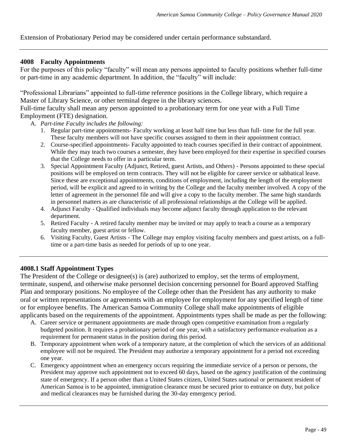Extension of Probationary Period may be considered under certain performance substandard.

#### **4008 Faculty Appointments**

For the purposes of this policy "faculty" will mean any persons appointed to faculty positions whether full-time or part-time in any academic department. In addition, the "faculty" will include:

"Professional Librarians" appointed to full-time reference positions in the College library, which require a Master of Library Science, or other terminal degree in the library sciences.

Full-time faculty shall mean any person appointed to a probationary term for one year with a Full Time Employment (FTE) designation.

- A. *Part-time Faculty includes the following:*
	- 1. Regular part-time appointments- Faculty working at least half time but less than full- time for the full year. These faculty members will not have specific courses assigned to them in their appointment contract.
	- 2. Course-specified appointments- Faculty appointed to teach courses specified in their contract of appointment. While they may teach two courses a semester, they have been employed for their expertise in specified courses that the College needs to offer in a particular term.
	- 3. Special Appointment Faculty (Adjunct, Retired, guest Artists, and Others) Persons appointed to these special positions will be employed on term contracts. They will not be eligible for career service or sabbatical leave. Since these are exceptional appointments, conditions of employment, including the length of the employment period, will be explicit and agreed to in writing by the College and the faculty member involved. A copy of the letter of agreement in the personnel file and will give a copy to the faculty member. The same high standards in personnel matters as are characteristic of all professional relationships at the College will be applied.
	- 4. Adjunct Faculty Qualified individuals may become adjunct faculty through application to the relevant department.
	- 5. Retired Faculty A retired faculty member may be invited or may apply to teach a course as a temporary faculty member, guest artist or fellow.
	- 6. Visiting Faculty, Guest Artists The College may employ visiting faculty members and guest artists, on a fulltime or a part-time basis as needed for periods of up to one year.

#### **4008.1 Staff Appointment Types**

The President of the College or designee(s) is (are) authorized to employ, set the terms of employment, terminate, suspend, and otherwise make personnel decision concerning personnel for Board approved Staffing Plan and temporary positions. No employee of the College other than the President has any authority to make oral or written representations or agreements with an employee for employment for any specified length of time or for employee benefits. The American Samoa Community College shall make appointments of eligible applicants based on the requirements of the appointment. Appointments types shall be made as per the following:

- A. Career service or permanent appointments are made through open competitive examination from a regularly budgeted position. It requires a probationary period of one year, with a satisfactory performance evaluation as a requirement for permanent status in the position during this period.
- B. Temporary appointment when work of a temporary nature, at the completion of which the services of an additional employee will not be required. The President may authorize a temporary appointment for a period not exceeding one year.
- C. Emergency appointment when an emergency occurs requiring the immediate service of a person or persons, the President may approve such appointment not to exceed 60 days, based on the agency justification of the continuing state of emergency. If a person other than a United States citizen, United States national or permanent resident of American Samoa is to be appointed, immigration clearance must be secured prior to entrance on duty, but police and medical clearances may be furnished during the 30-day emergency period.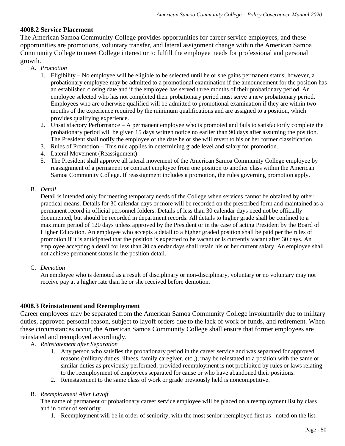## **4008.2 Service Placement**

The American Samoa Community College provides opportunities for career service employees, and these opportunities are promotions, voluntary transfer, and lateral assignment change within the American Samoa Community College to meet College interest or to fulfill the employee needs for professional and personal growth.

#### A. *Promotion*

- 1. Eligibility No employee will be eligible to be selected until he or she gains permanent status; however, a probationary employee may be admitted to a promotional examination if the announcement for the position has an established closing date and if the employee has served three months of their probationary period. An employee selected who has not completed their probationary period must serve a new probationary period. Employees who are otherwise qualified will be admitted to promotional examination if they are within two months of the experience required by the minimum qualifications and are assigned to a position, which provides qualifying experience.
- 2. Unsatisfactory Performance A permanent employee who is promoted and fails to satisfactorily complete the probationary period will be given 15 days written notice no earlier than 90 days after assuming the position. The President shall notify the employee of the date he or she will revert to his or her former classification.
- 3. Rules of Promotion This rule applies in determining grade level and salary for promotion.
- 4. Lateral Movement (Reassignment)
- 5. The President shall approve all lateral movement of the American Samoa Community College employee by reassignment of a permanent or contract employee from one position to another class within the American Samoa Community College. If reassignment includes a promotion, the rules governing promotion apply.

#### B. *Detail*

Detail is intended only for meeting temporary needs of the College when services cannot be obtained by other practical means. Details for 30 calendar days or more will be recorded on the prescribed form and maintained as a permanent record in official personnel folders. Details of less than 30 calendar days need not be officially documented, but should be recorded in department records. All details to higher grade shall be confined to a maximum period of 120 days unless approved by the President or in the case of acting President by the Board of Higher Education. An employee who accepts a detail to a higher graded position shall be paid per the rules of promotion if it is anticipated that the position is expected to be vacant or is currently vacant after 30 days. An employee accepting a detail for less than 30 calendar days shall retain his or her current salary. An employee shall not achieve permanent status in the position detail.

C. *Demotion*

An employee who is demoted as a result of disciplinary or non-disciplinary, voluntary or no voluntary may not receive pay at a higher rate than he or she received before demotion.

#### **4008.3 Reinstatement and Reemployment**

Career employees may be separated from the American Samoa Community College involuntarily due to military duties, approved personal reason, subject to layoff orders due to the lack of work or funds, and retirement. When these circumstances occur, the American Samoa Community College shall ensure that former employees are reinstated and reemployed accordingly.

- A. *Reinstatement after Separation* 
	- 1. Any person who satisfies the probationary period in the career service and was separated for approved reasons (military duties, illness, family caregiver, etc.,), may be reinstated to a position with the same or similar duties as previously performed, provided reemployment is not prohibited by rules or laws relating to the reemployment of employees separated for cause or who have abandoned their positions.
	- 2. Reinstatement to the same class of work or grade previously held is noncompetitive.

#### B. *Reemployment After Layoff*

The name of permanent or probationary career service employee will be placed on a reemployment list by class and in order of seniority.

1. Reemployment will be in order of seniority, with the most senior reemployed first as noted on the list.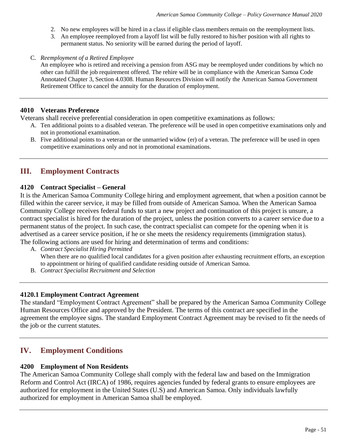- 2. No new employees will be hired in a class if eligible class members remain on the reemployment lists.
- 3. An employee reemployed from a layoff list will be fully restored to his/her position with all rights to permanent status. No seniority will be earned during the period of layoff.
- C. *Reemployment of a Retired Employee*

An employee who is retired and receiving a pension from ASG may be reemployed under conditions by which no other can fulfill the job requirement offered. The rehire will be in compliance with the American Samoa Code Annotated Chapter 3, Section 4.0308. Human Resources Division will notify the American Samoa Government Retirement Office to cancel the annuity for the duration of employment.

#### **4010 Veterans Preference**

Veterans shall receive preferential consideration in open competitive examinations as follows:

- A. Ten additional points to a disabled veteran. The preference will be used in open competitive examinations only and not in promotional examination.
- B. Five additional points to a veteran or the unmarried widow (er) of a veteran. The preference will be used in open competitive examinations only and not in promotional examinations.

# **III. Employment Contracts**

## **4120 Contract Specialist – General**

It is the American Samoa Community College hiring and employment agreement, that when a position cannot be filled within the career service, it may be filled from outside of American Samoa. When the American Samoa Community College receives federal funds to start a new project and continuation of this project is unsure, a contract specialist is hired for the duration of the project, unless the position converts to a career service due to a permanent status of the project. In such case, the contract specialist can compete for the opening when it is advertised as a career service position, if he or she meets the residency requirements (immigration status). The following actions are used for hiring and determination of terms and conditions:

- A. *Contract Specialist Hiring Permitted* When there are no qualified local candidates for a given position after exhausting recruitment efforts, an exception to appointment or hiring of qualified candidate residing outside of American Samoa.
- B. *Contract Specialist Recruitment and Selection*

#### **4120.1 Employment Contract Agreement**

The standard "Employment Contract Agreement" shall be prepared by the American Samoa Community College Human Resources Office and approved by the President. The terms of this contract are specified in the agreement the employee signs. The standard Employment Contract Agreement may be revised to fit the needs of the job or the current statutes.

# **IV. Employment Conditions**

#### **4200 Employment of Non Residents**

The American Samoa Community College shall comply with the federal law and based on the Immigration Reform and Control Act (IRCA) of 1986, requires agencies funded by federal grants to ensure employees are authorized for employment in the United States (U.S) and American Samoa. Only individuals lawfully authorized for employment in American Samoa shall be employed.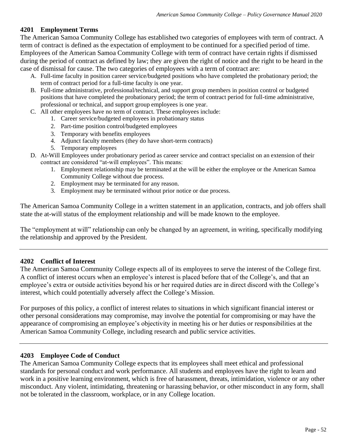# **4201 Employment Terms**

The American Samoa Community College has established two categories of employees with term of contract. A term of contract is defined as the expectation of employment to be continued for a specified period of time. Employees of the American Samoa Community College with term of contract have certain rights if dismissed during the period of contract as defined by law; they are given the right of notice and the right to be heard in the case of dismissal for cause. The two categories of employees with a term of contract are:

- A. Full-time faculty in position career service/budgeted positions who have completed the probationary period; the term of contract period for a full-time faculty is one year.
- B. Full-time administrative, professional/technical, and support group members in position control or budgeted positions that have completed the probationary period; the term of contract period for full-time administrative, professional or technical, and support group employees is one year.
- C. All other employees have no term of contract. These employees include:
	- 1. Career service/budgeted employees in probationary status
		- 2. Part-time position control/budgeted employees
		- 3. Temporary with benefits employees
		- 4. Adjunct faculty members (they do have short-term contracts)
		- 5. Temporary employees
- D. At-Will Employees under probationary period as career service and contract specialist on an extension of their contract are considered "at-will employees". This means:
	- 1. Employment relationship may be terminated at the will be either the employee or the American Samoa Community College without due process.
	- 2. Employment may be terminated for any reason.
	- 3. Employment may be terminated without prior notice or due process.

The American Samoa Community College in a written statement in an application, contracts, and job offers shall state the at-will status of the employment relationship and will be made known to the employee.

The "employment at will" relationship can only be changed by an agreement, in writing, specifically modifying the relationship and approved by the President.

# **4202 Conflict of Interest**

The American Samoa Community College expects all of its employees to serve the interest of the College first. A conflict of interest occurs when an employee's interest is placed before that of the College's, and that an employee's extra or outside activities beyond his or her required duties are in direct discord with the College's interest, which could potentially adversely affect the College's Mission.

For purposes of this policy, a conflict of interest relates to situations in which significant financial interest or other personal considerations may compromise, may involve the potential for compromising or may have the appearance of compromising an employee's objectivity in meeting his or her duties or responsibilities at the American Samoa Community College, including research and public service activities.

# **4203 Employee Code of Conduct**

The American Samoa Community College expects that its employees shall meet ethical and professional standards for personal conduct and work performance. All students and employees have the right to learn and work in a positive learning environment, which is free of harassment, threats, intimidation, violence or any other misconduct. Any violent, intimidating, threatening or harassing behavior, or other misconduct in any form, shall not be tolerated in the classroom, workplace, or in any College location.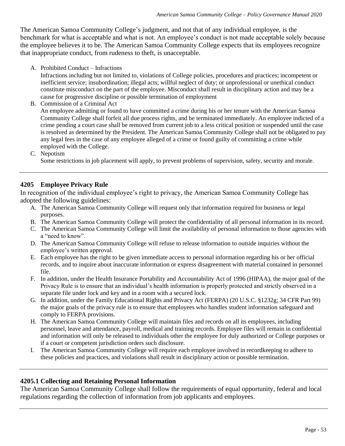The American Samoa Community College's judgment, and not that of any individual employee, is the benchmark for what is acceptable and what is not. An employee's conduct is not made acceptable solely because the employee believes it to be. The American Samoa Community College expects that its employees recognize that inappropriate conduct, from rudeness to theft, is unacceptable.

A. Prohibited Conduct – Infractions

Infractions including but not limited to, violations of College policies, procedures and practices; incompetent or inefficient service; insubordination; illegal acts; willful neglect of duty; or unprofessional or unethical conduct constitute misconduct on the part of the employee. Misconduct shall result in disciplinary action and may be a cause for progressive discipline or possible termination of employment

B. Commission of a Criminal Act

An employee admitting or found to have committed a crime during his or her tenure with the American Samoa Community College shall forfeit all due process rights, and be terminated immediately. An employee indicted of a crime pending a court case shall be removed from current job to a less critical position or suspended until the case is resolved as determined by the President. The American Samoa Community College shall not be obligated to pay any legal fees in the case of any employee alleged of a crime or found guilty of committing a crime while employed with the College.

C. Nepotism

Some restrictions in job placement will apply, to prevent problems of supervision, safety, security and morale.

## **4205 Employee Privacy Rule**

In recognition of the individual employee's right to privacy, the American Samoa Community College has adopted the following guidelines:

- A. The American Samoa Community College will request only that information required for business or legal purposes.
- B. The American Samoa Community College will protect the confidentiality of all personal information in its record.
- C. The American Samoa Community College will limit the availability of personal information to those agencies with a "need to know".
- D. The American Samoa Community College will refuse to release information to outside inquiries without the employee's written approval.
- E. Each employee has the right to be given immediate access to personal information regarding his or her official records, and to inquire about inaccurate information or express disagreement with material contained in personnel file.
- F. In addition, under the Health Insurance Portability and Accountability Act of 1996 (HIPAA), the major goal of the Privacy Rule is to ensure that an individual's health information is properly protected and strictly observed in a separate file under lock and key and in a room with a secured lock.
- G. In addition, under the Family Educational Rights and Privacy Act (FERPA) (20 U.S.C. §1232g; 34 CFR Part 99) the major goals of the privacy rule is to ensure that employees who handles student information safeguard and comply to FERPA provisions.
- H. The American Samoa Community College will maintain files and records on all its employees, including personnel, leave and attendance, payroll, medical and training records. Employee files will remain in confidential and information will only be released to individuals other the employee for duly authorized or College purposes or if a court or competent jurisdiction orders such disclosure.
- I. The American Samoa Community College will require each employee involved in recordkeeping to adhere to these policies and practices, and violations shall result in disciplinary action or possible termination.

#### **4205.1 Collecting and Retaining Personal Information**

The American Samoa Community College shall follow the requirements of equal opportunity, federal and local regulations regarding the collection of information from job applicants and employees.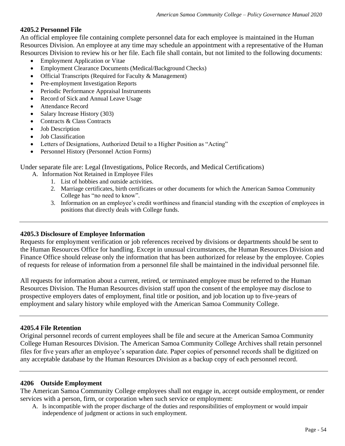## **4205.2 Personnel File**

An official employee file containing complete personnel data for each employee is maintained in the Human Resources Division. An employee at any time may schedule an appointment with a representative of the Human Resources Division to review his or her file. Each file shall contain, but not limited to the following documents:

- Employment Application or Vitae
- Employment Clearance Documents (Medical/Background Checks)
- Official Transcripts (Required for Faculty & Management)
- Pre-employment Investigation Reports
- Periodic Performance Appraisal Instruments
- Record of Sick and Annual Leave Usage
- Attendance Record
- Salary Increase History (303)
- Contracts & Class Contracts
- Job Description
- Job Classification
- Letters of Designations, Authorized Detail to a Higher Position as "Acting"
- Personnel History (Personnel Action Forms)

Under separate file are: Legal (Investigations, Police Records, and Medical Certifications)

- A. Information Not Retained in Employee Files
	- 1. List of hobbies and outside activities.
	- 2. Marriage certificates, birth certificates or other documents for which the American Samoa Community College has "no need to know".
	- 3. Information on an employee's credit worthiness and financial standing with the exception of employees in positions that directly deals with College funds.

#### **4205.3 Disclosure of Employee Information**

Requests for employment verification or job references received by divisions or departments should be sent to the Human Resources Office for handling. Except in unusual circumstances, the Human Resources Division and Finance Office should release only the information that has been authorized for release by the employee. Copies of requests for release of information from a personnel file shall be maintained in the individual personnel file.

All requests for information about a current, retired, or terminated employee must be referred to the Human Resources Division. The Human Resources division staff upon the consent of the employee may disclose to prospective employers dates of employment, final title or position, and job location up to five-years of employment and salary history while employed with the American Samoa Community College.

#### **4205.4 File Retention**

Original personnel records of current employees shall be file and secure at the American Samoa Community College Human Resources Division. The American Samoa Community College Archives shall retain personnel files for five years after an employee's separation date. Paper copies of personnel records shall be digitized on any acceptable database by the Human Resources Division as a backup copy of each personnel record.

#### **4206 Outside Employment**

The American Samoa Community College employees shall not engage in, accept outside employment, or render services with a person, firm, or corporation when such service or employment:

A. Is incompatible with the proper discharge of the duties and responsibilities of employment or would impair independence of judgment or actions in such employment.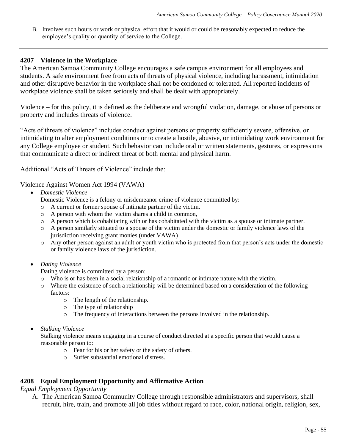B. Involves such hours or work or physical effort that it would or could be reasonably expected to reduce the employee's quality or quantity of service to the College.

#### **4207 Violence in the Workplace**

The American Samoa Community College encourages a safe campus environment for all employees and students. A safe environment free from acts of threats of physical violence, including harassment, intimidation and other disruptive behavior in the workplace shall not be condoned or tolerated. All reported incidents of workplace violence shall be taken seriously and shall be dealt with appropriately.

Violence – for this policy, it is defined as the deliberate and wrongful violation, damage, or abuse of persons or property and includes threats of violence.

"Acts of threats of violence" includes conduct against persons or property sufficiently severe, offensive, or intimidating to alter employment conditions or to create a hostile, abusive, or intimidating work environment for any College employee or student. Such behavior can include oral or written statements, gestures, or expressions that communicate a direct or indirect threat of both mental and physical harm.

Additional "Acts of Threats of Violence" include the:

Violence Against Women Act 1994 (VAWA)

- *Domestic Violence*
	- Domestic Violence is a felony or misdemeanor crime of violence committed by:
	- o A current or former spouse of intimate partner of the victim.
	- o A person with whom the victim shares a child in common,
	- o A person which is cohabitating with or has cohabitated with the victim as a spouse or intimate partner.
	- o A person similarly situated to a spouse of the victim under the domestic or family violence laws of the jurisdiction receiving grant monies (under VAWA)
	- o Any other person against an adult or youth victim who is protected from that person's acts under the domestic or family violence laws of the jurisdiction.
- *Dating Violence*

Dating violence is committed by a person:

- o Who is or has been in a social relationship of a romantic or intimate nature with the victim.
- o Where the existence of such a relationship will be determined based on a consideration of the following factors:
	- o The length of the relationship.
	- o The type of relationship
	- o The frequency of interactions between the persons involved in the relationship.
- *Stalking Violence*

Stalking violence means engaging in a course of conduct directed at a specific person that would cause a reasonable person to:

- o Fear for his or her safety or the safety of others.
- o Suffer substantial emotional distress.

#### **4208 Equal Employment Opportunity and Affirmative Action**

*Equal Employment Opportunity*

A. The American Samoa Community College through responsible administrators and supervisors, shall recruit, hire, train, and promote all job titles without regard to race, color, national origin, religion, sex,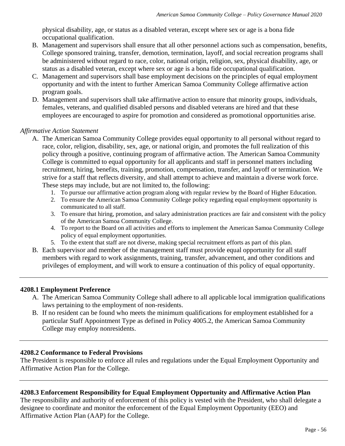physical disability, age, or status as a disabled veteran, except where sex or age is a bona fide occupational qualification.

- B. Management and supervisors shall ensure that all other personnel actions such as compensation, benefits, College sponsored training, transfer, demotion, termination, layoff, and social recreation programs shall be administered without regard to race, color, national origin, religion, sex, physical disability, age, or status as a disabled veteran, except where sex or age is a bona fide occupational qualification.
- C. Management and supervisors shall base employment decisions on the principles of equal employment opportunity and with the intent to further American Samoa Community College affirmative action program goals.
- D. Management and supervisors shall take affirmative action to ensure that minority groups, individuals, females, veterans, and qualified disabled persons and disabled veterans are hired and that these employees are encouraged to aspire for promotion and considered as promotional opportunities arise.

## *Affirmative Action Statement*

- A. The American Samoa Community College provides equal opportunity to all personal without regard to race, color, religion, disability, sex, age, or national origin, and promotes the full realization of this policy through a positive, continuing program of affirmative action. The American Samoa Community College is committed to equal opportunity for all applicants and staff in personnel matters including recruitment, hiring, benefits, training, promotion, compensation, transfer, and layoff or termination. We strive for a staff that reflects diversity, and shall attempt to achieve and maintain a diverse work force. These steps may include, but are not limited to, the following:
	- 1. To pursue our affirmative action program along with regular review by the Board of Higher Education.
	- 2. To ensure the American Samoa Community College policy regarding equal employment opportunity is communicated to all staff.
	- 3. To ensure that hiring, promotion, and salary administration practices are fair and consistent with the policy of the American Samoa Community College.
	- 4. To report to the Board on all activities and efforts to implement the American Samoa Community College policy of equal employment opportunities.
	- 5. To the extent that staff are not diverse, making special recruitment efforts as part of this plan.
- B. Each supervisor and member of the management staff must provide equal opportunity for all staff members with regard to work assignments, training, transfer, advancement, and other conditions and privileges of employment, and will work to ensure a continuation of this policy of equal opportunity.

#### **4208.1 Employment Preference**

- A. The American Samoa Community College shall adhere to all applicable local immigration qualifications laws pertaining to the employment of non-residents.
- B. If no resident can be found who meets the minimum qualifications for employment established for a particular Staff Appointment Type as defined in Policy 4005.2, the American Samoa Community College may employ nonresidents.

#### **4208.2 Conformance to Federal Provisions**

The President is responsible to enforce all rules and regulations under the Equal Employment Opportunity and Affirmative Action Plan for the College.

# **4208.3 Enforcement Responsibility for Equal Employment Opportunity and Affirmative Action Plan**

The responsibility and authority of enforcement of this policy is vested with the President, who shall delegate a designee to coordinate and monitor the enforcement of the Equal Employment Opportunity (EEO) and Affirmative Action Plan (AAP) for the College.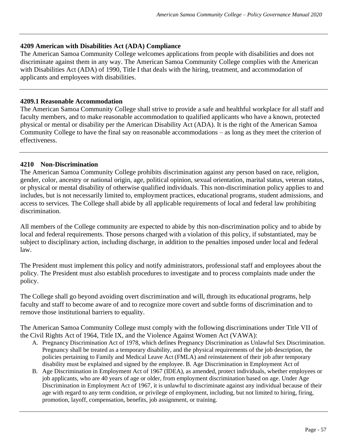### **4209 American with Disabilities Act (ADA) Compliance**

The American Samoa Community College welcomes applications from people with disabilities and does not discriminate against them in any way. The American Samoa Community College complies with the American with Disabilities Act (ADA) of 1990, Title I that deals with the hiring, treatment, and accommodation of applicants and employees with disabilities.

#### **4209.1 Reasonable Accommodation**

The American Samoa Community College shall strive to provide a safe and healthful workplace for all staff and faculty members, and to make reasonable accommodation to qualified applicants who have a known, protected physical or mental or disability per the American Disability Act (ADA). It is the right of the American Samoa Community College to have the final say on reasonable accommodations – as long as they meet the criterion of effectiveness.

## **4210 Non-Discrimination**

The American Samoa Community College prohibits discrimination against any person based on race, religion, gender, color, ancestry or national origin, age, political opinion, sexual orientation, marital status, veteran status, or physical or mental disability of otherwise qualified individuals. This non-discrimination policy applies to and includes, but is not necessarily limited to, employment practices, educational programs, student admissions, and access to services. The College shall abide by all applicable requirements of local and federal law prohibiting discrimination.

All members of the College community are expected to abide by this non-discrimination policy and to abide by local and federal requirements. Those persons charged with a violation of this policy, if substantiated, may be subject to disciplinary action, including discharge, in addition to the penalties imposed under local and federal law.

The President must implement this policy and notify administrators, professional staff and employees about the policy. The President must also establish procedures to investigate and to process complaints made under the policy.

The College shall go beyond avoiding overt discrimination and will, through its educational programs, help faculty and staff to become aware of and to recognize more covert and subtle forms of discrimination and to remove those institutional barriers to equality.

The American Samoa Community College must comply with the following discriminations under Title VII of the Civil Rights Act of 1964, Title IX, and the Violence Against Women Act (VAWA):

- A. Pregnancy Discrimination Act of 1978, which defines Pregnancy Discrimination as Unlawful Sex Discrimination. Pregnancy shall be treated as a temporary disability, and the physical requirements of the job description, the policies pertaining to Family and Medical Leave Act (FMLA) and reinstatement of their job after temporary disability must be explained and signed by the employee. B. Age Discrimination in Employment Act of
- B. Age Discrimination in Employment Act of 1967 (IDEA), as amended, protect individuals, whether employees or job applicants, who are 40 years of age or older, from employment discrimination based on age. Under Age Discrimination in Employment Act of 1967, it is unlawful to discriminate against any individual because of their age with regard to any term condition, or privilege of employment, including, but not limited to hiring, firing, promotion, layoff, compensation, benefits, job assignment, or training.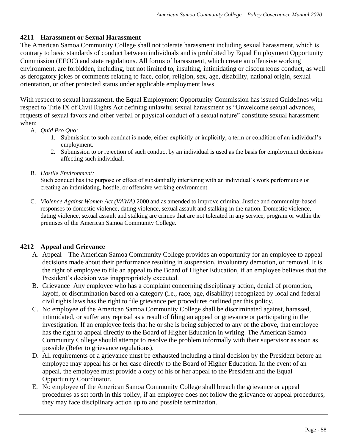# **4211 Harassment or Sexual Harassment**

The American Samoa Community College shall not tolerate harassment including sexual harassment, which is contrary to basic standards of conduct between individuals and is prohibited by Equal Employment Opportunity Commission (EEOC) and state regulations. All forms of harassment, which create an offensive working environment, are forbidden, including, but not limited to, insulting, intimidating or discourteous conduct, as well as derogatory jokes or comments relating to face, color, religion, sex, age, disability, national origin, sexual orientation, or other protected status under applicable employment laws.

With respect to sexual harassment, the Equal Employment Opportunity Commission has issued Guidelines with respect to Title IX of Civil Rights Act defining unlawful sexual harassment as "Unwelcome sexual advances, requests of sexual favors and other verbal or physical conduct of a sexual nature" constitute sexual harassment when:

- A. *Quid Pro Quo:*
	- 1. Submission to such conduct is made, either explicitly or implicitly, a term or condition of an individual's employment.
	- 2. Submission to or rejection of such conduct by an individual is used as the basis for employment decisions affecting such individual.
- B. *Hostile Environment:*

Such conduct has the purpose or effect of substantially interfering with an individual's work performance or creating an intimidating, hostile, or offensive working environment.

C. *Violence Against Women Act (VAWA)* 2000 and as amended to improve criminal Justice and community-based responses to domestic violence, dating violence, sexual assault and stalking in the nation. Domestic violence, dating violence, sexual assault and stalking are crimes that are not tolerated in any service, program or within the premises of the American Samoa Community College.

# **4212 Appeal and Grievance**

- A. Appeal The American Samoa Community College provides an opportunity for an employee to appeal decisions made about their performance resulting in suspension, involuntary demotion, or removal. It is the right of employee to file an appeal to the Board of Higher Education, if an employee believes that the President's decision was inappropriately executed.
- B. Grievance–Any employee who has a complaint concerning disciplinary action, denial of promotion, layoff, or discrimination based on a category (i.e., race, age, disability) recognized by local and federal civil rights laws has the right to file grievance per procedures outlined per this policy.
- C. No employee of the American Samoa Community College shall be discriminated against, harassed, intimidated, or suffer any reprisal as a result of filing an appeal or grievance or participating in the investigation. If an employee feels that he or she is being subjected to any of the above, that employee has the right to appeal directly to the Board of Higher Education in writing. The American Samoa Community College should attempt to resolve the problem informally with their supervisor as soon as possible (Refer to grievance regulations).
- D. All requirements of a grievance must be exhausted including a final decision by the President before an employee may appeal his or her case directly to the Board of Higher Education. In the event of an appeal, the employee must provide a copy of his or her appeal to the President and the Equal Opportunity Coordinator.
- E. No employee of the American Samoa Community College shall breach the grievance or appeal procedures as set forth in this policy, if an employee does not follow the grievance or appeal procedures, they may face disciplinary action up to and possible termination.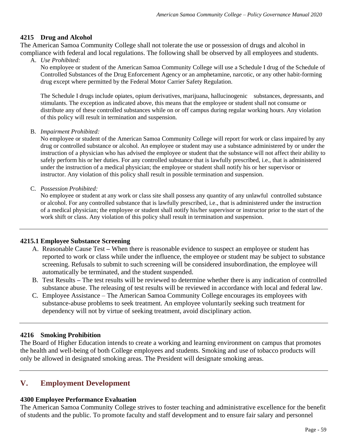## **4215 Drug and Alcohol**

The American Samoa Community College shall not tolerate the use or possession of drugs and alcohol in compliance with federal and local regulations. The following shall be observed by all employees and students.

A. *Use Prohibited:*

No employee or student of the American Samoa Community College will use a Schedule I drug of the Schedule of Controlled Substances of the Drug Enforcement Agency or an amphetamine, narcotic, or any other habit-forming drug except where permitted by the Federal Motor Carrier Safety Regulation.

The Schedule I drugs include opiates, opium derivatives, marijuana, hallucinogenic substances, depressants, and stimulants. The exception as indicated above, this means that the employee or student shall not consume or distribute any of these controlled substances while on or off campus during regular working hours. Any violation of this policy will result in termination and suspension.

B. *Impairment Prohibited:*

No employee or student of the American Samoa Community College will report for work or class impaired by any drug or controlled substance or alcohol. An employee or student may use a substance administered by or under the instruction of a physician who has advised the employee or student that the substance will not affect their ability to safely perform his or her duties. For any controlled substance that is lawfully prescribed, i.e., that is administered under the instruction of a medical physician; the employee or student shall notify his or her supervisor or instructor. Any violation of this policy shall result in possible termination and suspension.

C. *Possession Prohibited:*

No employee or student at any work or class site shall possess any quantity of any unlawful controlled substance or alcohol. For any controlled substance that is lawfully prescribed, i.e., that is administered under the instruction of a medical physician; the employee or student shall notify his/her supervisor or instructor prior to the start of the work shift or class. Any violation of this policy shall result in termination and suspension.

#### **4215.1 Employee Substance Screening**

- A. Reasonable Cause Test **–** When there is reasonable evidence to suspect an employee or student has reported to work or class while under the influence, the employee or student may be subject to substance screening. Refusals to submit to such screening will be considered insubordination, the employee will automatically be terminated, and the student suspended.
- B. Test Results **–** The test results will be reviewed to determine whether there is any indication of controlled substance abuse. The releasing of test results will be reviewed in accordance with local and federal law.
- C. Employee Assistance The American Samoa Community College encourages its employees with substance-abuse problems to seek treatment. An employee voluntarily seeking such treatment for dependency will not by virtue of seeking treatment, avoid disciplinary action.

#### **4216 Smoking Prohibition**

The Board of Higher Education intends to create a working and learning environment on campus that promotes the health and well-being of both College employees and students. Smoking and use of tobacco products will only be allowed in designated smoking areas. The President will designate smoking areas.

# **V. Employment Development**

#### **4300 Employee Performance Evaluation**

The American Samoa Community College strives to foster teaching and administrative excellence for the benefit of students and the public. To promote faculty and staff development and to ensure fair salary and personnel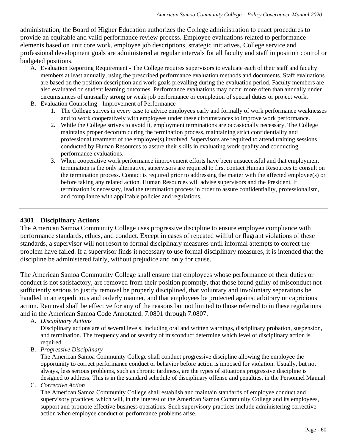administration, the Board of Higher Education authorizes the College administration to enact procedures to provide an equitable and valid performance review process. Employee evaluations related to performance elements based on unit core work, employee job descriptions, strategic initiatives, College service and professional development goals are administered at regular intervals for all faculty and staff in position control or budgeted positions.

- A. Evaluation Reporting Requirement The College requires supervisors to evaluate each of their staff and faculty members at least annually, using the prescribed performance evaluation methods and documents. Staff evaluations are based on the position description and work goals prevailing during the evaluation period. Faculty members are also evaluated on student learning outcomes. Performance evaluations may occur more often than annually under circumstances of unusually strong or weak job performance or completion of special duties or project work.
- B. Evaluation Counseling Improvement of Performance
	- 1. The College strives in every case to advice employees early and formally of work performance weaknesses and to work cooperatively with employees under these circumstances to improve work performance.
	- 2. While the College strives to avoid it, employment terminations are occasionally necessary. The College maintains proper decorum during the termination process, maintaining strict confidentiality and professional treatment of the employee(s) involved. Supervisors are required to attend training sessions conducted by Human Resources to assure their skills in evaluating work quality and conducting performance evaluations.
	- 3. When cooperative work performance improvement efforts have been unsuccessful and that employment termination is the only alternative, supervisors are required to first contact Human Resources to consult on the termination process. Contact is required prior to addressing the matter with the affected employee(s) or before taking any related action. Human Resources will advise supervisors and the President, if termination is necessary, lead the termination process in order to assure confidentiality, professionalism, and compliance with applicable policies and regulations.

#### **4301 Disciplinary Actions**

The American Samoa Community College uses progressive discipline to ensure employee compliance with performance standards, ethics, and conduct. Except in cases of repeated willful or flagrant violations of these standards, a supervisor will not resort to formal disciplinary measures until informal attempts to correct the problem have failed. If a supervisor finds it necessary to use formal disciplinary measures, it is intended that the discipline be administered fairly, without prejudice and only for cause.

The American Samoa Community College shall ensure that employees whose performance of their duties or conduct is not satisfactory, are removed from their position promptly, that those found guilty of misconduct not sufficiently serious to justify removal be properly disciplined, that voluntary and involuntary separations be handled in an expeditious and orderly manner, and that employees be protected against arbitrary or capricious action. Removal shall be effective for any of the reasons but not limited to those referred to in these regulations and in the American Samoa Code Annotated: 7.0801 through 7.0807.

A. *Disciplinary Actions*

Disciplinary actions are of several levels, including oral and written warnings, disciplinary probation, suspension, and termination. The frequency and or severity of misconduct determine which level of disciplinary action is required.

B. *Progressive Disciplinary* 

The American Samoa Community College shall conduct progressive discipline allowing the employee the opportunity to correct performance conduct or behavior before action is imposed for violation. Usually, but not always, less serious problems, such as chronic tardiness, are the types of situations progressive discipline is designed to address. This is in the standard schedule of disciplinary offense and penalties, in the Personnel Manual.

C. *Corrective Action* 

The American Samoa Community College shall establish and maintain standards of employee conduct and supervisory practices, which will, in the interest of the American Samoa Community College and its employees, support and promote effective business operations. Such supervisory practices include administering corrective action when employee conduct or performance problems arise.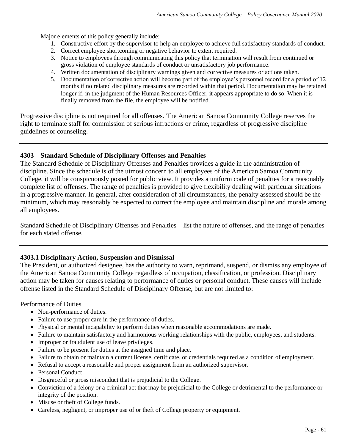Major elements of this policy generally include:

- 1. Constructive effort by the supervisor to help an employee to achieve full satisfactory standards of conduct.
- 2. Correct employee shortcoming or negative behavior to extent required.
- 3. Notice to employees through communicating this policy that termination will result from continued or gross violation of employee standards of conduct or unsatisfactory job performance.
- 4. Written documentation of disciplinary warnings given and corrective measures or actions taken.
- 5. Documentation of corrective action will become part of the employee's personnel record for a period of 12 months if no related disciplinary measures are recorded within that period. Documentation may be retained longer if, in the judgment of the Human Resources Officer, it appears appropriate to do so. When it is finally removed from the file, the employee will be notified.

Progressive discipline is not required for all offenses. The American Samoa Community College reserves the right to terminate staff for commission of serious infractions or crime, regardless of progressive discipline guidelines or counseling.

## **4303 Standard Schedule of Disciplinary Offenses and Penalties**

The Standard Schedule of Disciplinary Offenses and Penalties provides a guide in the administration of discipline. Since the schedule is of the utmost concern to all employees of the American Samoa Community College, it will be conspicuously posted for public view. It provides a uniform code of penalties for a reasonably complete list of offenses. The range of penalties is provided to give flexibility dealing with particular situations in a progressive manner. In general, after consideration of all circumstances, the penalty assessed should be the minimum, which may reasonably be expected to correct the employee and maintain discipline and morale among all employees.

Standard Schedule of Disciplinary Offenses and Penalties – list the nature of offenses, and the range of penalties for each stated offense.

# **4303.1 Disciplinary Action, Suspension and Dismissal**

The President, or authorized designee, has the authority to warn, reprimand, suspend, or dismiss any employee of the American Samoa Community College regardless of occupation, classification, or profession. Disciplinary action may be taken for causes relating to performance of duties or personal conduct. These causes will include offense listed in the Standard Schedule of Disciplinary Offense, but are not limited to:

Performance of Duties

- Non-performance of duties.
- Failure to use proper care in the performance of duties.
- Physical or mental incapability to perform duties when reasonable accommodations are made.
- Failure to maintain satisfactory and harmonious working relationships with the public, employees, and students.
- Improper or fraudulent use of leave privileges.
- Failure to be present for duties at the assigned time and place.
- Failure to obtain or maintain a current license, certificate, or credentials required as a condition of employment.
- Refusal to accept a reasonable and proper assignment from an authorized supervisor.
- Personal Conduct
- Disgraceful or gross misconduct that is prejudicial to the College.
- Conviction of a felony or a criminal act that may be prejudicial to the College or detrimental to the performance or integrity of the position.
- Misuse or theft of College funds.
- Careless, negligent, or improper use of or theft of College property or equipment.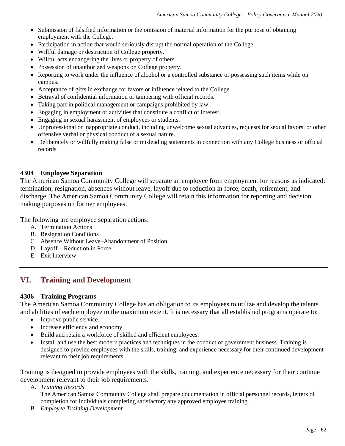- Submission of falsified information or the omission of material information for the purpose of obtaining employment with the College.
- Participation in action that would seriously disrupt the normal operation of the College.
- Willful damage or destruction of College property.
- Willful acts endangering the lives or property of others.
- Possession of unauthorized weapons on College property.
- Reporting to work under the influence of alcohol or a controlled substance or possessing such items while on campus.
- Acceptance of gifts in exchange for favors or influence related to the College.
- Betrayal of confidential information or tampering with official records.
- Taking part in political management or campaigns prohibited by law.
- Engaging in employment or activities that constitute a conflict of interest.
- Engaging in sexual harassment of employees or students.
- Unprofessional or inappropriate conduct, including unwelcome sexual advances, requests for sexual favors, or other offensive verbal or physical conduct of a sexual nature.
- Deliberately or willfully making false or misleading statements in connection with any College business or official records.

#### **4304 Employee Separation**

The American Samoa Community College will separate an employee from employment for reasons as indicated: termination, resignation, absences without leave, layoff due to reduction in force, death, retirement, and discharge. The American Samoa Community College will retain this information for reporting and decision making purposes on former employees.

The following are employee separation actions:

- A. Termination Actions
- B. Resignation Conditions
- C. Absence Without Leave–Abandonment of Position
- D. Layoff Reduction in Force
- E. Exit Interview

# **VI. Training and Development**

#### **4306 Training Programs**

The American Samoa Community College has an obligation to its employees to utilize and develop the talents and abilities of each employee to the maximum extent. It is necessary that all established programs operate to:

- Improve public service.
- Increase efficiency and economy.
- Build and retain a workforce of skilled and efficient employees.
- Install and use the best modern practices and techniques in the conduct of government business. Training is designed to provide employees with the skills, training, and experience necessary for their continued development relevant to their job requirements.

Training is designed to provide employees with the skills, training, and experience necessary for their continue development relevant to their job requirements.

A. *Training Records* 

The American Samoa Community College shall prepare documentation in official personnel records, letters of completion for individuals completing satisfactory any approved employee training.

B. *Employee Training Development*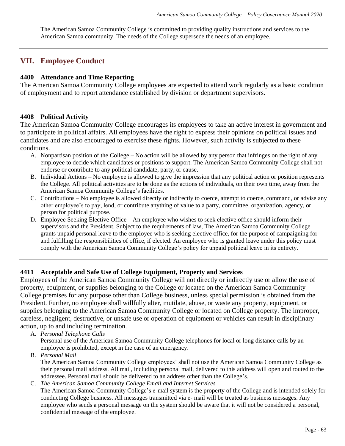The American Samoa Community College is committed to providing quality instructions and services to the American Samoa community. The needs of the College supersede the needs of an employee.

# **VII. Employee Conduct**

## **4400 Attendance and Time Reporting**

The American Samoa Community College employees are expected to attend work regularly as a basic condition of employment and to report attendance established by division or department supervisors.

#### **4408 Political Activity**

The American Samoa Community College encourages its employees to take an active interest in government and to participate in political affairs. All employees have the right to express their opinions on political issues and candidates and are also encouraged to exercise these rights. However, such activity is subjected to these conditions.

- A. Nonpartisan position of the College No action will be allowed by any person that infringes on the right of any employee to decide which candidates or positions to support. The American Samoa Community College shall not endorse or contribute to any political candidate, party, or cause.
- B. Individual Actions No employee is allowed to give the impression that any political action or position represents the College. All political activities are to be done as the actions of individuals, on their own time, away from the American Samoa Community College's facilities.
- C. Contributions No employee is allowed directly or indirectly to coerce, attempt to coerce, command, or advise any other employee's to pay, lend, or contribute anything of value to a party, committee, organization, agency, or person for political purpose.
- D. Employee Seeking Elective Office An employee who wishes to seek elective office should inform their supervisors and the President. Subject to the requirements of law, The American Samoa Community College grants unpaid personal leave to the employee who is seeking elective office, for the purpose of campaigning for and fulfilling the responsibilities of office, if elected. An employee who is granted leave under this policy must comply with the American Samoa Community College's policy for unpaid political leave in its entirety.

# **4411 Acceptable and Safe Use of College Equipment, Property and Services**

Employees of the American Samoa Community College will not directly or indirectly use or allow the use of property, equipment, or supplies belonging to the College or located on the American Samoa Community College premises for any purpose other than College business, unless special permission is obtained from the President. Further, no employee shall willfully alter, mutilate, abuse, or waste any property, equipment, or supplies belonging to the American Samoa Community College or located on College property. The improper, careless, negligent, destructive, or unsafe use or operation of equipment or vehicles can result in disciplinary action, up to and including termination.

A. *Personal Telephone Calls* 

Personal use of the American Samoa Community College telephones for local or long distance calls by an employee is prohibited, except in the case of an emergency.

B. *Personal Mail* 

The American Samoa Community College employees' shall not use the American Samoa Community College as their personal mail address. All mail, including personal mail, delivered to this address will open and routed to the addressee. Personal mail should be delivered to an address other than the College's.

C. *The American Samoa Community College Email and Internet Services* The American Samoa Community College's e-mail system is the property of the College and is intended solely for conducting College business. All messages transmitted via e- mail will be treated as business messages. Any employee who sends a personal message on the system should be aware that it will not be considered a personal, confidential message of the employee.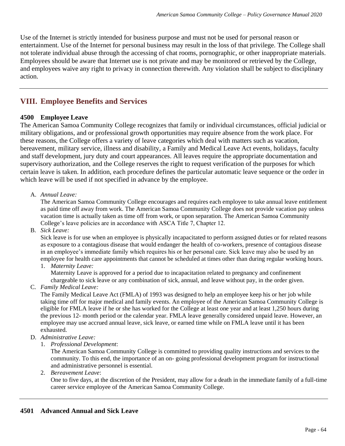Use of the Internet is strictly intended for business purpose and must not be used for personal reason or entertainment. Use of the Internet for personal business may result in the loss of that privilege. The College shall not tolerate individual abuse through the accessing of chat rooms, pornographic, or other inappropriate materials. Employees should be aware that Internet use is not private and may be monitored or retrieved by the College, and employees waive any right to privacy in connection therewith. Any violation shall be subject to disciplinary action.

# **VIII. Employee Benefits and Services**

## **4500 Employee Leave**

The American Samoa Community College recognizes that family or individual circumstances, official judicial or military obligations, and or professional growth opportunities may require absence from the work place. For these reasons, the College offers a variety of leave categories which deal with matters such as vacation, bereavement, military service, illness and disability, a Family and Medical Leave Act events, holidays, faculty and staff development, jury duty and court appearances. All leaves require the appropriate documentation and supervisory authorization, and the College reserves the right to request verification of the purposes for which certain leave is taken. In addition, each procedure defines the particular automatic leave sequence or the order in which leave will be used if not specified in advance by the employee.

## A. *Annual Leave:*

The American Samoa Community College encourages and requires each employee to take annual leave entitlement as paid time off away from work. The American Samoa Community College does not provide vacation pay unless vacation time is actually taken as time off from work, or upon separation. The American Samoa Community College's leave policies are in accordance with ASCA Title 7, Chapter 12.

B. *Sick Leave:*

Sick leave is for use when an employee is physically incapacitated to perform assigned duties or for related reasons as exposure to a contagious disease that would endanger the health of co-workers, presence of contagious disease in an employee's immediate family which requires his or her personal care. Sick leave may also be used by an employee for health care appointments that cannot be scheduled at times other than during regular working hours.

1. *Maternity Leave:*

Maternity Leave is approved for a period due to incapacitation related to pregnancy and confinement chargeable to sick leave or any combination of sick, annual, and leave without pay, in the order given.

C. *Family Medical Leave:*

The Family Medical Leave Act (FMLA) of 1993 was designed to help an employee keep his or her job while taking time off for major medical and family events. An employee of the American Samoa Community College is eligible for FMLA leave if he or she has worked for the College at least one year and at least 1,250 hours during the previous 12- month period or the calendar year. FMLA leave generally considered unpaid leave. However, an employee may use accrued annual leave, sick leave, or earned time while on FMLA leave until it has been exhausted.

- D. *Administrative Leave:*
	- 1. *Professional Development*:

The American Samoa Community College is committed to providing quality instructions and services to the community. To this end, the importance of an on- going professional development program for instructional and administrative personnel is essential.

2. *Bereavement Leave*:

One to five days, at the discretion of the President, may allow for a death in the immediate family of a full-time career service employee of the American Samoa Community College.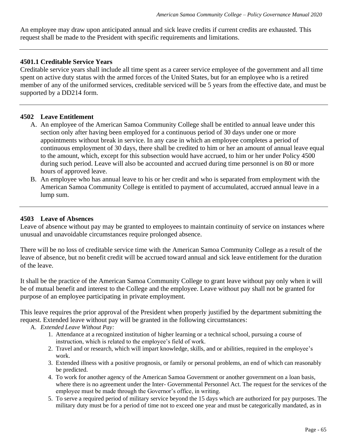An employee may draw upon anticipated annual and sick leave credits if current credits are exhausted. This request shall be made to the President with specific requirements and limitations.

#### **4501.1 Creditable Service Years**

Creditable service years shall include all time spent as a career service employee of the government and all time spent on active duty status with the armed forces of the United States, but for an employee who is a retired member of any of the uniformed services, creditable serviced will be 5 years from the effective date, and must be supported by a DD214 form.

#### **4502 Leave Entitlement**

- A. An employee of the American Samoa Community College shall be entitled to annual leave under this section only after having been employed for a continuous period of 30 days under one or more appointments without break in service. In any case in which an employee completes a period of continuous employment of 30 days, there shall be credited to him or her an amount of annual leave equal to the amount, which, except for this subsection would have accrued, to him or her under Policy 4500 during such period. Leave will also be accounted and accrued during time personnel is on 80 or more hours of approved leave.
- B. An employee who has annual leave to his or her credit and who is separated from employment with the American Samoa Community College is entitled to payment of accumulated, accrued annual leave in a lump sum.

#### **4503 Leave of Absences**

Leave of absence without pay may be granted to employees to maintain continuity of service on instances where unusual and unavoidable circumstances require prolonged absence.

There will be no loss of creditable service time with the American Samoa Community College as a result of the leave of absence, but no benefit credit will be accrued toward annual and sick leave entitlement for the duration of the leave.

It shall be the practice of the American Samoa Community College to grant leave without pay only when it will be of mutual benefit and interest to the College and the employee. Leave without pay shall not be granted for purpose of an employee participating in private employment.

This leave requires the prior approval of the President when properly justified by the department submitting the request. Extended leave without pay will be granted in the following circumstances:

#### A. *Extended Leave Without Pay:*

- 1. Attendance at a recognized institution of higher learning or a technical school, pursuing a course of instruction, which is related to the employee's field of work.
- 2. Travel and or research, which will impart knowledge, skills, and or abilities, required in the employee's work.
- 3. Extended illness with a positive prognosis, or family or personal problems, an end of which can reasonably be predicted.
- 4. To work for another agency of the American Samoa Government or another government on a loan basis, where there is no agreement under the Inter- Governmental Personnel Act. The request for the services of the employee must be made through the Governor's office, in writing.
- 5. To serve a required period of military service beyond the 15 days which are authorized for pay purposes. The military duty must be for a period of time not to exceed one year and must be categorically mandated, as in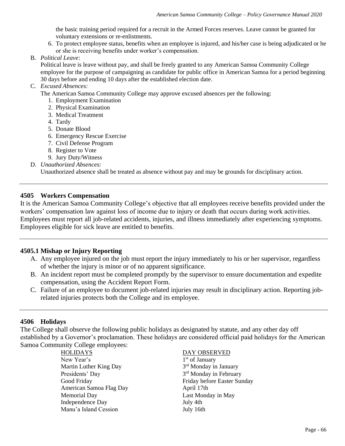the basic training period required for a recruit in the Armed Forces reserves. Leave cannot be granted for voluntary extensions or re-enlistments.

- 6. To protect employee status, benefits when an employee is injured, and his/her case is being adjudicated or he or she is receiving benefits under worker's compensation.
- B. *Political Leave*:

Political leave is leave without pay, and shall be freely granted to any American Samoa Community College employee for the purpose of campaigning as candidate for public office in American Samoa for a period beginning 30 days before and ending 10 days after the established election date.

#### C. *Excused Absences:*

The American Samoa Community College may approve excused absences per the following:

- 1. Employment Examination
- 2. Physical Examination
- 3. Medical Treatment
- 4. Tardy
- 5. Donate Blood
- 6. Emergency Rescue Exercise
- 7. Civil Defense Program
- 8. Register to Vote
- 9. Jury Duty/Witness
- D. *Unauthorized Absences:*

Unauthorized absence shall be treated as absence without pay and may be grounds for disciplinary action.

#### **4505 Workers Compensation**

It is the American Samoa Community College's objective that all employees receive benefits provided under the workers' compensation law against loss of income due to injury or death that occurs during work activities. Employees must report all job-related accidents, injuries, and illness immediately after experiencing symptoms. Employees eligible for sick leave are entitled to benefits.

#### **4505.1 Mishap or Injury Reporting**

- A. Any employee injured on the job must report the injury immediately to his or her supervisor, regardless of whether the injury is minor or of no apparent significance.
- B. An incident report must be completed promptly by the supervisor to ensure documentation and expedite compensation, using the Accident Report Form.
- C. Failure of an employee to document job-related injuries may result in disciplinary action. Reporting jobrelated injuries protects both the College and its employee.

#### **4506 Holidays**

The College shall observe the following public holidays as designated by statute, and any other day off established by a Governor's proclamation. These holidays are considered official paid holidays for the American Samoa Community College employees:

> HOLIDAYS DAY OBSERVED New Year's Martin Luther King Day 3 Presidents' Day American Samoa Flag Day **April 17th** Memorial Day **Last Monday** in May Independence Day July 4th Manu'a Island Cession July 16th

1<sup>st</sup> of January 3<sup>rd</sup> Monday in January 3<sup>rd</sup> Monday in February Good Friday **Friday Friday before Easter Sunday**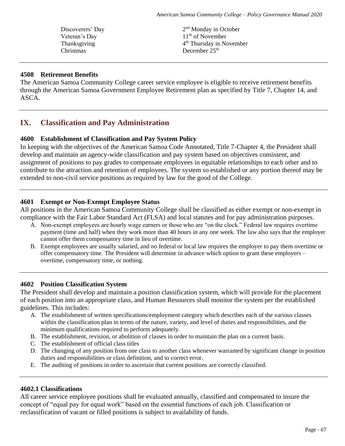Discoverers' Day Thanksgiving 4 Christmas December 25<sup>th</sup>

2<sup>nd</sup> Monday in October Veteran's Day  $11<sup>th</sup>$  of November 4<sup>th</sup> Thursday in November

## **4508 Retirement Benefits**

The American Samoa Community College career service employee is eligible to receive retirement benefits through the American Samoa Government Employee Retirement plan as specified by Title 7, Chapter 14, and ASCA.

# **IX. Classification and Pay Administration**

## **4600 Establishment of Classification and Pay System Policy**

In keeping with the objectives of the American Samoa Code Annotated, Title 7-Chapter 4, the President shall develop and maintain an agency-wide classification and pay system based on objectives consistent, and assignment of positions to pay grades to compensate employees in equitable relationships to each other and to contribute to the attraction and retention of employees. The system so established or any portion thereof may be extended to non-civil service positions as required by law for the good of the College.

#### **4601 Exempt or Non-Exempt Employee Status**

All positions in the American Samoa Community College shall be classified as either exempt or non-exempt in compliance with the Fair Labor Standard Act (FLSA) and local statutes and for pay administration purposes.

- A. Non-exempt employees are hourly wage earners or those who are "on the clock." Federal law requires overtime payment (time and half) when they work more than 40 hours in any one week. The law also says that the employer cannot offer them compensatory time in lieu of overtime.
- B. Exempt employees are usually salaried, and no federal or local law requires the employer to pay them overtime or offer compensatory time. The President will determine in advance which option to grant these employers – overtime, compensatory time, or nothing.

#### **4602 Position Classification System**

The President shall develop and maintain a position classification system, which will provide for the placement of each position into an appropriate class, and Human Resources shall monitor the system per the established guidelines. This includes:

- A. The establishment of written specifications/employment category which describes each of the various classes within the classification plan in terms of the nature, variety, and level of duties and responsibilities, and the minimum qualifications required to perform adequately.
- B. The establishment, revision, or abolition of classes in order to maintain the plan on a current basis.
- C. The establishment of official class titles
- D. The changing of any position from one class to another class whenever warranted by significant change in position duties and responsibilities or class definition, and to correct error.
- E. The auditing of positions in order to ascertain that current positions are correctly classified.

#### **4602.1 Classifications**

All career service employee positions shall be evaluated annually, classified and compensated to insure the concept of "equal pay for equal work" based on the essential functions of each job. Classification or reclassification of vacant or filled positions is subject to availability of funds.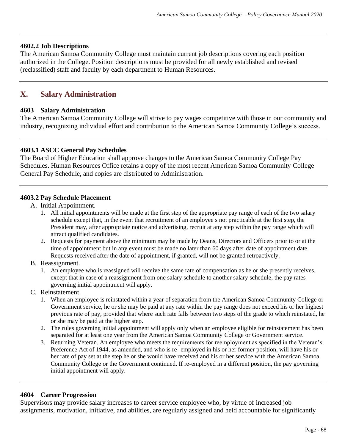#### **4602.2 Job Descriptions**

The American Samoa Community College must maintain current job descriptions covering each position authorized in the College. Position descriptions must be provided for all newly established and revised (reclassified) staff and faculty by each department to Human Resources.

# **X. Salary Administration**

#### **4603 Salary Administration**

The American Samoa Community College will strive to pay wages competitive with those in our community and industry, recognizing individual effort and contribution to the American Samoa Community College's success.

#### **4603.1 ASCC General Pay Schedules**

The Board of Higher Education shall approve changes to the American Samoa Community College Pay Schedules. Human Resources Office retains a copy of the most recent American Samoa Community College General Pay Schedule, and copies are distributed to Administration.

#### **4603.2 Pay Schedule Placement**

- A. Initial Appointment.
	- 1. All initial appointments will be made at the first step of the appropriate pay range of each of the two salary schedule except that, in the event that recruitment of an employee s not practicable at the first step, the President may, after appropriate notice and advertising, recruit at any step within the pay range which will attract qualified candidates.
	- 2. Requests for payment above the minimum may be made by Deans, Directors and Officers prior to or at the time of appointment but in any event must be made no later than 60 days after date of appointment date. Requests received after the date of appointment, if granted, will not be granted retroactively.
- B. Reassignment.
	- 1. An employee who is reassigned will receive the same rate of compensation as he or she presently receives, except that in case of a reassignment from one salary schedule to another salary schedule, the pay rates governing initial appointment will apply.
- C. Reinstatement.
	- 1. When an employee is reinstated within a year of separation from the American Samoa Community College or Government service, he or she may be paid at any rate within the pay range does not exceed his or her highest previous rate of pay, provided that where such rate falls between two steps of the grade to which reinstated, he or she may be paid at the higher step.
	- 2. The rules governing initial appointment will apply only when an employee eligible for reinstatement has been separated for at least one year from the American Samoa Community College or Government service.
	- 3. Returning Veteran. An employee who meets the requirements for reemployment as specified in the Veteran's Preference Act of 1944, as amended, and who is re- employed in his or her former position, will have his or her rate of pay set at the step he or she would have received and his or her service with the American Samoa Community College or the Government continued. If re-employed in a different position, the pay governing initial appointment will apply.

#### **4604 Career Progression**

Supervisors may provide salary increases to career service employee who, by virtue of increased job assignments, motivation, initiative, and abilities, are regularly assigned and held accountable for significantly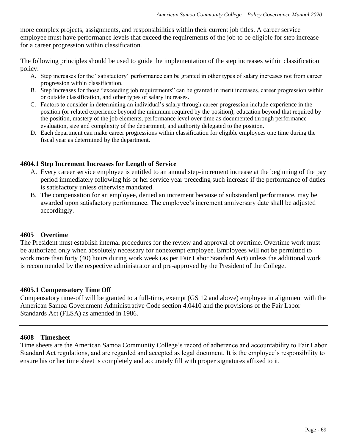more complex projects, assignments, and responsibilities within their current job titles. A career service employee must have performance levels that exceed the requirements of the job to be eligible for step increase for a career progression within classification.

The following principles should be used to guide the implementation of the step increases within classification policy:

- A. Step increases for the "satisfactory" performance can be granted in other types of salary increases not from career progression within classification.
- B. Step increases for those "exceeding job requirements" can be granted in merit increases, career progression within or outside classification, and other types of salary increases.
- C. Factors to consider in determining an individual's salary through career progression include experience in the position (or related experience beyond the minimum required by the position), education beyond that required by the position, mastery of the job elements, performance level over time as documented through performance evaluation, size and complexity of the department, and authority delegated to the position.
- D. Each department can make career progressions within classification for eligible employees one time during the fiscal year as determined by the department.

#### **4604.1 Step Increment Increases for Length of Service**

- A. Every career service employee is entitled to an annual step-increment increase at the beginning of the pay period immediately following his or her service year preceding such increase if the performance of duties is satisfactory unless otherwise mandated.
- B. The compensation for an employee, denied an increment because of substandard performance, may be awarded upon satisfactory performance. The employee's increment anniversary date shall be adjusted accordingly.

#### **4605 Overtime**

The President must establish internal procedures for the review and approval of overtime. Overtime work must be authorized only when absolutely necessary for nonexempt employee. Employees will not be permitted to work more than forty (40) hours during work week (as per Fair Labor Standard Act) unless the additional work is recommended by the respective administrator and pre-approved by the President of the College.

#### **4605.1 Compensatory Time Off**

Compensatory time-off will be granted to a full-time, exempt (GS 12 and above) employee in alignment with the American Samoa Government Administrative Code section 4.0410 and the provisions of the Fair Labor Standards Act (FLSA) as amended in 1986.

#### **4608 Timesheet**

Time sheets are the American Samoa Community College's record of adherence and accountability to Fair Labor Standard Act regulations, and are regarded and accepted as legal document. It is the employee's responsibility to ensure his or her time sheet is completely and accurately fill with proper signatures affixed to it.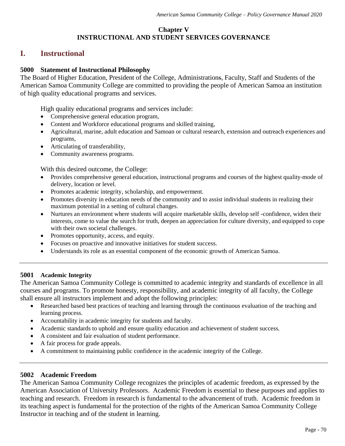# **Chapter V INSTRUCTIONAL AND STUDENT SERVICES GOVERNANCE**

# **I. Instructional**

## **5000 Statement of Instructional Philosophy**

The Board of Higher Education, President of the College, Administrations, Faculty, Staff and Students of the American Samoa Community College are committed to providing the people of American Samoa an institution of high quality educational programs and services.

High quality educational programs and services include:

- Comprehensive general education program,
- Content and Workforce educational programs and skilled training,
- Agricultural, marine, adult education and Samoan or cultural research, extension and outreach experiences and programs,
- Articulating of transferability,
- Community awareness programs.

With this desired outcome, the College:

- Provides comprehensive general education, instructional programs and courses of the highest quality mode of delivery, location or level.
- Promotes academic integrity, scholarship, and empowerment.
- Promotes diversity in education needs of the community and to assist individual students in realizing their maximum potential in a setting of cultural changes.
- Nurtures an environment where students will acquire marketable skills, develop self-confidence, widen their interests, come to value the search for truth, deepen an appreciation for culture diversity, and equipped to cope with their own societal challenges.
- Promotes opportunity, access, and equity.
- Focuses on proactive and innovative initiatives for student success.
- Understands its role as an essential component of the economic growth of American Samoa.

#### **5001 Academic Integrity**

The American Samoa Community College is committed to academic integrity and standards of excellence in all courses and programs. To promote honesty, responsibility, and academic integrity of all faculty, the College shall ensure all instructors implement and adopt the following principles:

- Researched based best practices of teaching and learning through the continuous evaluation of the teaching and learning process.
- Accountability in academic integrity for students and faculty.
- Academic standards to uphold and ensure quality education and achievement of student success.
- A consistent and fair evaluation of student performance.
- A fair process for grade appeals.
- A commitment to maintaining public confidence in the academic integrity of the College.

#### **5002 Academic Freedom**

The American Samoa Community College recognizes the principles of academic freedom, as expressed by the American Association of University Professors. Academic Freedom is essential to these purposes and applies to teaching and research. Freedom in research is fundamental to the advancement of truth. Academic freedom in its teaching aspect is fundamental for the protection of the rights of the American Samoa Community College Instructor in teaching and of the student in learning.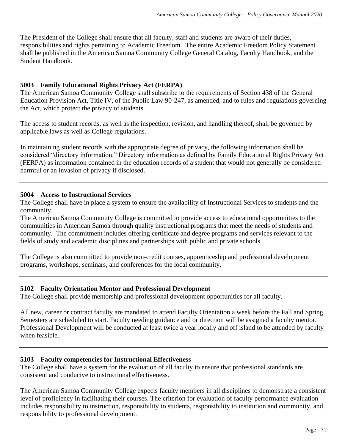The President of the College shall ensure that all faculty, staff and students are aware of their duties, responsibilities and rights pertaining to Academic Freedom. The entire Academic Freedom Policy Statement shall be published in the American Samoa Community College General Catalog, Faculty Handbook, and the Student Handbook.

## **5003 Family Educational Rights Privacy Act (FERPA)**

The American Samoa Community College shall subscribe to the requirements of Section 438 of the General Education Provision Act, Title IV, of the Public Law 90-247, as amended, and to rules and regulations governing the Act, which protect the privacy of students.

The access to student records, as well as the inspection, revision, and handling thereof, shall be governed by applicable laws as well as College regulations.

In maintaining student records with the appropriate degree of privacy, the following information shall be considered "directory information." Directory information as defined by Family Educational Rights Privacy Act (FERPA) as information contained in the education records of a student that would not generally be considered harmful or an invasion of privacy if disclosed.

#### **5004 Access to Instructional Services**

The College shall have in place a system to ensure the availability of Instructional Services to students and the community.

The American Samoa Community College is committed to provide access to educational opportunities to the communities in American Samoa through quality instructional programs that meet the needs of students and community. The commitment includes offering certificate and degree programs and services relevant to the fields of study and academic disciplines and partnerships with public and private schools.

The College is also committed to provide non-credit courses, apprenticeship and professional development programs, workshops, seminars, and conferences for the local community.

#### **5102 Faculty Orientation Mentor and Professional Development**

The College shall provide mentorship and professional development opportunities for all faculty.

All new, career or contract faculty are mandated to attend Faculty Orientation a week before the Fall and Spring Semesters are scheduled to start. Faculty needing guidance and or direction will be assigned a faculty mentor. Professional Development will be conducted at least twice a year locally and off island to be attended by faculty when feasible.

#### **5103 Faculty competencies for Instructional Effectiveness**

The College shall have a system for the evaluation of all faculty to ensure that professional standards are consistent and conducive to instructional effectiveness.

The American Samoa Community College expects faculty members in all disciplines to demonstrate a consistent level of proficiency in facilitating their courses. The criterion for evaluation of faculty performance evaluation includes responsibility to instruction, responsibility to students, responsibility to institution and community, and responsibility to professional development.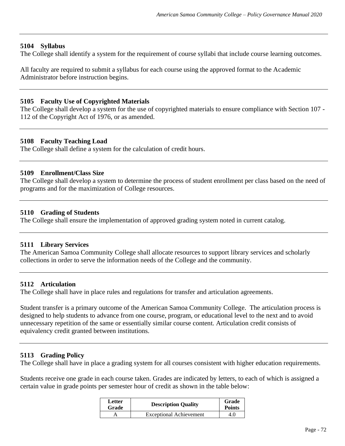#### **5104 Syllabus**

The College shall identify a system for the requirement of course syllabi that include course learning outcomes.

All faculty are required to submit a syllabus for each course using the approved format to the Academic Administrator before instruction begins.

#### **5105 Faculty Use of Copyrighted Materials**

The College shall develop a system for the use of copyrighted materials to ensure compliance with Section 107 - 112 of the Copyright Act of 1976, or as amended.

#### **5108 Faculty Teaching Load**

The College shall define a system for the calculation of credit hours.

#### **5109 Enrollment/Class Size**

The College shall develop a system to determine the process of student enrollment per class based on the need of programs and for the maximization of College resources.

#### **5110 Grading of Students**

The College shall ensure the implementation of approved grading system noted in current catalog.

### **5111 Library Services**

The American Samoa Community College shall allocate resources to support library services and scholarly collections in order to serve the information needs of the College and the community.

### **5112 Articulation**

The College shall have in place rules and regulations for transfer and articulation agreements.

Student transfer is a primary outcome of the American Samoa Community College. The articulation process is designed to help students to advance from one course, program, or educational level to the next and to avoid unnecessary repetition of the same or essentially similar course content. Articulation credit consists of equivalency credit granted between institutions.

### **5113 Grading Policy**

The College shall have in place a grading system for all courses consistent with higher education requirements.

Students receive one grade in each course taken. Grades are indicated by letters, to each of which is assigned a certain value in grade points per semester hour of credit as shown in the table below:

| Letter<br>Grade | <b>Description Quality</b>     | Grade<br><b>Points</b> |
|-----------------|--------------------------------|------------------------|
|                 | <b>Exceptional Achievement</b> | 4.0                    |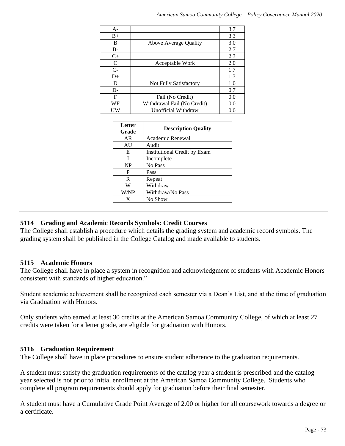| А-        |                             | 3.7 |
|-----------|-----------------------------|-----|
| $B+$      |                             | 3.3 |
| B         | Above Average Quality       | 3.0 |
| <b>B-</b> |                             | 2.7 |
| $C+$      |                             | 2.3 |
| C         | Acceptable Work             | 2.0 |
| $C-$      |                             | 1.7 |
| $D+$      |                             | 1.3 |
| D         | Not Fully Satisfactory      | 1.0 |
| D-        |                             | 0.7 |
| F         | Fail (No Credit)            | 0.0 |
| WF        | Withdrawal Fail (No Credit) | 0.0 |
| UW        | Unofficial Withdraw         | 0.0 |

| Letter<br>Grade | <b>Description Quality</b>   |
|-----------------|------------------------------|
| AR              | Academic Renewal             |
| AU              | Audit                        |
| E               | Institutional Credit by Exam |
|                 | Incomplete                   |
| <b>NP</b>       | No Pass                      |
| P               | Pass                         |
| R               | Repeat                       |
| W               | Withdraw                     |
| W/NP            | Withdraw/No Pass             |
| X               | No Show                      |

## **5114 Grading and Academic Records Symbols: Credit Courses**

The College shall establish a procedure which details the grading system and academic record symbols. The grading system shall be published in the College Catalog and made available to students.

## **5115 Academic Honors**

The College shall have in place a system in recognition and acknowledgment of students with Academic Honors consistent with standards of higher education."

Student academic achievement shall be recognized each semester via a Dean's List, and at the time of graduation via Graduation with Honors.

Only students who earned at least 30 credits at the American Samoa Community College, of which at least 27 credits were taken for a letter grade, are eligible for graduation with Honors.

## **5116 Graduation Requirement**

The College shall have in place procedures to ensure student adherence to the graduation requirements.

A student must satisfy the graduation requirements of the catalog year a student is prescribed and the catalog year selected is not prior to initial enrollment at the American Samoa Community College. Students who complete all program requirements should apply for graduation before their final semester.

A student must have a Cumulative Grade Point Average of 2.00 or higher for all coursework towards a degree or a certificate.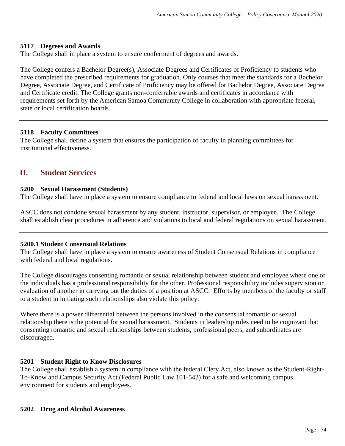## **5117 Degrees and Awards**

The College shall in place a system to ensure conferment of degrees and awards.

The College confers a Bachelor Degree(s), Associate Degrees and Certificates of Proficiency to students who have completed the prescribed requirements for graduation. Only courses that meet the standards for a Bachelor Degree, Associate Degree, and Certificate of Proficiency may be offered for Bachelor Degree, Associate Degree and Certificate credit. The College grants non-conferrable awards and certificates in accordance with requirements set forth by the American Samoa Community College in collaboration with appropriate federal, state or local certification boards.

### **5118 Faculty Committees**

The College shall define a system that ensures the participation of faculty in planning committees for institutional effectiveness.

## **II. Student Services**

## **5200 Sexual Harassment (Students)**

The College shall have in place a system to ensure compliance to federal and local laws on sexual harassment.

ASCC does not condone sexual harassment by any student, instructor, supervisor, or employee. The College shall establish clear procedures in adherence and violations to local and federal regulations on sexual harassment.

## **5200.1 Student Consensual Relations**

The College shall have in place a system to ensure awareness of Student Consensual Relations in compliance with federal and local regulations.

The College discourages consenting romantic or sexual relationship between student and employee where one of the individuals has a professional responsibility for the other. Professional responsibility includes supervision or evaluation of another in carrying out the duties of a position at ASCC. Efforts by members of the faculty or staff to a student in initiating such relationships also violate this policy.

Where there is a power differential between the persons involved in the consensual romantic or sexual relationship there is the potential for sexual harassment. Students in leadership roles need to be cognizant that consenting romantic and sexual relationships between students, professional peers, and subordinates are discouraged.

## **5201 Student Right to Know Disclosures**

The College shall establish a system in compliance with the federal Clery Act, also known as the Student-Right-To-Know and Campus Security Act (Federal Public Law 101-542) for a safe and welcoming campus environment for students and employees.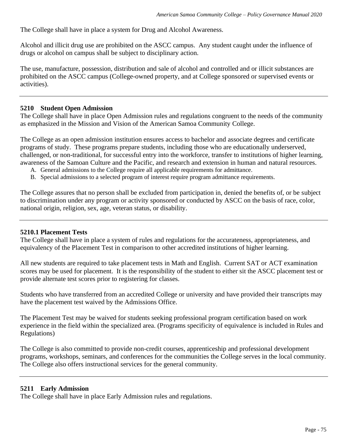The College shall have in place a system for Drug and Alcohol Awareness.

Alcohol and illicit drug use are prohibited on the ASCC campus. Any student caught under the influence of drugs or alcohol on campus shall be subject to disciplinary action.

The use, manufacture, possession, distribution and sale of alcohol and controlled and or illicit substances are prohibited on the ASCC campus (College-owned property, and at College sponsored or supervised events or activities).

#### **5210 Student Open Admission**

The College shall have in place Open Admission rules and regulations congruent to the needs of the community as emphasized in the Mission and Vision of the American Samoa Community College.

The College as an open admission institution ensures access to bachelor and associate degrees and certificate programs of study. These programs prepare students, including those who are educationally underserved, challenged, or non-traditional, for successful entry into the workforce, transfer to institutions of higher learning, awareness of the Samoan Culture and the Pacific, and research and extension in human and natural resources.

- A. General admissions to the College require all applicable requirements for admittance.
- B. Special admissions to a selected program of interest require program admittance requirements.

The College assures that no person shall be excluded from participation in, denied the benefits of, or be subject to discrimination under any program or activity sponsored or conducted by ASCC on the basis of race, color, national origin, religion, sex, age, veteran status, or disability.

#### **5210.1 Placement Tests**

The College shall have in place a system of rules and regulations for the accurateness, appropriateness, and equivalency of the Placement Test in comparison to other accredited institutions of higher learning.

All new students are required to take placement tests in Math and English. Current SAT or ACT examination scores may be used for placement. It is the responsibility of the student to either sit the ASCC placement test or provide alternate test scores prior to registering for classes.

Students who have transferred from an accredited College or university and have provided their transcripts may have the placement test waived by the Admissions Office.

The Placement Test may be waived for students seeking professional program certification based on work experience in the field within the specialized area. (Programs specificity of equivalence is included in Rules and Regulations)

The College is also committed to provide non-credit courses, apprenticeship and professional development programs, workshops, seminars, and conferences for the communities the College serves in the local community. The College also offers instructional services for the general community.

#### **5211 Early Admission**

The College shall have in place Early Admission rules and regulations.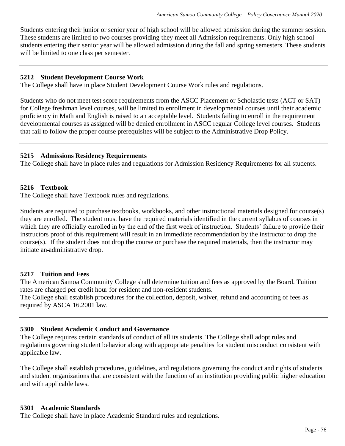Students entering their junior or senior year of high school will be allowed admission during the summer session. These students are limited to two courses providing they meet all Admission requirements. Only high school students entering their senior year will be allowed admission during the fall and spring semesters. These students will be limited to one class per semester.

## **5212 Student Development Course Work**

The College shall have in place Student Development Course Work rules and regulations.

Students who do not meet test score requirements from the ASCC Placement or Scholastic tests (ACT or SAT) for College freshman level courses, will be limited to enrollment in developmental courses until their academic proficiency in Math and English is raised to an acceptable level. Students failing to enroll in the requirement developmental courses as assigned will be denied enrollment in ASCC regular College level courses. Students that fail to follow the proper course prerequisites will be subject to the Administrative Drop Policy.

### **5215 Admissions Residency Requirements**

The College shall have in place rules and regulations for Admission Residency Requirements for all students.

## **5216 Textbook**

The College shall have Textbook rules and regulations.

Students are required to purchase textbooks, workbooks, and other instructional materials designed for course(s) they are enrolled. The student must have the required materials identified in the current syllabus of courses in which they are officially enrolled in by the end of the first week of instruction. Students' failure to provide their instructors proof of this requirement will result in an immediate recommendation by the instructor to drop the course(s). If the student does not drop the course or purchase the required materials, then the instructor may initiate an administrative drop.

### **5217 Tuition and Fees**

The American Samoa Community College shall determine tuition and fees as approved by the Board. Tuition rates are charged per credit hour for resident and non-resident students.

The College shall establish procedures for the collection, deposit, waiver, refund and accounting of fees as required by ASCA 16.2001 law.

## **5300 Student Academic Conduct and Governance**

The College requires certain standards of conduct of all its students. The College shall adopt rules and regulations governing student behavior along with appropriate penalties for student misconduct consistent with applicable law.

The College shall establish procedures, guidelines, and regulations governing the conduct and rights of students and student organizations that are consistent with the function of an institution providing public higher education and with applicable laws.

### **5301 Academic Standards**

The College shall have in place Academic Standard rules and regulations.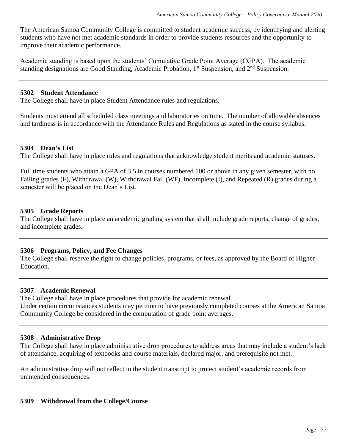The American Samoa Community College is committed to student academic success, by identifying and alerting students who have not met academic standards in order to provide students resources and the opportunity to improve their academic performance.

Academic standing is based upon the students' Cumulative Grade Point Average (CGPA). The academic standing designations are Good Standing, Academic Probation, 1st Suspension, and 2nd Suspension.

#### **5302 Student Attendance**

The College shall have in place Student Attendance rules and regulations.

Students must attend all scheduled class meetings and laboratories on time. The number of allowable absences and tardiness is in accordance with the Attendance Rules and Regulations as stated in the course syllabus.

#### **5304 Dean's List**

The College shall have in place rules and regulations that acknowledge student merits and academic statuses.

Full time students who attain a GPA of 3.5 in courses numbered 100 or above in any given semester, with no Failing grades (F), Withdrawal (W), Withdrawal Fail (WF), Incomplete (I), and Repeated (R) grades during a semester will be placed on the Dean's List.

### **5305 Grade Reports**

The College shall have in place an academic grading system that shall include grade reports, change of grades, and incomplete grades.

## **5306 Programs, Policy, and Fee Changes**

The College shall reserve the right to change policies, programs, or fees, as approved by the Board of Higher Education.

#### **5307 Academic Renewal**

The College shall have in place procedures that provide for academic renewal. Under certain circumstances students may petition to have previously completed courses at the American Samoa Community College be considered in the computation of grade point averages.

### **5308 Administrative Drop**

The College shall have in place administrative drop procedures to address areas that may include a student's lack of attendance, acquiring of textbooks and course materials, declared major, and prerequisite not met.

An administrative drop will not reflect in the student transcript to protect student's academic records from unintended consequences.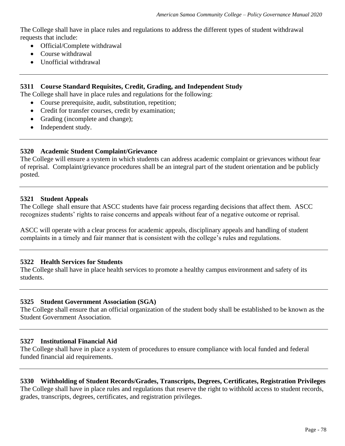The College shall have in place rules and regulations to address the different types of student withdrawal requests that include:

- Official/Complete withdrawal
- Course withdrawal
- Unofficial withdrawal

## **5311 Course Standard Requisites, Credit, Grading, and Independent Study**

The College shall have in place rules and regulations for the following:

- Course prerequisite, audit, substitution, repetition;
- Credit for transfer courses, credit by examination;
- Grading (incomplete and change);
- Independent study.

## **5320 Academic Student Complaint/Grievance**

The College will ensure a system in which students can address academic complaint or grievances without fear of reprisal. Complaint/grievance procedures shall be an integral part of the student orientation and be publicly posted.

### **5321 Student Appeals**

The College shall ensure that ASCC students have fair process regarding decisions that affect them. ASCC recognizes students' rights to raise concerns and appeals without fear of a negative outcome or reprisal.

ASCC will operate with a clear process for academic appeals, disciplinary appeals and handling of student complaints in a timely and fair manner that is consistent with the college's rules and regulations.

### **5322 Health Services for Students**

The College shall have in place health services to promote a healthy campus environment and safety of its students.

### **5325 Student Government Association (SGA)**

The College shall ensure that an official organization of the student body shall be established to be known as the Student Government Association.

### **5327 Institutional Financial Aid**

The College shall have in place a system of procedures to ensure compliance with local funded and federal funded financial aid requirements.

## **5330 Withholding of Student Records/Grades, Transcripts, Degrees, Certificates, Registration Privileges** The College shall have in place rules and regulations that reserve the right to withhold access to student records, grades, transcripts, degrees, certificates, and registration privileges.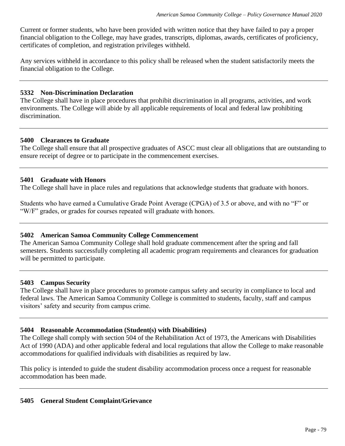Current or former students, who have been provided with written notice that they have failed to pay a proper financial obligation to the College, may have grades, transcripts, diplomas, awards, certificates of proficiency, certificates of completion, and registration privileges withheld.

Any services withheld in accordance to this policy shall be released when the student satisfactorily meets the financial obligation to the College.

## **5332 Non-Discrimination Declaration**

The College shall have in place procedures that prohibit discrimination in all programs, activities, and work environments. The College will abide by all applicable requirements of local and federal law prohibiting discrimination.

## **5400 Clearances to Graduate**

The College shall ensure that all prospective graduates of ASCC must clear all obligations that are outstanding to ensure receipt of degree or to participate in the commencement exercises.

## **5401 Graduate with Honors**

The College shall have in place rules and regulations that acknowledge students that graduate with honors.

Students who have earned a Cumulative Grade Point Average (CPGA) of 3.5 or above, and with no "F" or "W/F" grades, or grades for courses repeated will graduate with honors.

## **5402 American Samoa Community College Commencement**

The American Samoa Community College shall hold graduate commencement after the spring and fall semesters. Students successfully completing all academic program requirements and clearances for graduation will be permitted to participate.

### **5403 Campus Security**

The College shall have in place procedures to promote campus safety and security in compliance to local and federal laws. The American Samoa Community College is committed to students, faculty, staff and campus visitors' safety and security from campus crime.

### **5404 Reasonable Accommodation (Student(s) with Disabilities)**

The College shall comply with section 504 of the Rehabilitation Act of 1973, the Americans with Disabilities Act of 1990 (ADA) and other applicable federal and local regulations that allow the College to make reasonable accommodations for qualified individuals with disabilities as required by law.

This policy is intended to guide the student disability accommodation process once a request for reasonable accommodation has been made.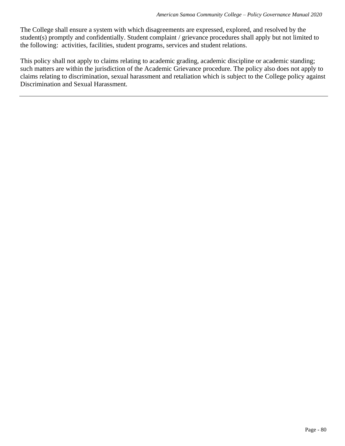The College shall ensure a system with which disagreements are expressed, explored, and resolved by the student(s) promptly and confidentially. Student complaint / grievance procedures shall apply but not limited to the following: activities, facilities, student programs, services and student relations.

This policy shall not apply to claims relating to academic grading, academic discipline or academic standing; such matters are within the jurisdiction of the Academic Grievance procedure. The policy also does not apply to claims relating to discrimination, sexual harassment and retaliation which is subject to the College policy against Discrimination and Sexual Harassment.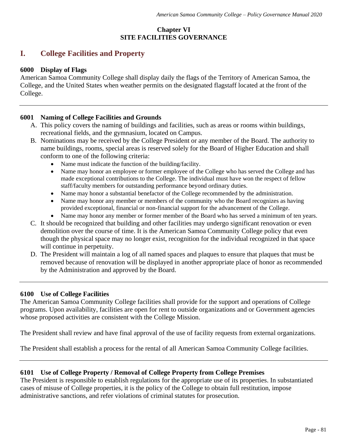## **Chapter VI SITE FACILITIES GOVERNANCE**

## **I. College Facilities and Property**

## **6000 Display of Flags**

American Samoa Community College shall display daily the flags of the Territory of American Samoa, the College, and the United States when weather permits on the designated flagstaff located at the front of the College.

## **6001 Naming of College Facilities and Grounds**

- A. This policy covers the naming of buildings and facilities, such as areas or rooms within buildings, recreational fields, and the gymnasium, located on Campus.
- B. Nominations may be received by the College President or any member of the Board. The authority to name buildings, rooms, special areas is reserved solely for the Board of Higher Education and shall conform to one of the following criteria:
	- Name must indicate the function of the building/facility.
	- Name may honor an employee or former employee of the College who has served the College and has made exceptional contributions to the College. The individual must have won the respect of fellow staff/faculty members for outstanding performance beyond ordinary duties.
	- Name may honor a substantial benefactor of the College recommended by the administration.
	- Name may honor any member or members of the community who the Board recognizes as having provided exceptional, financial or non-financial support for the advancement of the College.
	- Name may honor any member or former member of the Board who has served a minimum of ten years.
- C. It should be recognized that building and other facilities may undergo significant renovation or even demolition over the course of time. It is the American Samoa Community College policy that even though the physical space may no longer exist, recognition for the individual recognized in that space will continue in perpetuity.
- D. The President will maintain a log of all named spaces and plaques to ensure that plaques that must be removed because of renovation will be displayed in another appropriate place of honor as recommended by the Administration and approved by the Board.

## **6100 Use of College Facilities**

The American Samoa Community College facilities shall provide for the support and operations of College programs. Upon availability, facilities are open for rent to outside organizations and or Government agencies whose proposed activities are consistent with the College Mission.

The President shall review and have final approval of the use of facility requests from external organizations.

The President shall establish a process for the rental of all American Samoa Community College facilities.

## **6101 Use of College Property / Removal of College Property from College Premises**

The President is responsible to establish regulations for the appropriate use of its properties. In substantiated cases of misuse of College properties, it is the policy of the College to obtain full restitution, impose administrative sanctions, and refer violations of criminal statutes for prosecution.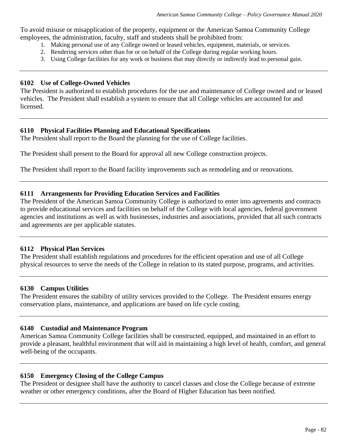To avoid misuse or misapplication of the property, equipment or the American Samoa Community College employees, the administration, faculty, staff and students shall be prohibited from:

- 1. Making personal use of any College owned or leased vehicles, equipment, materials, or services.
- 2. Rendering services other than for or on behalf of the College during regular working hours.
- 3. Using College facilities for any work or business that may directly or indirectly lead to personal gain.

#### **6102 Use of College-Owned Vehicles**

The President is authorized to establish procedures for the use and maintenance of College owned and or leased vehicles. The President shall establish a system to ensure that all College vehicles are accounted for and licensed.

### **6110 Physical Facilities Planning and Educational Specifications**

The President shall report to the Board the planning for the use of College facilities.

The President shall present to the Board for approval all new College construction projects.

The President shall report to the Board facility improvements such as remodeling and or renovations.

## **6111 Arrangements for Providing Education Services and Facilities**

The President of the American Samoa Community College is authorized to enter into agreements and contracts to provide educational services and facilities on behalf of the College with local agencies, federal government agencies and institutions as well as with businesses, industries and associations, provided that all such contracts and agreements are per applicable statutes.

### **6112 Physical Plan Services**

The President shall establish regulations and procedures for the efficient operation and use of all College physical resources to serve the needs of the College in relation to its stated purpose, programs, and activities.

### **6130 Campus Utilities**

The President ensures the stability of utility services provided to the College. The President ensures energy conservation plans, maintenance, and applications are based on life cycle costing.

### **6140 Custodial and Maintenance Program**

American Samoa Community College facilities shall be constructed, equipped, and maintained in an effort to provide a pleasant, healthful environment that will aid in maintaining a high level of health, comfort, and general well-being of the occupants.

### **6150 Emergency Closing of the College Campus**

The President or designee shall have the authority to cancel classes and close the College because of extreme weather or other emergency conditions, after the Board of Higher Education has been notified.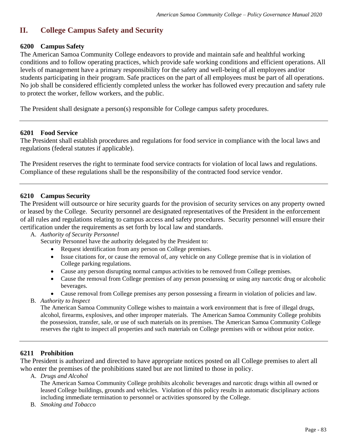# **II. College Campus Safety and Security**

## **6200 Campus Safety**

The American Samoa Community College endeavors to provide and maintain safe and healthful working conditions and to follow operating practices, which provide safe working conditions and efficient operations. All levels of management have a primary responsibility for the safety and well-being of all employees and/or students participating in their program. Safe practices on the part of all employees must be part of all operations. No job shall be considered efficiently completed unless the worker has followed every precaution and safety rule to protect the worker, fellow workers, and the public.

The President shall designate a person(s) responsible for College campus safety procedures.

### **6201 Food Service**

The President shall establish procedures and regulations for food service in compliance with the local laws and regulations (federal statutes if applicable).

The President reserves the right to terminate food service contracts for violation of local laws and regulations. Compliance of these regulations shall be the responsibility of the contracted food service vendor.

## **6210 Campus Security**

The President will outsource or hire security guards for the provision of security services on any property owned or leased by the College. Security personnel are designated representatives of the President in the enforcement of all rules and regulations relating to campus access and safety procedures. Security personnel will ensure their certification under the requirements as set forth by local law and standards.

### A. *Authority of Security Personnel*

Security Personnel have the authority delegated by the President to:

- Request identification from any person on College premises.
- Issue citations for, or cause the removal of, any vehicle on any College premise that is in violation of College parking regulations.
- Cause any person disrupting normal campus activities to be removed from College premises.
- Cause the removal from College premises of any person possessing or using any narcotic drug or alcoholic beverages.
- Cause removal from College premises any person possessing a firearm in violation of policies and law.
- B. *Authority to Inspect*

The American Samoa Community College wishes to maintain a work environment that is free of illegal drugs, alcohol, firearms, explosives, and other improper materials. The American Samoa Community College prohibits the possession, transfer, sale, or use of such materials on its premises. The American Samoa Community College reserves the right to inspect all properties and such materials on College premises with or without prior notice.

### **6211 Prohibition**

The President is authorized and directed to have appropriate notices posted on all College premises to alert all who enter the premises of the prohibitions stated but are not limited to those in policy.

A. *Drugs and Alcohol* 

The American Samoa Community College prohibits alcoholic beverages and narcotic drugs within all owned or leased College buildings, grounds and vehicles. Violation of this policy results in automatic disciplinary actions including immediate termination to personnel or activities sponsored by the College.

B. *Smoking and Tobacco*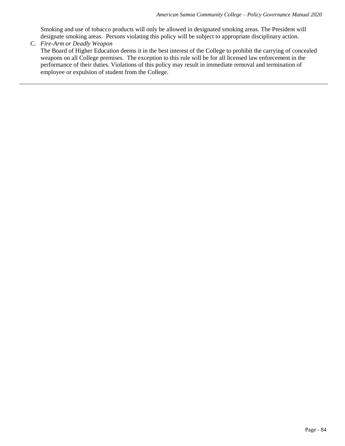Smoking and use of tobacco products will only be allowed in designated smoking areas. The President will designate smoking areas. Persons violating this policy will be subject to appropriate disciplinary action.

C. *Fire-Arm or Deadly Weapon* The Board of Higher Education deems it in the best interest of the College to prohibit the carrying of concealed weapons on all College premises. The exception to this rule will be for all licensed law enforcement in the performance of their duties. Violations of this policy may result in immediate removal and termination of employee or expulsion of student from the College.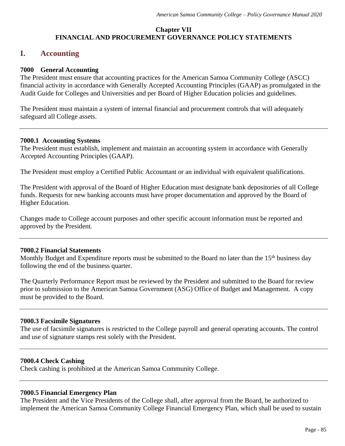## **Chapter VII FINANCIAL AND PROCUREMENT GOVERNANCE POLICY STATEMENTS**

## **I. Accounting**

## **7000 General Accounting**

The President must ensure that accounting practices for the American Samoa Community College (ASCC) financial activity in accordance with Generally Accepted Accounting Principles (GAAP) as promulgated in the Audit Guide for Colleges and Universities and per Board of Higher Education policies and guidelines.

The President must maintain a system of internal financial and procurement controls that will adequately safeguard all College assets.

### **7000.1 Accounting Systems**

The President must establish, implement and maintain an accounting system in accordance with Generally Accepted Accounting Principles (GAAP).

The President must employ a Certified Public Accountant or an individual with equivalent qualifications.

The President with approval of the Board of Higher Education must designate bank depositories of all College funds. Requests for new banking accounts must have proper documentation and approved by the Board of Higher Education.

Changes made to College account purposes and other specific account information must be reported and approved by the President.

## **7000.2 Financial Statements**

Monthly Budget and Expenditure reports must be submitted to the Board no later than the 15<sup>th</sup> business day following the end of the business quarter.

The Quarterly Performance Report must be reviewed by the President and submitted to the Board for review prior to submission to the American Samoa Government (ASG) Office of Budget and Management. A copy must be provided to the Board.

## **7000.3 Facsimile Signatures**

The use of facsimile signatures is restricted to the College payroll and general operating accounts. The control and use of signature stamps rest solely with the President.

### **7000.4 Check Cashing**

Check cashing is prohibited at the American Samoa Community College.

### **7000.5 Financial Emergency Plan**

The President and the Vice Presidents of the College shall, after approval from the Board, be authorized to implement the American Samoa Community College Financial Emergency Plan, which shall be used to sustain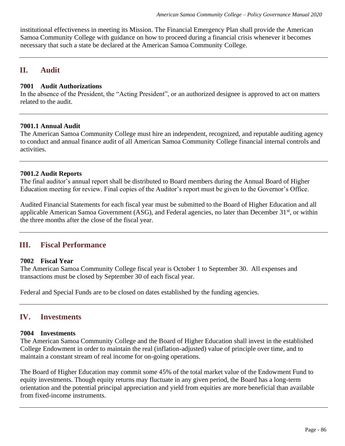institutional effectiveness in meeting its Mission. The Financial Emergency Plan shall provide the American Samoa Community College with guidance on how to proceed during a financial crisis whenever it becomes necessary that such a state be declared at the American Samoa Community College.

## **II. Audit**

## **7001 Audit Authorizations**

In the absence of the President, the "Acting President", or an authorized designee is approved to act on matters related to the audit.

## **7001.1 Annual Audit**

The American Samoa Community College must hire an independent, recognized, and reputable auditing agency to conduct and annual finance audit of all American Samoa Community College financial internal controls and activities.

## **7001.2 Audit Reports**

The final auditor's annual report shall be distributed to Board members during the Annual Board of Higher Education meeting for review. Final copies of the Auditor's report must be given to the Governor's Office.

Audited Financial Statements for each fiscal year must be submitted to the Board of Higher Education and all applicable American Samoa Government (ASG), and Federal agencies, no later than December 31<sup>st</sup>, or within the three months after the close of the fiscal year.

## **III. Fiscal Performance**

## **7002 Fiscal Year**

The American Samoa Community College fiscal year is October 1 to September 30. All expenses and transactions must be closed by September 30 of each fiscal year.

Federal and Special Funds are to be closed on dates established by the funding agencies.

## **IV. Investments**

### **7004 Investments**

The American Samoa Community College and the Board of Higher Education shall invest in the established College Endowment in order to maintain the real (inflation-adjusted) value of principle over time, and to maintain a constant stream of real income for on-going operations.

The Board of Higher Education may commit some 45% of the total market value of the Endowment Fund to equity investments. Though equity returns may fluctuate in any given period, the Board has a long-term orientation and the potential principal appreciation and yield from equities are more beneficial than available from fixed-income instruments.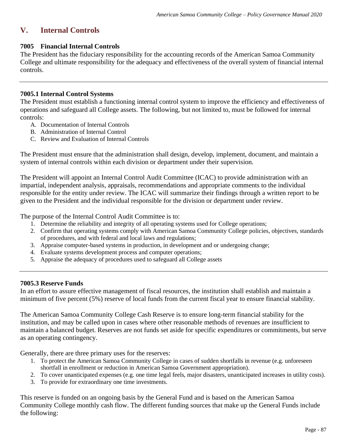# **V. Internal Controls**

## **7005 Financial Internal Controls**

The President has the fiduciary responsibility for the accounting records of the American Samoa Community College and ultimate responsibility for the adequacy and effectiveness of the overall system of financial internal controls.

## **7005.1 Internal Control Systems**

The President must establish a functioning internal control system to improve the efficiency and effectiveness of operations and safeguard all College assets. The following, but not limited to, must be followed for internal controls:

- A. Documentation of Internal Controls
- B. Administration of Internal Control
- C. Review and Evaluation of Internal Controls

The President must ensure that the administration shall design, develop, implement, document, and maintain a system of internal controls within each division or department under their supervision.

The President will appoint an Internal Control Audit Committee (ICAC) to provide administration with an impartial, independent analysis, appraisals, recommendations and appropriate comments to the individual responsible for the entity under review. The ICAC will summarize their findings through a written report to be given to the President and the individual responsible for the division or department under review.

The purpose of the Internal Control Audit Committee is to:

- 1. Determine the reliability and integrity of all operating systems used for College operations;
- 2. Confirm that operating systems comply with American Samoa Community College policies, objectives, standards of procedures, and with federal and local laws and regulations;
- 3. Appraise computer-based systems in production, in development and or undergoing change;
- 4. Evaluate systems development process and computer operations;
- 5. Appraise the adequacy of procedures used to safeguard all College assets

## **7005.3 Reserve Funds**

In an effort to assure effective management of fiscal resources, the institution shall establish and maintain a minimum of five percent (5%) reserve of local funds from the current fiscal year to ensure financial stability.

The American Samoa Community College Cash Reserve is to ensure long-term financial stability for the institution, and may be called upon in cases where other reasonable methods of revenues are insufficient to maintain a balanced budget. Reserves are not funds set aside for specific expenditures or commitments, but serve as an operating contingency.

Generally, there are three primary uses for the reserves:

- 1. To protect the American Samoa Community College in cases of sudden shortfalls in revenue (e.g. unforeseen shortfall in enrollment or reduction in American Samoa Government appropriation).
- 2. To cover unanticipated expenses (e.g. one time legal feels, major disasters, unanticipated increases in utility costs).
- 3. To provide for extraordinary one time investments.

This reserve is funded on an ongoing basis by the General Fund and is based on the American Samoa Community College monthly cash flow. The different funding sources that make up the General Funds include the following: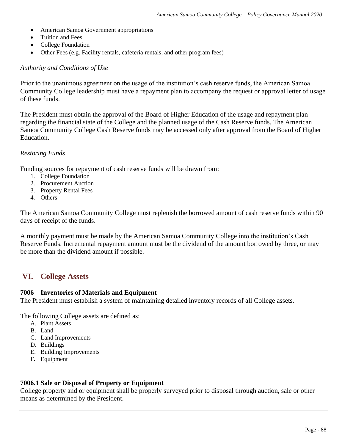- American Samoa Government appropriations
- Tuition and Fees
- College Foundation
- Other Fees (e.g. Facility rentals, cafeteria rentals, and other program fees)

#### *Authority and Conditions of Use*

Prior to the unanimous agreement on the usage of the institution's cash reserve funds, the American Samoa Community College leadership must have a repayment plan to accompany the request or approval letter of usage of these funds.

The President must obtain the approval of the Board of Higher Education of the usage and repayment plan regarding the financial state of the College and the planned usage of the Cash Reserve funds. The American Samoa Community College Cash Reserve funds may be accessed only after approval from the Board of Higher Education.

#### *Restoring Funds*

Funding sources for repayment of cash reserve funds will be drawn from:

- 1. College Foundation
- 2. Procurement Auction
- 3. Property Rental Fees
- 4. Others

The American Samoa Community College must replenish the borrowed amount of cash reserve funds within 90 days of receipt of the funds.

A monthly payment must be made by the American Samoa Community College into the institution's Cash Reserve Funds. Incremental repayment amount must be the dividend of the amount borrowed by three, or may be more than the dividend amount if possible.

## **VI. College Assets**

#### **7006 Inventories of Materials and Equipment**

The President must establish a system of maintaining detailed inventory records of all College assets.

The following College assets are defined as:

- A. Plant Assets
- B. Land
- C. Land Improvements
- D. Buildings
- E. Building Improvements
- F. Equipment

### **7006.1 Sale or Disposal of Property or Equipment**

College property and or equipment shall be properly surveyed prior to disposal through auction, sale or other means as determined by the President.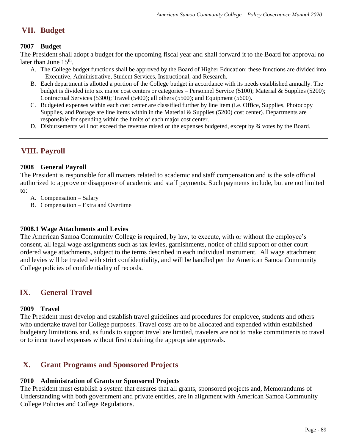# **VII. Budget**

## **7007 Budget**

The President shall adopt a budget for the upcoming fiscal year and shall forward it to the Board for approval no later than June 15<sup>th</sup>.

- A. The College budget functions shall be approved by the Board of Higher Education; these functions are divided into – Executive, Administrative, Student Services, Instructional, and Research.
- B. Each department is allotted a portion of the College budget in accordance with its needs established annually. The budget is divided into six major cost centers or categories – Personnel Service (5100); Material & Supplies (5200); Contractual Services (5300); Travel (5400); all others (5500); and Equipment (5600).
- C. Budgeted expenses within each cost center are classified further by line item (i.e. Office, Supplies, Photocopy Supplies, and Postage are line items within in the Material & Supplies (5200) cost center). Departments are responsible for spending within the limits of each major cost center.
- D. Disbursements will not exceed the revenue raised or the expenses budgeted, except by ¾ votes by the Board.

# **VIII. Payroll**

## **7008 General Payroll**

The President is responsible for all matters related to academic and staff compensation and is the sole official authorized to approve or disapprove of academic and staff payments. Such payments include, but are not limited to:

- A. Compensation Salary
- B. Compensation Extra and Overtime

## **7008.1 Wage Attachments and Levies**

The American Samoa Community College is required, by law, to execute, with or without the employee's consent, all legal wage assignments such as tax levies, garnishments, notice of child support or other court ordered wage attachments, subject to the terms described in each individual instrument. All wage attachment and levies will be treated with strict confidentiality, and will be handled per the American Samoa Community College policies of confidentiality of records.

## **IX. General Travel**

## **7009 Travel**

The President must develop and establish travel guidelines and procedures for employee, students and others who undertake travel for College purposes. Travel costs are to be allocated and expended within established budgetary limitations and, as funds to support travel are limited, travelers are not to make commitments to travel or to incur travel expenses without first obtaining the appropriate approvals.

# **X. Grant Programs and Sponsored Projects**

## **7010 Administration of Grants or Sponsored Projects**

The President must establish a system that ensures that all grants, sponsored projects and, Memorandums of Understanding with both government and private entities, are in alignment with American Samoa Community College Policies and College Regulations.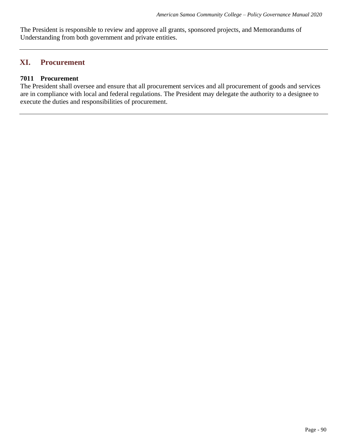The President is responsible to review and approve all grants, sponsored projects, and Memorandums of Understanding from both government and private entities.

## **XI. Procurement**

## **7011 Procurement**

The President shall oversee and ensure that all procurement services and all procurement of goods and services are in compliance with local and federal regulations. The President may delegate the authority to a designee to execute the duties and responsibilities of procurement.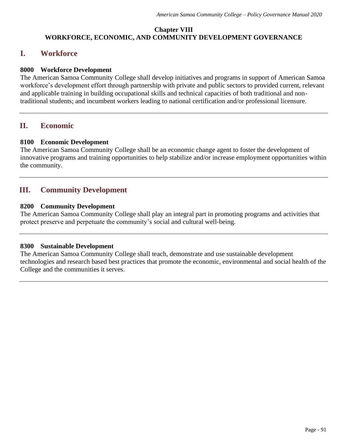## **Chapter VIII WORKFORCE, ECONOMIC, AND COMMUNITY DEVELOPMENT GOVERNANCE**

## **I. Workforce**

## **8000 Workforce Development**

The American Samoa Community College shall develop initiatives and programs in support of American Samoa workforce's development effort through partnership with private and public sectors to provided current, relevant and applicable training in building occupational skills and technical capacities of both traditional and nontraditional students; and incumbent workers leading to national certification and/or professional licensure.

## **II. Economic**

### **8100 Economic Development**

The American Samoa Community College shall be an economic change agent to foster the development of innovative programs and training opportunities to help stabilize and/or increase employment opportunities within the community.

## **III. Community Development**

## **8200 Community Development**

The American Samoa Community College shall play an integral part in promoting programs and activities that protect preserve and perpetuate the community's social and cultural well-being.

### **8300 Sustainable Development**

The American Samoa Community College shall teach, demonstrate and use sustainable development technologies and research based best practices that promote the economic, environmental and social health of the College and the communities it serves.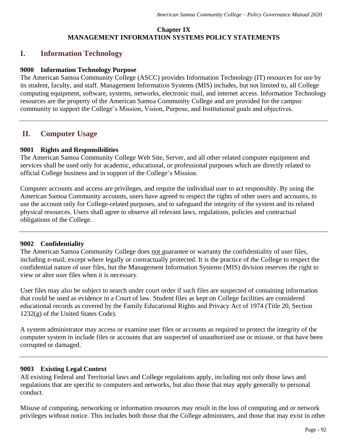## **Chapter IX MANAGEMENT INFORMATION SYSTEMS POLICY STATEMENTS**

## **I. Information Technology**

### **9000 Information Technology Purpose**

The American Samoa Community College (ASCC) provides Information Technology (IT) resources for use by its student, faculty, and staff. Management Information Systems (MIS) includes, but not limited to, all College computing equipment, software, systems, networks, electronic mail, and internet access. Information Technology resources are the property of the American Samoa Community College and are provided for the campus community to support the College's Mission, Vision, Purpose, and Institutional goals and objectives.

## **II. Computer Usage**

### **9001 Rights and Responsibilities**

The American Samoa Community College Web Site, Server, and all other related computer equipment and services shall be used only for academic, educational, or professional purposes which are directly related to official College business and in support of the College's Mission.

Computer accounts and access are privileges, and require the individual user to act responsibly. By using the American Samoa Community accounts, users have agreed to respect the rights of other users and accounts, to use the account only for College-related purposes, and to safeguard the integrity of the system and its related physical resources. Users shall agree to observe all relevant laws, regulations, policies and contractual obligations of the College.

## **9002 Confidentiality**

The American Samoa Community College does not guarantee or warranty the confidentiality of user files, including e-mail, except where legally or contractually protected. It is the practice of the College to respect the confidential nature of user files, but the Management Information Systems (MIS) division reserves the right to view or alter user files when it is necessary.

User files may also be subject to search under court order if such files are suspected of containing information that could be used as evidence in a Court of law. Student files as kept on College facilities are considered educational records as covered by the Family Educational Rights and Privacy Act of 1974 (Title 20, Section  $1232(g)$  of the United States Code).

A system administrator may access or examine user files or accounts as required to protect the integrity of the computer system in include files or accounts that are suspected of unauthorized use or misuse, or that have been corrupted or damaged.

## **9003 Existing Legal Context**

All existing Federal and Territorial laws and College regulations apply, including not only those laws and regulations that are specific to computers and networks, but also those that may apply generally to personal conduct.

Misuse of computing, networking or information resources may result in the loss of computing and or network privileges without notice. This includes both those that the College administers, and those that may exist in other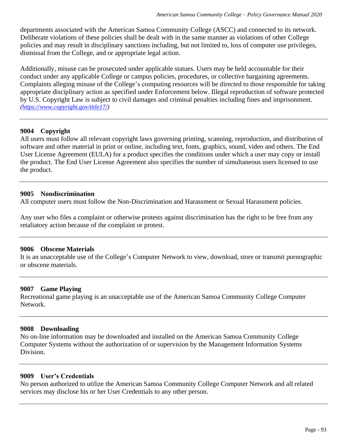departments associated with the American Samoa Community College (ASCC) and connected to its network. Deliberate violations of these policies shall be dealt with in the same manner as violations of other College policies and may result in disciplinary sanctions including, but not limited to, loss of computer use privileges, dismissal from the College, and or appropriate legal action.

Additionally, misuse can be prosecuted under applicable statues. Users may be held accountable for their conduct under any applicable College or campus policies, procedures, or collective bargaining agreements. Complaints alleging misuse of the College's computing resources will be directed to those responsible for taking appropriate disciplinary action as specified under Enforcement below. Illegal reproduction of software protected by U.S. Copyright Law is subject to civil damages and criminal penalties including fines and imprisonment. *[\(https://www.copyright.gov/title17/\)](https://www.copyright.gov/title17/)*

## **9004 Copyright**

All users must follow all relevant copyright laws governing printing, scanning, reproduction, and distribution of software and other material in print or online, including text, fonts, graphics, sound, video and others. The End User License Agreement (EULA) for a product specifies the conditions under which a user may copy or install the product. The End User License Agreement also specifies the number of simultaneous users licensed to use the product.

### **9005 Nondiscrimination**

All computer users must follow the Non-Discrimination and Harassment or Sexual Harassment policies.

Any user who files a complaint or otherwise protests against discrimination has the right to be free from any retaliatory action because of the complaint or protest.

### **9006 Obscene Materials**

It is an unacceptable use of the College's Computer Network to view, download, store or transmit pornographic or obscene materials.

### **9007 Game Playing**

Recreational game playing is an unacceptable use of the American Samoa Community College Computer Network.

### **9008 Downloading**

No on-line information may be downloaded and installed on the American Samoa Community College Computer Systems without the authorization of or supervision by the Management Information Systems Division.

### **9009 User's Credentials**

No person authorized to utilize the American Samoa Community College Computer Network and all related services may disclose his or her User Credentials to any other person.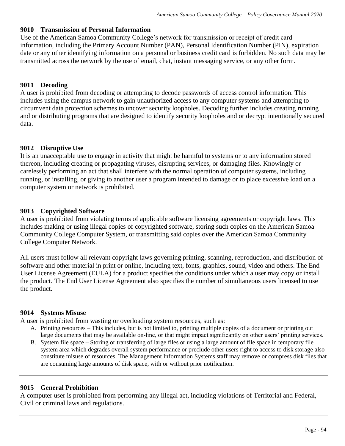## **9010 Transmission of Personal Information**

Use of the American Samoa Community College's network for transmission or receipt of credit card information, including the Primary Account Number (PAN), Personal Identification Number (PIN), expiration date or any other identifying information on a personal or business credit card is forbidden. No such data may be transmitted across the network by the use of email, chat, instant messaging service, or any other form.

## **9011 Decoding**

A user is prohibited from decoding or attempting to decode passwords of access control information. This includes using the campus network to gain unauthorized access to any computer systems and attempting to circumvent data protection schemes to uncover security loopholes. Decoding further includes creating running and or distributing programs that are designed to identify security loopholes and or decrypt intentionally secured data.

## **9012 Disruptive Use**

It is an unacceptable use to engage in activity that might be harmful to systems or to any information stored thereon, including creating or propagating viruses, disrupting services, or damaging files. Knowingly or carelessly performing an act that shall interfere with the normal operation of computer systems, including running, or installing, or giving to another user a program intended to damage or to place excessive load on a computer system or network is prohibited.

## **9013 Copyrighted Software**

A user is prohibited from violating terms of applicable software licensing agreements or copyright laws. This includes making or using illegal copies of copyrighted software, storing such copies on the American Samoa Community College Computer System, or transmitting said copies over the American Samoa Community College Computer Network.

All users must follow all relevant copyright laws governing printing, scanning, reproduction, and distribution of software and other material in print or online, including text, fonts, graphics, sound, video and others. The End User License Agreement (EULA) for a product specifies the conditions under which a user may copy or install the product. The End User License Agreement also specifies the number of simultaneous users licensed to use the product.

## **9014 Systems Misuse**

A user is prohibited from wasting or overloading system resources, such as:

- A. Printing resources This includes, but is not limited to, printing multiple copies of a document or printing out large documents that may be available on-line, or that might impact significantly on other users' printing services.
- B. System file space Storing or transferring of large files or using a large amount of file space in temporary file system area which degrades overall system performance or preclude other users right to access to disk storage also constitute misuse of resources. The Management Information Systems staff may remove or compress disk files that are consuming large amounts of disk space, with or without prior notification.

### **9015 General Prohibition**

A computer user is prohibited from performing any illegal act, including violations of Territorial and Federal, Civil or criminal laws and regulations.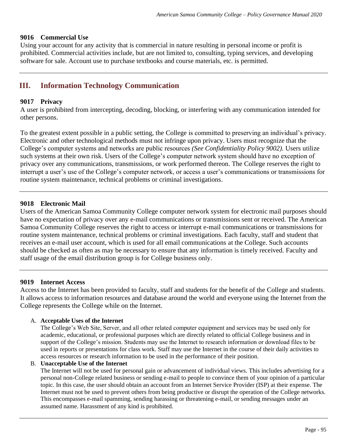## **9016 Commercial Use**

Using your account for any activity that is commercial in nature resulting in personal income or profit is prohibited. Commercial activities include, but are not limited to, consulting, typing services, and developing software for sale. Account use to purchase textbooks and course materials, etc. is permitted.

## **III. Information Technology Communication**

## **9017 Privacy**

A user is prohibited from intercepting, decoding, blocking, or interfering with any communication intended for other persons.

To the greatest extent possible in a public setting, the College is committed to preserving an individual's privacy. Electronic and other technological methods must not infringe upon privacy. Users must recognize that the College's computer systems and networks are public resources *(See Confidentiality Policy 9002).* Users utilize such systems at their own risk. Users of the College's computer network system should have no exception of privacy over any communications, transmissions, or work performed thereon. The College reserves the right to interrupt a user's use of the College's computer network, or access a user's communications or transmissions for routine system maintenance, technical problems or criminal investigations.

### **9018 Electronic Mail**

Users of the American Samoa Community College computer network system for electronic mail purposes should have no expectation of privacy over any e-mail communications or transmissions sent or received. The American Samoa Community College reserves the right to access or interrupt e-mail communications or transmissions for routine system maintenance, technical problems or criminal investigations. Each faculty, staff and student that receives an e-mail user account, which is used for all email communications at the College. Such accounts should be checked as often as may be necessary to ensure that any information is timely received. Faculty and staff usage of the email distribution group is for College business only.

### **9019 Internet Access**

Access to the Internet has been provided to faculty, staff and students for the benefit of the College and students. It allows access to information resources and database around the world and everyone using the Internet from the College represents the College while on the Internet.

### A. **Acceptable Uses of the Internet**

The College's Web Site, Server, and all other related computer equipment and services may be used only for academic, educational, or professional purposes which are directly related to official College business and in support of the College's mission. Students may use the Internet to research information or download files to be used in reports or presentations for class work. Staff may use the Internet in the course of their daily activities to access resources or research information to be used in the performance of their position.

#### B. **Unacceptable Use of the Internet**

The Internet will not be used for personal gain or advancement of individual views. This includes advertising for a personal non-College related business or sending e-mail to people to convince them of your opinion of a particular topic. In this case, the user should obtain an account from an Internet Service Provider (ISP) at their expense. The Internet must not be used to prevent others from being productive or disrupt the operation of the College networks. This encompasses e-mail spamming, sending harassing or threatening e-mail, or sending messages under an assumed name. Harassment of any kind is prohibited.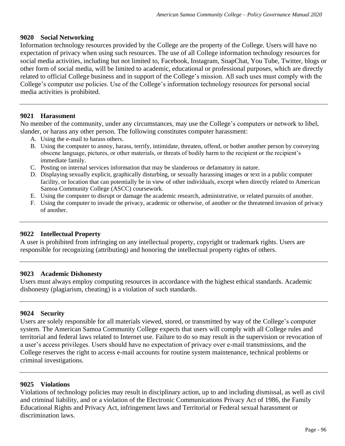## **9020 Social Networking**

Information technology resources provided by the College are the property of the College. Users will have no expectation of privacy when using such resources. The use of all College information technology resources for social media activities, including but not limited to, Facebook, Instagram, SnapChat, You Tube, Twitter, blogs or other form of social media, will be limited to academic, educational or professional purposes, which are directly related to official College business and in support of the College's mission. All such uses must comply with the College's computer use policies. Use of the College's information technology resources for personal social media activities is prohibited.

### **9021 Harassment**

No member of the community, under any circumstances, may use the College's computers or network to libel, slander, or harass any other person. The following constitutes computer harassment:

- A. Using the e-mail to harass others.
- B. Using the computer to annoy, harass, terrify, intimidate, threaten, offend, or bother another person by conveying obscene language, pictures, or other materials, or threats of bodily harm to the recipient or the recipient's immediate family.
- C. Posting on internal services information that may be slanderous or defamatory in nature.
- D. Displaying sexually explicit, graphically disturbing, or sexually harassing images or text in a public computer facility, or location that can potentially be in view of other individuals, except when directly related to American Samoa Community College (ASCC) coursework.
- E. Using the computer to disrupt or damage the academic research, administrative, or related pursuits of another.
- F. Using the computer to invade the privacy, academic or otherwise, of another or the threatened invasion of privacy of another.

### **9022 Intellectual Property**

A user is prohibited from infringing on any intellectual property, copyright or trademark rights. Users are responsible for recognizing (attributing) and honoring the intellectual property rights of others.

### **9023 Academic Dishonesty**

Users must always employ computing resources in accordance with the highest ethical standards. Academic dishonesty (plagiarism, cheating) is a violation of such standards.

### **9024 Security**

Users are solely responsible for all materials viewed, stored, or transmitted by way of the College's computer system. The American Samoa Community College expects that users will comply with all College rules and territorial and federal laws related to Internet use. Failure to do so may result in the supervision or revocation of a user's access privileges. Users should have no expectation of privacy over e-mail transmissions, and the College reserves the right to access e-mail accounts for routine system maintenance, technical problems or criminal investigations.

### **9025 Violations**

Violations of technology policies may result in disciplinary action, up to and including dismissal, as well as civil and criminal liability, and or a violation of the Electronic Communications Privacy Act of 1986, the Family Educational Rights and Privacy Act, infringement laws and Territorial or Federal sexual harassment or discrimination laws.